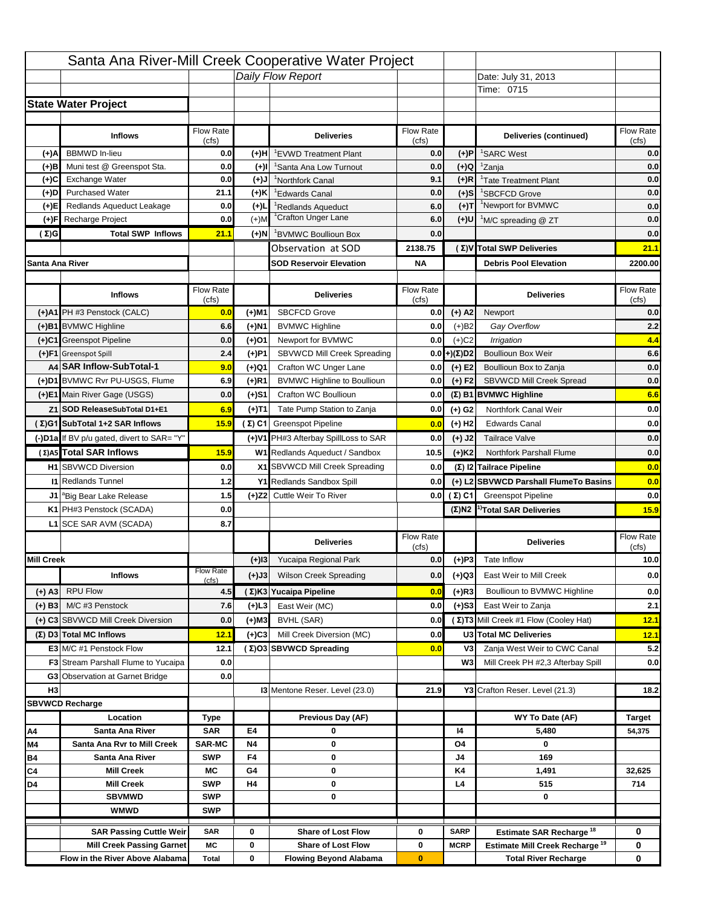|                   |                                            |                    |           | Santa Ana River-Mill Creek Cooperative Water Project |                           |                      |                                                  |                         |
|-------------------|--------------------------------------------|--------------------|-----------|------------------------------------------------------|---------------------------|----------------------|--------------------------------------------------|-------------------------|
|                   |                                            |                    |           | Daily Flow Report                                    |                           |                      | Date: July 31, 2013                              |                         |
|                   |                                            |                    |           |                                                      |                           |                      | Time: 0715                                       |                         |
|                   | <b>State Water Project</b>                 |                    |           |                                                      |                           |                      |                                                  |                         |
|                   |                                            |                    |           |                                                      |                           |                      |                                                  |                         |
|                   | <b>Inflows</b>                             | Flow Rate<br>(cfs) |           | <b>Deliveries</b>                                    | <b>Flow Rate</b><br>(cfs) |                      | Deliveries (continued)                           | Flow Rate<br>(cfs)      |
| (+)A              | <b>BBMWD</b> In-lieu                       | 0.0                | (+)H      | 'EVWD Treatment Plant                                | 0.0                       | (+)P                 | <sup>1</sup> SARC West                           | 0.0                     |
| (+)B              | Muni test @ Greenspot Sta.                 | 0.0                | $(+)$ l   | 'Santa Ana Low Turnout                               | 0.0                       | $(+)Q$               | <sup>1</sup> Zanja                               | 0.0                     |
| (+)C              | Exchange Water                             | 0.0                | $(L(+)$   | <sup>1</sup> Northfork Canal                         | 9.1                       | $(+)R$               | <sup>1</sup> Tate Treatment Plant                | 0.0                     |
| (+)D              | <b>Purchased Water</b>                     | 21.1               | (+)K      | <sup>1</sup> Edwards Canal                           | 0.0                       | $(+)$ S              | <sup>1</sup> SBCFCD Grove                        | 0.0                     |
| (+)E              | Redlands Aqueduct Leakage                  | 0.0                | $(+)1$    | <sup>1</sup> Redlands Aqueduct                       | 6.0                       | $(+)T$               | <sup>1</sup> Newport for BVMWC                   | 0.0                     |
| (+)F              | Recharge Project                           | 0.0                | $(+)$ M   | <sup>1</sup> Crafton Unger Lane                      | 6.0                       | (+)U                 | <sup>1</sup> M/C spreading @ ZT                  | 0.0                     |
| (Σ)G              | <b>Total SWP Inflows</b>                   | 21.1               | (+)N      | <sup>1</sup> BVMWC Boullioun Box                     | 0.0                       |                      |                                                  | 0.0                     |
|                   |                                            |                    |           | Observation at SOD                                   | 2138.75                   |                      | (Σ)V Total SWP Deliveries                        | 21.1                    |
|                   | Santa Ana River                            |                    |           | <b>SOD Reservoir Elevation</b>                       | <b>NA</b>                 |                      | <b>Debris Pool Elevation</b>                     | 2200.00                 |
|                   |                                            |                    |           |                                                      |                           |                      |                                                  |                         |
|                   | <b>Inflows</b>                             | Flow Rate          |           | <b>Deliveries</b>                                    | Flow Rate                 |                      | <b>Deliveries</b>                                | Flow Rate               |
|                   | (+)A1 PH #3 Penstock (CALC)                | (cfs)<br>0.0       | (+)M1     | <b>SBCFCD Grove</b>                                  | (cfs)<br>0.0              | $(+)$ A2             | Newport                                          | (cfs)<br>0.0            |
|                   | (+)B1 BVMWC Highline                       | 6.6                | (+)N1     | <b>BVMWC Highline</b>                                | 0.0                       | $(+)B2$              | Gay Overflow                                     | 2.2                     |
|                   | (+)C1 Greenspot Pipeline                   | 0.0                | (+)01     | Newport for BVMWC                                    | 0.0                       | $(+)$ C <sub>2</sub> | Irrigation                                       | 4.4                     |
|                   | (+)F1 Greenspot Spill                      | 2.4                | (+)P1     | SBVWCD Mill Creek Spreading                          | 0.0                       | (+)(Σ)D2             | <b>Boullioun Box Weir</b>                        | 6.6                     |
|                   | A4 SAR Inflow-SubTotal-1                   | 9.0                | (+)Q1     | Crafton WC Unger Lane                                | 0.0                       | $(+) E2$             | Boullioun Box to Zanja                           | 0.0                     |
|                   | (+)D1 BVMWC Rvr PU-USGS, Flume             | 6.9                | $(+)$ R1  | <b>BVMWC Highline to Boullioun</b>                   | 0.0                       | $(+) F2$             | SBVWCD Mill Creek Spread                         | 0.0                     |
|                   | (+)E1 Main River Gage (USGS)               | 0.0                | (+)S1     | Crafton WC Boullioun                                 | 0.0                       |                      | $(\Sigma)$ B1 BVMWC Highline                     | 6.6                     |
|                   | Z1 SOD ReleaseSubTotal D1+E1               | 6.9                |           | Tate Pump Station to Zanja                           | 0.0                       |                      | Northfork Canal Weir                             | 0.0                     |
|                   | (Σ)G1 SubTotal 1+2 SAR Inflows             | 15.9               | (+)T1     | (Σ) C1 Greenspot Pipeline                            |                           | (+) G2               | <b>Edwards Canal</b>                             | 0.0                     |
|                   |                                            |                    |           |                                                      | 0.0                       | $(+)$ H <sub>2</sub> |                                                  |                         |
|                   | (-)D1a If BV p/u gated, divert to SAR= "Y" |                    |           | (+)V1 PH#3 Afterbay SpillLoss to SAR                 | 0.0                       | $(+)$ J2             | <b>Tailrace Valve</b>                            | 0.0                     |
|                   | (Σ) A5 Total SAR Inflows                   | 15.9               |           | W1 Redlands Aqueduct / Sandbox                       | 10.5                      | $(+)$ K <sub>2</sub> | <b>Northfork Parshall Flume</b>                  | 0.0                     |
|                   | <b>H1</b> SBVWCD Diversion                 | 0.0                |           | X1 SBVWCD Mill Creek Spreading                       | 0.0                       |                      | (Σ) I2 Tailrace Pipeline                         | 0.0                     |
|                   | <b>11 Redlands Tunnel</b>                  | 1.2                |           | Y1 Redlands Sandbox Spill                            | 0.0                       |                      | (+) L2 SBVWCD Parshall FlumeTo Basins            | 0.0                     |
|                   | J1 <sup>a</sup> Big Bear Lake Release      | 1.5                |           | (+)Z2 Cuttle Weir To River                           |                           | 0.0 $(\Sigma)$ C1    | <b>Greenspot Pipeline</b>                        | 0.0                     |
|                   | K1 PH#3 Penstock (SCADA)                   | 0.0                |           |                                                      |                           |                      | $(\Sigma)$ N2 <sup>1)</sup> Total SAR Deliveries | 15.9                    |
|                   | L1 SCE SAR AVM (SCADA)                     | 8.7                |           |                                                      |                           |                      |                                                  |                         |
|                   |                                            |                    |           | <b>Deliveries</b>                                    | <b>Flow Rate</b><br>(cfs) |                      | <b>Deliveries</b>                                | Flow Rate<br>(cts)      |
| <b>Mill Creek</b> |                                            |                    | $(+)$ 13  | Yucaipa Regional Park                                | 0.0                       | $(+)P3$              | Tate Inflow                                      | 10.0                    |
|                   | <b>Inflows</b>                             | <b>Flow Rate</b>   | (+)J3     | <b>Wilson Creek Spreading</b>                        | 0.0                       | (+)Q3                | East Weir to Mill Creek                          | 0.0                     |
| (+) A3            | <b>RPU Flow</b>                            | (cfs)<br>4.5       |           | (Σ)K3 Yucaipa Pipeline                               | 0.0                       | $(+)$ R3             | Boullioun to BVMWC Highline                      | 0.0                     |
|                   | M/C #3 Penstock                            | 7.6                |           | East Weir (MC)                                       | 0.0                       |                      | East Weir to Zanja                               | 2.1                     |
| $(+)$ B3          |                                            |                    | $(+)$ L3  |                                                      |                           | $(+)$ S3             | (Σ) T3 Mill Creek #1 Flow (Cooley Hat)           |                         |
|                   | (+) C3 SBVWCD Mill Creek Diversion         | 0.0                | (+)M3     | BVHL (SAR)                                           | 0.0                       |                      |                                                  | 12.1                    |
|                   | (Σ) D3 Total MC Inflows                    | 12.1               | $(+)C3$   | Mill Creek Diversion (MC)                            | 0.0                       |                      | U3 Total MC Deliveries                           | 12.1                    |
|                   | E3 M/C #1 Penstock Flow                    | 12.1               |           | (Σ)O3 SBVWCD Spreading                               | 0.0                       | V3                   | Zanja West Weir to CWC Canal                     | 5.2                     |
|                   | <b>F3</b> Stream Parshall Flume to Yucaipa | 0.0<br>0.0         |           |                                                      |                           | W <sub>3</sub>       | Mill Creek PH #2,3 Afterbay Spill                | 0.0                     |
| H <sub>3</sub>    | G3 Observation at Garnet Bridge            |                    |           | 13 Mentone Reser. Level (23.0)                       | 21.9                      |                      | Y3 Crafton Reser. Level (21.3)                   | 18.2                    |
|                   |                                            |                    |           |                                                      |                           |                      |                                                  |                         |
|                   | <b>SBVWCD Recharge</b><br>Location         |                    |           | Previous Day (AF)                                    |                           |                      | WY To Date (AF)                                  |                         |
| Α4                | Santa Ana River                            | Type<br><b>SAR</b> | E4        | 0                                                    |                           | 14                   | 5,480                                            | <b>Target</b><br>54,375 |
| M4                | Santa Ana Rvr to Mill Creek                | <b>SAR-MC</b>      | <b>N4</b> | 0                                                    |                           | O4                   | 0                                                |                         |
| Β4                | Santa Ana River                            | <b>SWP</b>         | F4        | 0                                                    |                           | J4                   | 169                                              |                         |
| C4                | <b>Mill Creek</b>                          | МC                 | G4        | 0                                                    |                           | K4                   | 1,491                                            | 32,625                  |
| D4                | <b>Mill Creek</b>                          | <b>SWP</b>         | H4        | 0                                                    |                           | L4                   | 515                                              | 714                     |
|                   | <b>SBVMWD</b>                              | <b>SWP</b>         |           | 0                                                    |                           |                      | 0                                                |                         |
|                   | <b>WMWD</b>                                | <b>SWP</b>         |           |                                                      |                           |                      |                                                  |                         |
|                   | <b>SAR Passing Cuttle Weir</b>             | <b>SAR</b>         | 0         | <b>Share of Lost Flow</b>                            | 0                         | <b>SARP</b>          | Estimate SAR Recharge <sup>18</sup>              | 0                       |
|                   |                                            |                    |           |                                                      |                           |                      |                                                  |                         |
|                   | <b>Mill Creek Passing Garnet</b>           | МC                 | 0         | <b>Share of Lost Flow</b>                            | 0                         | <b>MCRP</b>          | Estimate Mill Creek Recharge <sup>19</sup>       | 0                       |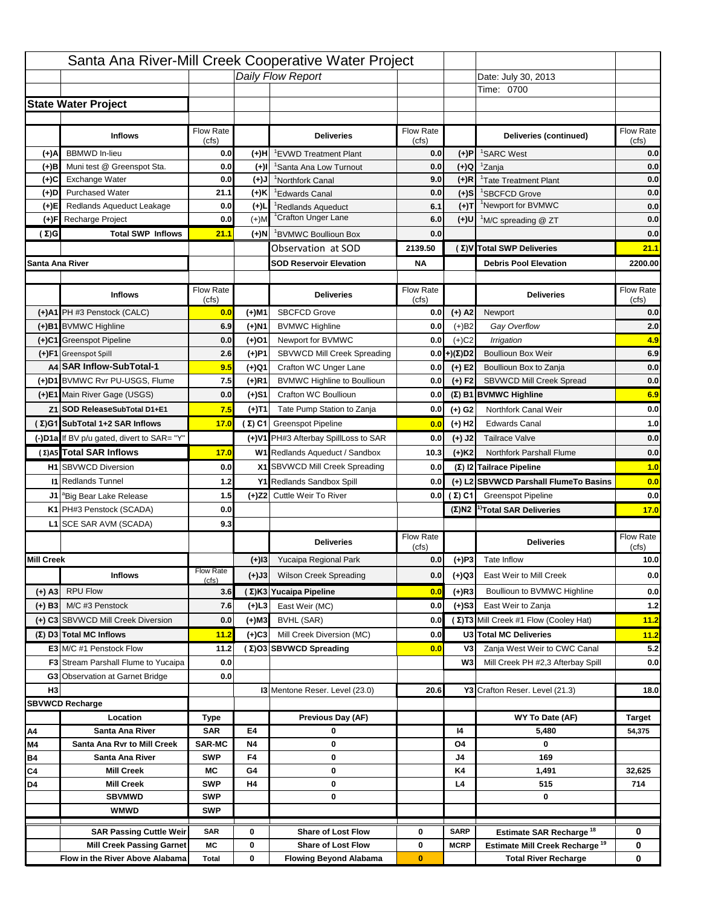|                   |                                            |                           |           | Santa Ana River-Mill Creek Cooperative Water Project |                  |                      |                                                  |                                                                  |
|-------------------|--------------------------------------------|---------------------------|-----------|------------------------------------------------------|------------------|----------------------|--------------------------------------------------|------------------------------------------------------------------|
|                   |                                            |                           |           | Daily Flow Report                                    |                  |                      | Date: July 30, 2013                              |                                                                  |
|                   |                                            |                           |           |                                                      |                  |                      | Time: 0700                                       |                                                                  |
|                   | <b>State Water Project</b>                 |                           |           |                                                      |                  |                      |                                                  |                                                                  |
|                   |                                            |                           |           |                                                      |                  |                      |                                                  |                                                                  |
|                   | <b>Inflows</b>                             | Flow Rate                 |           | <b>Deliveries</b>                                    | <b>Flow Rate</b> |                      | Deliveries (continued)                           | Flow Rate                                                        |
| (+)A              | <b>BBMWD</b> In-lieu                       | (cfs)<br>0.0              | (+)H      | 'EVWD Treatment Plant                                | (cfs)<br>0.0     | (+)P                 | <sup>1</sup> SARC West                           | (cfs)<br>0.0                                                     |
| (+)B              | Muni test @ Greenspot Sta.                 | 0.0                       | $(+)$ l   | 'Santa Ana Low Turnout                               | 0.0              | $(+)Q$               | <sup>1</sup> Zanja                               | 0.0                                                              |
| (+)C              | Exchange Water                             | 0.0                       | $(L(+)$   | <sup>1</sup> Northfork Canal                         | 9.0              | $(+)R$               | <sup>1</sup> Tate Treatment Plant                | 0.0                                                              |
| (+)D              | <b>Purchased Water</b>                     | 21.1                      | (+)K      | <sup>1</sup> Edwards Canal                           | 0.0              | $(+)$ S              | <sup>1</sup> SBCFCD Grove                        | 0.0                                                              |
| (+)E              | Redlands Aqueduct Leakage                  | 0.0                       | $(+)1$    | <sup>1</sup> Redlands Aqueduct                       | 6.1              | $(+)T$               | <sup>1</sup> Newport for BVMWC                   | 0.0                                                              |
| (+)F              | Recharge Project                           | 0.0                       | $(+)$ M   | <sup>1</sup> Crafton Unger Lane                      | 6.0              | (+)U                 | <sup>1</sup> M/C spreading @ ZT                  | 0.0                                                              |
| (Σ)G              | <b>Total SWP Inflows</b>                   | 21.1                      | (+)N      | <sup>1</sup> BVMWC Boullioun Box                     | 0.0              |                      |                                                  | 0.0                                                              |
|                   |                                            |                           |           | Observation at SOD                                   | 2139.50          |                      | (Σ)V Total SWP Deliveries                        | 21.1                                                             |
| Santa Ana River   |                                            |                           |           | <b>SOD Reservoir Elevation</b>                       | <b>NA</b>        |                      | <b>Debris Pool Elevation</b>                     | 2200.00                                                          |
|                   |                                            |                           |           |                                                      |                  |                      |                                                  |                                                                  |
|                   | <b>Inflows</b>                             | Flow Rate                 |           | <b>Deliveries</b>                                    | Flow Rate        |                      | <b>Deliveries</b>                                | Flow Rate                                                        |
|                   |                                            | (cfs)                     |           |                                                      | (cfs)            |                      |                                                  | (cfs)                                                            |
|                   | (+)A1 PH #3 Penstock (CALC)                | 0.0                       | (+)M1     | <b>SBCFCD Grove</b>                                  | 0.0              | $(+)$ A2             | Newport                                          | 0.0                                                              |
|                   | (+)B1 BVMWC Highline                       | 6.9                       | (+)N1     | <b>BVMWC Highline</b>                                | 0.0              | $(+)B2$              | Gay Overflow                                     | 2.0                                                              |
|                   | (+)C1 Greenspot Pipeline                   | 0.0                       | (+)01     | Newport for BVMWC                                    | 0.0              | $(+)$ C <sub>2</sub> | Irrigation                                       | 4.9                                                              |
|                   | (+)F1 Greenspot Spill                      | 2.6                       | (+)P1     | SBVWCD Mill Creek Spreading                          | 0.0              | (+)(Σ)D2             | <b>Boullioun Box Weir</b>                        | 6.9                                                              |
|                   | A4 SAR Inflow-SubTotal-1                   | 9.5                       | (+)Q1     | Crafton WC Unger Lane                                | 0.0              | $(+) E2$             | Boullioun Box to Zanja                           | 0.0                                                              |
|                   | (+)D1 BVMWC Rvr PU-USGS, Flume             | 7.5                       | $(+)$ R1  | <b>BVMWC Highline to Boullioun</b>                   | 0.0              | $(+) F2$             | SBVWCD Mill Creek Spread                         | 0.0                                                              |
|                   | (+)E1 Main River Gage (USGS)               | 0.0                       | (+)S1     | Crafton WC Boullioun                                 | 0.0              |                      | $(\Sigma)$ B1 BVMWC Highline                     | 6.9                                                              |
|                   | Z1 SOD ReleaseSubTotal D1+E1               | 7.5                       | (+)T1     | Tate Pump Station to Zanja                           | 0.0              | (+) G2               | Northfork Canal Weir                             | 0.0                                                              |
|                   | (Σ)G1 SubTotal 1+2 SAR Inflows             | 17.0                      |           | $(\Sigma)$ C1 Greenspot Pipeline                     | 0.0              | $(+)$ H <sub>2</sub> | <b>Edwards Canal</b>                             | 1.0                                                              |
|                   | (-)D1a If BV p/u gated, divert to SAR= "Y" |                           |           | (+)V1 PH#3 Afterbay SpillLoss to SAR                 | 0.0              | $(+)$ J2             | <b>Tailrace Valve</b>                            | 0.0                                                              |
|                   | (Σ) A5 Total SAR Inflows                   | 17.0                      |           | W1 Redlands Aqueduct / Sandbox                       | 10.3             | $(+)$ K <sub>2</sub> | <b>Northfork Parshall Flume</b>                  | 0.0                                                              |
|                   |                                            |                           |           |                                                      |                  |                      |                                                  |                                                                  |
|                   | <b>H1</b> SBVWCD Diversion                 | 0.0                       |           | X1 SBVWCD Mill Creek Spreading                       | 0.0              |                      | (Σ) I2 Tailrace Pipeline                         |                                                                  |
|                   | <b>11 Redlands Tunnel</b>                  | 1.2                       |           | Y1 Redlands Sandbox Spill                            | 0.0              |                      | (+) L2 SBVWCD Parshall FlumeTo Basins            |                                                                  |
|                   | J1 <sup>a</sup> Big Bear Lake Release      | 1.5                       |           | (+)Z2 Cuttle Weir To River                           |                  | 0.0 $(\Sigma)$ C1    | <b>Greenspot Pipeline</b>                        |                                                                  |
|                   | K1 PH#3 Penstock (SCADA)                   | 0.0                       |           |                                                      |                  |                      | $(\Sigma)$ N2 <sup>1)</sup> Total SAR Deliveries |                                                                  |
|                   | L1 SCE SAR AVM (SCADA)                     | 9.3                       |           |                                                      |                  |                      |                                                  |                                                                  |
|                   |                                            |                           |           | <b>Deliveries</b>                                    | <b>Flow Rate</b> |                      | <b>Deliveries</b>                                | Flow Rate                                                        |
|                   |                                            |                           |           |                                                      | (cfs)            |                      |                                                  | (cts)                                                            |
| <b>Mill Creek</b> |                                            |                           | $(+)$ 13  | Yucaipa Regional Park                                | 0.0              | $(+)P3$              | Tate Inflow                                      |                                                                  |
|                   | <b>Inflows</b>                             | <b>Flow Rate</b><br>(cfs) | (+)J3     | <b>Wilson Creek Spreading</b>                        | 0.0              | (+)Q3                | East Weir to Mill Creek                          |                                                                  |
| (+) A3            | <b>RPU Flow</b>                            | 3.6                       |           | (Σ)K3 Yucaipa Pipeline                               | 0.0              | $(+)$ R3             | Boullioun to BVMWC Highline                      |                                                                  |
| $(+)$ B3          | M/C #3 Penstock                            | 7.6                       | $(+)$ L3  | East Weir (MC)                                       | 0.0              | $(+)$ S3             | East Weir to Zanja                               |                                                                  |
|                   | (+) C3 SBVWCD Mill Creek Diversion         | 0.0                       | (+)M3     | BVHL (SAR)                                           | 0.0              |                      | (Σ) T3 Mill Creek #1 Flow (Cooley Hat)           | 1.0<br>0.0<br>0.0<br>17.0<br>10.0<br>0.0<br>0.0<br>$1.2$<br>11.2 |
|                   | (Σ) D3 Total MC Inflows                    | 11.2                      | $(+)C3$   | Mill Creek Diversion (MC)                            | 0.0              |                      | U3 Total MC Deliveries                           |                                                                  |
|                   | E3 M/C #1 Penstock Flow                    | 11.2                      |           | (Σ)O3 SBVWCD Spreading                               | 0.0              | V3                   | Zanja West Weir to CWC Canal                     |                                                                  |
|                   | <b>F3</b> Stream Parshall Flume to Yucaipa | 0.0                       |           |                                                      |                  | W <sub>3</sub>       | Mill Creek PH #2,3 Afterbay Spill                |                                                                  |
|                   | G3 Observation at Garnet Bridge            | 0.0                       |           |                                                      |                  |                      |                                                  |                                                                  |
| H <sub>3</sub>    |                                            |                           |           | 13 Mentone Reser. Level (23.0)                       | 20.6             |                      | Y3 Crafton Reser. Level (21.3)                   |                                                                  |
|                   | <b>SBVWCD Recharge</b>                     |                           |           |                                                      |                  |                      |                                                  |                                                                  |
|                   | Location                                   | Type                      |           | Previous Day (AF)                                    |                  |                      | WY To Date (AF)                                  | Target                                                           |
| Α4                | Santa Ana River                            | <b>SAR</b>                | E4        | 0                                                    |                  | 14                   | 5,480                                            | 54,375                                                           |
| M4                | Santa Ana Rvr to Mill Creek                | <b>SAR-MC</b>             | <b>N4</b> | 0                                                    |                  | O4                   | 0                                                |                                                                  |
| Β4                | Santa Ana River                            | <b>SWP</b>                | F4        | 0                                                    |                  | J4                   | 169                                              |                                                                  |
| C4                | <b>Mill Creek</b>                          | МC                        | G4        | 0                                                    |                  | K4                   | 1,491                                            | 32,625                                                           |
| D4                | <b>Mill Creek</b>                          | <b>SWP</b>                | H4        | 0                                                    |                  | L4                   | 515                                              | 714                                                              |
|                   | <b>SBVMWD</b>                              | <b>SWP</b>                |           | 0                                                    |                  |                      | 0                                                |                                                                  |
|                   | <b>WMWD</b>                                | <b>SWP</b>                |           |                                                      |                  |                      |                                                  | 11.2<br>5.2<br>0.0<br>18.0                                       |
|                   | <b>SAR Passing Cuttle Weir</b>             | <b>SAR</b>                | 0         | <b>Share of Lost Flow</b>                            | 0                | <b>SARP</b>          | Estimate SAR Recharge <sup>18</sup>              | 0                                                                |
|                   | <b>Mill Creek Passing Garnet</b>           | МC                        | 0         | <b>Share of Lost Flow</b>                            | 0                | <b>MCRP</b>          | Estimate Mill Creek Recharge <sup>19</sup>       | 0                                                                |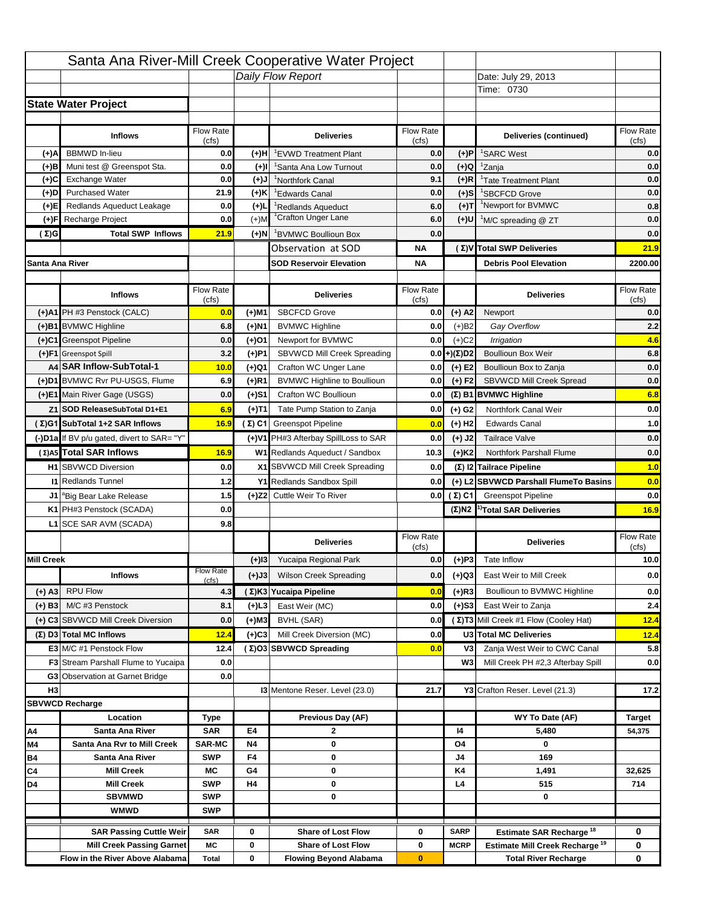|                   |                                                |                             |                 | Santa Ana River-Mill Creek Cooperative Water Project |                           |                       |                                                                                   |                    |
|-------------------|------------------------------------------------|-----------------------------|-----------------|------------------------------------------------------|---------------------------|-----------------------|-----------------------------------------------------------------------------------|--------------------|
|                   |                                                |                             |                 | Daily Flow Report                                    |                           |                       | Date: July 29, 2013                                                               |                    |
|                   |                                                |                             |                 |                                                      |                           |                       | Time: 0730                                                                        |                    |
|                   | <b>State Water Project</b>                     |                             |                 |                                                      |                           |                       |                                                                                   |                    |
|                   |                                                |                             |                 |                                                      |                           |                       |                                                                                   |                    |
|                   | <b>Inflows</b>                                 | Flow Rate                   |                 | <b>Deliveries</b>                                    | Flow Rate                 |                       | Deliveries (continued)                                                            | Flow Rate<br>(cfs) |
| (+)A              | <b>BBMWD</b> In-lieu                           | (cfs)<br>0.0                | (+)H            | <sup>1</sup> EVWD Treatment Plant                    | (cfs)<br>0.0              | $(+)P$                | <sup>1</sup> SARC West                                                            | 0.0                |
| $(+)$ B           | Muni test @ Greenspot Sta.                     | 0.0                         | (+)I            | 'Santa Ana Low Turnout                               | 0.0                       | $(+)Q$                | <sup>1</sup> Zanja                                                                | 0.0                |
| (+)C              | Exchange Water                                 | 0.0                         | (+)J            | <sup>1</sup> Northfork Canal                         | 9.1                       | $(+)R$                | <sup>1</sup> Tate Treatment Plant                                                 | 0.0                |
| (+)D              | <b>Purchased Water</b>                         | 21.9                        | (+)K            | <sup>1</sup> Edwards Canal                           | 0.0                       | $(+)$ S               | <sup>1</sup> SBCFCD Grove                                                         | 0.0                |
| (+)E              | Redlands Aqueduct Leakage                      | 0.0                         | $(+)1$          | <sup>1</sup> Redlands Aqueduct                       | 6.0                       | (+)T                  | <sup>1</sup> Newport for BVMWC                                                    | 0.8                |
| (+)F              | Recharge Project                               | 0.0                         | $(+)$ M         | <sup>1</sup> Crafton Unger Lane                      | 6.0                       | (+)U                  | <sup>1</sup> M/C spreading @ ZT                                                   | 0.0                |
| $(\Sigma)$ G      | <b>Total SWP Inflows</b>                       | 21.9                        | $(+)$ N         | <sup>1</sup> BVMWC Boullioun Box                     | 0.0                       |                       |                                                                                   | 0.0                |
|                   |                                                |                             |                 | Observation at SOD                                   | <b>NA</b>                 |                       | (Σ) V Total SWP Deliveries                                                        | 21.9               |
| Santa Ana River   |                                                |                             |                 | <b>SOD Reservoir Elevation</b>                       | ΝA                        |                       | <b>Debris Pool Elevation</b>                                                      | 2200.00            |
|                   |                                                |                             |                 |                                                      |                           |                       |                                                                                   |                    |
|                   | <b>Inflows</b>                                 | Flow Rate<br>(cfs)          |                 | <b>Deliveries</b>                                    | <b>Flow Rate</b><br>(cfs) |                       | <b>Deliveries</b>                                                                 | Flow Rate<br>(cfs) |
|                   | (+)A1 PH #3 Penstock (CALC)                    | 0.0                         | (+)M1           | <b>SBCFCD Grove</b>                                  | 0.0                       | $(+)$ A2              | Newport                                                                           | 0.0                |
|                   | (+)B1 BVMWC Highline                           | 6.8                         | (+)N1           | <b>BVMWC Highline</b>                                | 0.0                       | $(+)B2$               | Gay Overflow                                                                      | 2.2                |
|                   | (+)C1 Greenspot Pipeline                       | 0.0                         | $(+)$ 01        | Newport for BVMWC                                    | 0.0                       | $(+)$ C <sub>2</sub>  | Irrigation                                                                        | 4.6                |
|                   | (+)F1 Greenspot Spill                          | 3.2                         | (+)P1           | SBVWCD Mill Creek Spreading                          | 0.0                       | $(+)(\Sigma)D2$       | <b>Boullioun Box Weir</b>                                                         | 6.8                |
|                   | A4 SAR Inflow-SubTotal-1                       | 10.0                        | (+)Q1           | Crafton WC Unger Lane                                | 0.0                       | $(+)$ E2              | Boullioun Box to Zanja                                                            | 0.0                |
|                   | (+)D1 BVMWC Rvr PU-USGS, Flume                 | 6.9                         | (+)R1           | <b>BVMWC Highline to Boullioun</b>                   | 0.0                       | $(+) F2$              | SBVWCD Mill Creek Spread                                                          | 0.0                |
|                   | (+)E1 Main River Gage (USGS)                   | 0.0                         | (+)S1           | Crafton WC Boullioun                                 | 0.0                       |                       | (Σ) B1 BVMWC Highline                                                             | 6.8                |
|                   | Z1 SOD ReleaseSubTotal D1+E1                   | 6.9                         | (+)T1           | Tate Pump Station to Zanja                           | 0.0                       | $(+)$ G <sub>2</sub>  | Northfork Canal Weir                                                              | 0.0                |
|                   | (Σ)G1 SubTotal 1+2 SAR Inflows                 | 16.9                        |                 | (Σ) C1 Greenspot Pipeline                            | 0.0                       | $(+)$ H <sub>2</sub>  | <b>Edwards Canal</b>                                                              | 1.0                |
|                   | (-)D1a If BV p/u gated, divert to SAR= "Y"     |                             |                 | (+)V1 PH#3 Afterbay SpillLoss to SAR                 | 0.0                       | $(+)$ J2              | <b>Tailrace Valve</b>                                                             | 0.0                |
|                   | (Σ)A5 Total SAR Inflows                        | 16.9                        |                 | W1 Redlands Aqueduct / Sandbox                       | 10.3                      | $(+)$ K <sub>2</sub>  | Northfork Parshall Flume                                                          | 0.0                |
|                   |                                                |                             |                 |                                                      |                           |                       |                                                                                   |                    |
|                   |                                                |                             |                 |                                                      |                           |                       |                                                                                   |                    |
|                   | <b>H1</b> SBVWCD Diversion                     | 0.0                         |                 | X1 SBVWCD Mill Creek Spreading                       | 0.0                       |                       | (Σ) I2 Tailrace Pipeline                                                          | 1.0                |
|                   | <b>11 Redlands Tunnel</b>                      | 1.2                         |                 | Y1 Redlands Sandbox Spill                            | 0.0                       |                       | (+) L2 SBVWCD Parshall FlumeTo Basins                                             | 0.0                |
|                   | J1 <sup>a</sup> Big Bear Lake Release          | 1.5                         |                 | (+)Z2 Cuttle Weir To River                           |                           | $0.0$ ( $\Sigma$ ) C1 | <b>Greenspot Pipeline</b>                                                         | 0.0                |
|                   | K1 PH#3 Penstock (SCADA)                       | 0.0                         |                 |                                                      |                           | $(\Sigma)$ N2         | <sup>1)</sup> Total SAR Deliveries                                                |                    |
|                   | L1 SCE SAR AVM (SCADA)                         | 9.8                         |                 |                                                      |                           |                       |                                                                                   | 16.9               |
|                   |                                                |                             |                 | <b>Deliveries</b>                                    | <b>Flow Rate</b>          |                       | <b>Deliveries</b>                                                                 | Flow Rate          |
| <b>Mill Creek</b> |                                                |                             |                 | Yucaipa Regional Park                                | (cfs)<br>0.0              |                       | Tate Inflow                                                                       | (cts)<br>10.0      |
|                   | <b>Inflows</b>                                 | <b>Flow Rate</b>            | $(+)$ 13        |                                                      |                           | $(+)P3$               |                                                                                   |                    |
|                   |                                                | (cfs)                       | $(+)$ J3        | <b>Wilson Creek Spreading</b>                        | 0.0                       | (+)Q3                 | East Weir to Mill Creek                                                           |                    |
| $(+)$ A3          | <b>RPU Flow</b>                                | 4.3                         |                 | (Σ) K3 Yucaipa Pipeline                              | 0.0                       | $(+)$ R3              | Boullioun to BVMWC Highline                                                       | 0.0<br>0.0         |
| $(+)$ B3          | M/C #3 Penstock                                | 8.1                         | (+)L3           | East Weir (MC)                                       | 0.0                       | $(+)$ S3              | East Weir to Zanja                                                                | 2.4                |
|                   | (+) C3 SBVWCD Mill Creek Diversion             | 0.0                         | $(+)$ M3        | <b>BVHL (SAR)</b>                                    | 0.0                       |                       | (Σ) T3 Mill Creek #1 Flow (Cooley Hat)                                            | 12.4               |
|                   | $(\Sigma)$ D3 Total MC Inflows                 | 12.4                        | (+)C3           | Mill Creek Diversion (MC)                            | 0.0                       |                       | U3 Total MC Deliveries                                                            | 12.4               |
|                   | E3 M/C #1 Penstock Flow                        | 12.4                        |                 | (Σ)O3 SBVWCD Spreading                               | 0.0                       | V <sub>3</sub>        | Zanja West Weir to CWC Canal                                                      |                    |
|                   | <b>F3</b> Stream Parshall Flume to Yucaipa     | 0.0                         |                 |                                                      |                           | W3                    | Mill Creek PH #2,3 Afterbay Spill                                                 |                    |
|                   | <b>G3</b> Observation at Garnet Bridge         | 0.0                         |                 |                                                      |                           |                       |                                                                                   | 5.8<br>0.0         |
| H <sub>3</sub>    |                                                |                             |                 | <b>13 Mentone Reser. Level (23.0)</b>                | 21.7                      |                       | Y3 Crafton Reser. Level (21.3)                                                    | 17.2               |
|                   | <b>SBVWCD Recharge</b>                         |                             |                 |                                                      |                           |                       |                                                                                   |                    |
|                   | Location                                       | Type                        |                 | Previous Day (AF)                                    |                           |                       | WY To Date (AF)                                                                   | <b>Target</b>      |
| Α4                | Santa Ana River<br>Santa Ana Rvr to Mill Creek | <b>SAR</b><br><b>SAR-MC</b> | E4<br><b>N4</b> | 2<br>0                                               |                           | 14<br>O4              | 5,480<br>0                                                                        | 54,375             |
| M4<br>Β4          | Santa Ana River                                | <b>SWP</b>                  | F4              | 0                                                    |                           | J4                    | 169                                                                               |                    |
| C4                | <b>Mill Creek</b>                              | МC                          | G4              | 0                                                    |                           | K4                    | 1,491                                                                             | 32,625             |
| D4                | <b>Mill Creek</b>                              | <b>SWP</b>                  | H4              | 0                                                    |                           | L4                    | 515                                                                               | 714                |
|                   | <b>SBVMWD</b>                                  | <b>SWP</b>                  |                 | 0                                                    |                           |                       | 0                                                                                 |                    |
|                   | <b>WMWD</b>                                    | <b>SWP</b>                  |                 |                                                      |                           |                       |                                                                                   |                    |
|                   | <b>SAR Passing Cuttle Weir</b>                 | <b>SAR</b>                  | 0               | <b>Share of Lost Flow</b>                            | 0                         | <b>SARP</b>           |                                                                                   | 0                  |
|                   | <b>Mill Creek Passing Garnet</b>               | МC                          | 0               | <b>Share of Lost Flow</b>                            | 0                         | <b>MCRP</b>           | Estimate SAR Recharge <sup>18</sup><br>Estimate Mill Creek Recharge <sup>19</sup> | 0                  |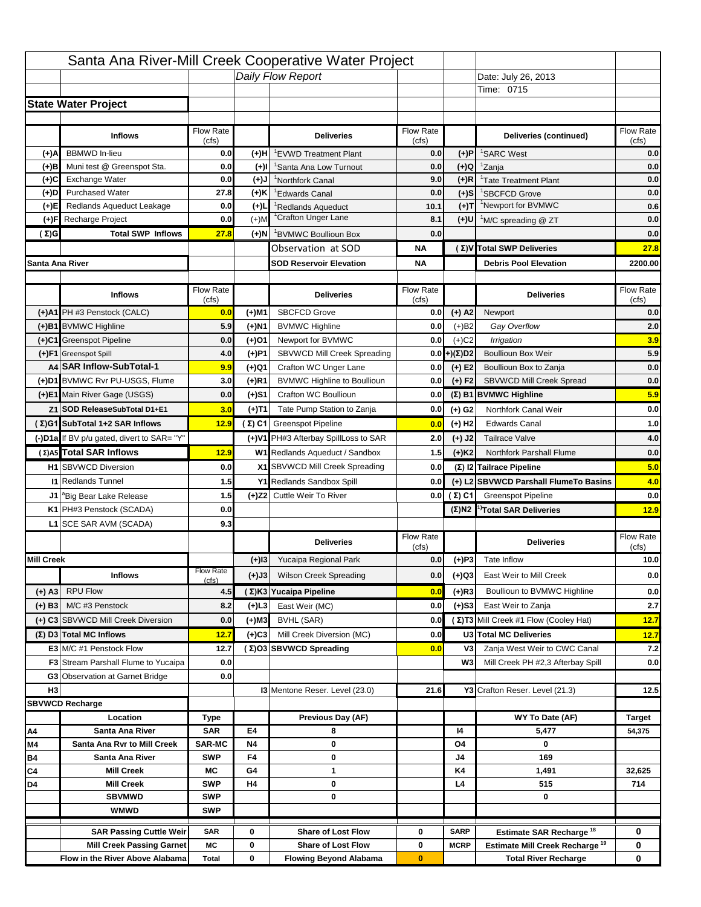|                   |                                            |                    |           | Santa Ana River-Mill Creek Cooperative Water Project |                    |                      |                                                  |                                          |
|-------------------|--------------------------------------------|--------------------|-----------|------------------------------------------------------|--------------------|----------------------|--------------------------------------------------|------------------------------------------|
|                   |                                            |                    |           | Daily Flow Report                                    |                    |                      | Date: July 26, 2013                              |                                          |
|                   |                                            |                    |           |                                                      |                    |                      | Time: 0715                                       |                                          |
|                   | <b>State Water Project</b>                 |                    |           |                                                      |                    |                      |                                                  |                                          |
|                   |                                            |                    |           |                                                      |                    |                      |                                                  |                                          |
|                   | <b>Inflows</b>                             | Flow Rate          |           | <b>Deliveries</b>                                    | <b>Flow Rate</b>   |                      | Deliveries (continued)                           | Flow Rate                                |
| (+)A              | <b>BBMWD</b> In-lieu                       | (cfs)<br>0.0       | (+)H      | 'EVWD Treatment Plant                                | (cfs)<br>0.0       | (+)P                 | <sup>1</sup> SARC West                           | (cfs)<br>0.0                             |
| (+)B              | Muni test @ Greenspot Sta.                 | 0.0                | $(+)$ l   | <sup>1</sup> Santa Ana Low Turnout                   | 0.0                | $(+)Q$               | <sup>1</sup> Zanja                               | 0.0                                      |
| (+)C              | Exchange Water                             | 0.0                | $(L(+)$   | <sup>1</sup> Northfork Canal                         | 9.0                | $(+)R$               | <sup>1</sup> Tate Treatment Plant                | 0.0                                      |
| (+)D              | <b>Purchased Water</b>                     | 27.8               | (+)K      | <sup>1</sup> Edwards Canal                           | 0.0                | $(+)$ S              | <sup>1</sup> SBCFCD Grove                        | 0.0                                      |
| (+)E              | Redlands Aqueduct Leakage                  | 0.0                | $(+)1$    | <sup>1</sup> Redlands Aqueduct                       | 10.1               | $(+)T$               | <sup>1</sup> Newport for BVMWC                   | 0.6                                      |
| (+)F              | Recharge Project                           | 0.0                | $(+)$ M   | <sup>1</sup> Crafton Unger Lane                      | 8.1                | $(+)$ U              | <sup>1</sup> M/C spreading @ ZT                  | 0.0                                      |
| (Σ)G              | <b>Total SWP Inflows</b>                   | 27.8               | (+)N      | <sup>1</sup> BVMWC Boullioun Box                     | 0.0                |                      |                                                  | 0.0                                      |
|                   |                                            |                    |           | Observation at SOD                                   | ΝA                 |                      | (Σ) V Total SWP Deliveries                       | 27.8                                     |
| Santa Ana River   |                                            |                    |           | <b>SOD Reservoir Elevation</b>                       | ΝA                 |                      | <b>Debris Pool Elevation</b>                     | 2200.00                                  |
|                   |                                            |                    |           |                                                      |                    |                      |                                                  |                                          |
|                   | <b>Inflows</b>                             | Flow Rate<br>(cfs) |           | <b>Deliveries</b>                                    | Flow Rate<br>(cfs) |                      | <b>Deliveries</b>                                | Flow Rate<br>(cfs)                       |
|                   | (+)A1 PH #3 Penstock (CALC)                | 0.0                | (+)M1     | <b>SBCFCD Grove</b>                                  | 0.0                | $(+)$ A2             | Newport                                          | 0.0                                      |
|                   | (+)B1 BVMWC Highline                       | 5.9                | (+)N1     | <b>BVMWC Highline</b>                                | 0.0                | $(+)B2$              | Gay Overflow                                     | 2.0                                      |
|                   | (+)C1 Greenspot Pipeline                   | 0.0                | (+)01     | Newport for BVMWC                                    | 0.0                | $(+)$ C <sub>2</sub> | Irrigation                                       | 3.9                                      |
|                   | (+)F1 Greenspot Spill                      | 4.0                | (+)P1     | SBVWCD Mill Creek Spreading                          | 0.0                | (+)(Σ)D2             | <b>Boullioun Box Weir</b>                        | 5.9                                      |
|                   | A4 SAR Inflow-SubTotal-1                   | 9.9                | (+)Q1     | Crafton WC Unger Lane                                | 0.0                | $(+) E2$             | Boullioun Box to Zanja                           | 0.0                                      |
|                   | (+)D1 BVMWC Rvr PU-USGS, Flume             | 3.0                | $(+)$ R1  | <b>BVMWC Highline to Boullioun</b>                   | 0.0                | $(+) F2$             | SBVWCD Mill Creek Spread                         | 0.0                                      |
|                   | (+)E1 Main River Gage (USGS)               | 0.0                | (+)S1     | Crafton WC Boullioun                                 | 0.0                |                      | $(\Sigma)$ B1 BVMWC Highline                     | 5.9                                      |
|                   | Z1 SOD ReleaseSubTotal D1+E1               | 3.0                | (+)T1     | Tate Pump Station to Zanja                           | 0.0                | (+) G2               | Northfork Canal Weir                             | 0.0                                      |
|                   | (Σ)G1 SubTotal 1+2 SAR Inflows             | 12.9               |           | (Σ) C1 Greenspot Pipeline                            | 0.0                | $(+)$ H <sub>2</sub> | <b>Edwards Canal</b>                             | 1.0                                      |
|                   | (-)D1a If BV p/u gated, divert to SAR= "Y" |                    |           | (+)V1 PH#3 Afterbay SpillLoss to SAR                 | 2.0                | $(+)$ J2             | <b>Tailrace Valve</b>                            | 4.0                                      |
|                   | (Σ) A5 Total SAR Inflows                   | 12.9               |           | W1 Redlands Aqueduct / Sandbox                       |                    |                      | <b>Northfork Parshall Flume</b>                  | 0.0                                      |
|                   |                                            |                    |           |                                                      | 1.5                | $(+)$ K <sub>2</sub> |                                                  |                                          |
|                   |                                            |                    |           |                                                      |                    |                      |                                                  |                                          |
|                   | <b>H1</b> SBVWCD Diversion                 | 0.0                |           | X1 SBVWCD Mill Creek Spreading                       | 0.0                |                      | (Σ) I2 Tailrace Pipeline                         | 5.0                                      |
|                   | <b>11 Redlands Tunnel</b>                  | 1.5                |           | Y1 Redlands Sandbox Spill                            | 0.0                |                      | (+) L2 SBVWCD Parshall FlumeTo Basins            |                                          |
|                   | J1 <sup>a</sup> Big Bear Lake Release      | 1.5                |           | (+)Z2 Cuttle Weir To River                           |                    | 0.0 $(\Sigma)$ C1    | <b>Greenspot Pipeline</b>                        |                                          |
|                   | K1 PH#3 Penstock (SCADA)                   | 0.0                |           |                                                      |                    |                      | $(\Sigma)$ N2 <sup>1)</sup> Total SAR Deliveries |                                          |
|                   | L1 SCE SAR AVM (SCADA)                     | 9.3                |           |                                                      |                    |                      |                                                  |                                          |
|                   |                                            |                    |           | <b>Deliveries</b>                                    | <b>Flow Rate</b>   |                      | <b>Deliveries</b>                                | Flow Rate                                |
| <b>Mill Creek</b> |                                            |                    | $(+)$ 13  | Yucaipa Regional Park                                | (cfs)<br>0.0       | $(+)P3$              | Tate Inflow                                      | (cts)                                    |
|                   | <b>Inflows</b>                             | <b>Flow Rate</b>   |           | <b>Wilson Creek Spreading</b>                        | 0.0                |                      | East Weir to Mill Creek                          |                                          |
|                   |                                            | (cfs)              | (+)J3     |                                                      |                    | (+)Q3                |                                                  |                                          |
| (+) A3            | <b>RPU Flow</b>                            | 4.5                |           | (Σ)K3 Yucaipa Pipeline                               | 0.0                | $(+)$ R3             | Boullioun to BVMWC Highline                      | 4.0<br>0.0<br>12.9<br>10.0<br>0.0<br>0.0 |
| $(+)$ B3          | M/C #3 Penstock                            | 8.2                | $(+)$ L3  | East Weir (MC)                                       | 0.0                | $(+)$ S3             | East Weir to Zanja                               | 2.7                                      |
|                   | (+) C3 SBVWCD Mill Creek Diversion         | 0.0                | (+)M3     | BVHL (SAR)                                           | 0.0                |                      | (Σ) T3 Mill Creek #1 Flow (Cooley Hat)           | 12.7                                     |
|                   | (Σ) D3 Total MC Inflows                    | 12.7               | $(+)C3$   | Mill Creek Diversion (MC)                            | 0.0                |                      | U3 Total MC Deliveries                           | 12.7                                     |
|                   | E3 M/C #1 Penstock Flow                    | 12.7               |           | (Σ)O3 SBVWCD Spreading                               | 0.0                | V3                   | Zanja West Weir to CWC Canal                     |                                          |
|                   | <b>F3</b> Stream Parshall Flume to Yucaipa | 0.0                |           |                                                      |                    | W <sub>3</sub>       | Mill Creek PH #2,3 Afterbay Spill                | 7.2<br>0.0                               |
|                   | G3 Observation at Garnet Bridge            | 0.0                |           |                                                      |                    |                      |                                                  |                                          |
| H <sub>3</sub>    |                                            |                    |           | 13 Mentone Reser. Level (23.0)                       | 21.6               |                      | Y3 Crafton Reser. Level (21.3)                   | 12.5                                     |
|                   | <b>SBVWCD Recharge</b>                     |                    |           |                                                      |                    |                      |                                                  |                                          |
| Α4                | Location<br>Santa Ana River                | Type<br><b>SAR</b> | E4        | Previous Day (AF)<br>8                               |                    | 14                   | WY To Date (AF)<br>5,477                         | <b>Target</b><br>54,375                  |
| M4                | Santa Ana Rvr to Mill Creek                | <b>SAR-MC</b>      | <b>N4</b> | 0                                                    |                    | O4                   | 0                                                |                                          |
| Β4                | Santa Ana River                            | <b>SWP</b>         | F4        | 0                                                    |                    | J4                   | 169                                              |                                          |
| C4                | <b>Mill Creek</b>                          | МC                 | G4        | 1                                                    |                    | K4                   | 1,491                                            | 32,625                                   |
| D4                | <b>Mill Creek</b>                          | <b>SWP</b>         | H4        | 0                                                    |                    | L4                   | 515                                              | 714                                      |
|                   | <b>SBVMWD</b>                              | <b>SWP</b>         |           | 0                                                    |                    |                      | 0                                                |                                          |
|                   | <b>WMWD</b>                                | <b>SWP</b>         |           |                                                      |                    |                      |                                                  |                                          |
|                   | <b>SAR Passing Cuttle Weir</b>             | <b>SAR</b>         | 0         | <b>Share of Lost Flow</b>                            | 0                  | <b>SARP</b>          | Estimate SAR Recharge <sup>18</sup>              | 0                                        |
|                   | <b>Mill Creek Passing Garnet</b>           | МC                 | 0         | <b>Share of Lost Flow</b>                            | 0                  | <b>MCRP</b>          | Estimate Mill Creek Recharge <sup>19</sup>       | 0                                        |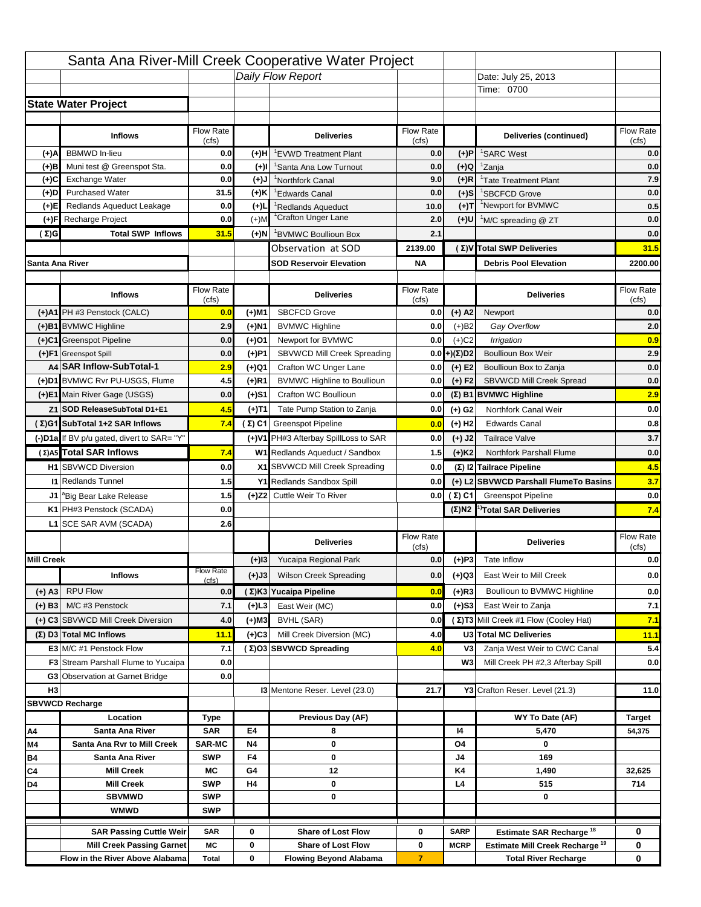|                   |                                                                     |                    |           | Santa Ana River-Mill Creek Cooperative Water Project       |                     |                      |                                                                           |                          |
|-------------------|---------------------------------------------------------------------|--------------------|-----------|------------------------------------------------------------|---------------------|----------------------|---------------------------------------------------------------------------|--------------------------|
|                   |                                                                     |                    |           | Daily Flow Report                                          |                     |                      | Date: July 25, 2013                                                       |                          |
|                   |                                                                     |                    |           |                                                            |                     |                      | Time: 0700                                                                |                          |
|                   | <b>State Water Project</b>                                          |                    |           |                                                            |                     |                      |                                                                           |                          |
|                   |                                                                     |                    |           |                                                            |                     |                      |                                                                           |                          |
|                   | <b>Inflows</b>                                                      | Flow Rate          |           | <b>Deliveries</b>                                          | <b>Flow Rate</b>    |                      | Deliveries (continued)                                                    | Flow Rate                |
| (+)A              | <b>BBMWD</b> In-lieu                                                | (cfs)<br>0.0       | (+)H      | 'EVWD Treatment Plant                                      | (cfs)<br>0.0        | (+)P                 | <sup>1</sup> SARC West                                                    | (cfs)<br>0.0             |
| (+)B              | Muni test @ Greenspot Sta.                                          | 0.0                | $(+)$ l   | 'Santa Ana Low Turnout                                     | 0.0                 | $(+)Q$               | <sup>1</sup> Zanja                                                        | 0.0                      |
| (+)C              | Exchange Water                                                      | 0.0                | $(L(+)$   | <sup>1</sup> Northfork Canal                               | 9.0                 | $(+)R$               | <sup>1</sup> Tate Treatment Plant                                         | 7.9                      |
| (+)D              | <b>Purchased Water</b>                                              | 31.5               | (+)K      | <sup>1</sup> Edwards Canal                                 | 0.0                 | $(+)$ S              | <sup>1</sup> SBCFCD Grove                                                 | 0.0                      |
| (+)E              | Redlands Aqueduct Leakage                                           | 0.0                | $(+)1$    | <sup>1</sup> Redlands Aqueduct                             | 10.0                | $(+)$ T              | <sup>1</sup> Newport for BVMWC                                            | 0.5                      |
| (+)F              | Recharge Project                                                    | 0.0                | $(+)$ M   | <sup>1</sup> Crafton Unger Lane                            | 2.0                 | $(+)$ U              | <sup>1</sup> M/C spreading @ ZT                                           | 0.0                      |
| (Σ)G              | <b>Total SWP Inflows</b>                                            | 31.5               | $(+)$ N   | <sup>1</sup> BVMWC Boullioun Box                           | 2.1                 |                      |                                                                           | 0.0                      |
|                   |                                                                     |                    |           | Observation at SOD                                         | 2139.00             |                      | (Σ) V Total SWP Deliveries                                                | 31.5                     |
| Santa Ana River   |                                                                     |                    |           | <b>SOD Reservoir Elevation</b>                             | <b>NA</b>           |                      | <b>Debris Pool Elevation</b>                                              | 2200.00                  |
|                   |                                                                     |                    |           |                                                            |                     |                      |                                                                           |                          |
|                   | <b>Inflows</b>                                                      | Flow Rate          |           | <b>Deliveries</b>                                          | Flow Rate           |                      | <b>Deliveries</b>                                                         | Flow Rate                |
|                   |                                                                     | (cfs)              |           |                                                            | (cfs)               |                      |                                                                           | (cfs)                    |
|                   | (+)A1 PH #3 Penstock (CALC)                                         | 0.0                | (+)M1     | <b>SBCFCD Grove</b>                                        | 0.0                 | $(+)$ A2             | Newport                                                                   | 0.0                      |
|                   | (+)B1 BVMWC Highline                                                | 2.9                | (+)N1     | <b>BVMWC Highline</b>                                      | 0.0                 | $(+)B2$              | Gay Overflow                                                              | 2.0                      |
|                   | (+)C1 Greenspot Pipeline                                            | 0.0                | (+)01     | Newport for BVMWC                                          | 0.0                 | $(+)$ C <sub>2</sub> | Irrigation                                                                | 0.9                      |
|                   | (+)F1 Greenspot Spill                                               | 0.0                | (+)P1     | SBVWCD Mill Creek Spreading                                | 0.0                 | (+)(Σ)D2             | <b>Boullioun Box Weir</b>                                                 | 2.9                      |
|                   | A4 SAR Inflow-SubTotal-1<br>(+)D1 BVMWC Rvr PU-USGS, Flume          | 2.9                | (+)Q1     | Crafton WC Unger Lane                                      | 0.0                 | $(+) E2$             | Boullioun Box to Zanja                                                    | 0.0                      |
|                   |                                                                     | 4.5                | $(+)$ R1  | <b>BVMWC Highline to Boullioun</b>                         | 0.0                 | $(+) F2$             | SBVWCD Mill Creek Spread                                                  | 0.0                      |
|                   | (+)E1 Main River Gage (USGS)                                        | 0.0                | (+)S1     | Crafton WC Boullioun                                       | 0.0                 |                      | $(\Sigma)$ B1 BVMWC Highline                                              | 2.9                      |
|                   | Z1 SOD ReleaseSubTotal D1+E1                                        | 4.5                | (+)T1     | Tate Pump Station to Zanja                                 | 0.0                 | (+) G2               | Northfork Canal Weir                                                      | 0.0                      |
|                   | (Σ)G1 SubTotal 1+2 SAR Inflows                                      | 7.4                |           | $(\Sigma)$ C1 Greenspot Pipeline                           | 0.0                 | $(+)$ H <sub>2</sub> | <b>Edwards Canal</b>                                                      | 0.8                      |
|                   | (-)D1a If BV p/u gated, divert to SAR= "Y"                          |                    |           | (+)V1 PH#3 Afterbay SpillLoss to SAR                       | 0.0                 | $(+)$ J2             | <b>Tailrace Valve</b>                                                     | 3.7                      |
|                   | (Σ) A5 Total SAR Inflows                                            | 7.4                |           | W1 Redlands Aqueduct / Sandbox                             | 1.5                 | $(+)$ K <sub>2</sub> | <b>Northfork Parshall Flume</b>                                           | 0.0                      |
|                   | <b>H1</b> SBVWCD Diversion                                          | 0.0                |           | X1 SBVWCD Mill Creek Spreading                             | 0.0                 |                      | (Σ) I2 Tailrace Pipeline                                                  | 4.5                      |
|                   | <b>11 Redlands Tunnel</b>                                           | 1.5                |           | Y1 Redlands Sandbox Spill                                  | 0.0                 |                      | (+) L2 SBVWCD Parshall FlumeTo Basins                                     | 3.7                      |
|                   | J1 <sup>a</sup> Big Bear Lake Release                               | 1.5                |           | (+)Z2 Cuttle Weir To River                                 |                     | 0.0 $(Σ) C1$         | <b>Greenspot Pipeline</b>                                                 | 0.0                      |
|                   |                                                                     | 0.0                |           |                                                            |                     |                      | $(\Sigma)$ N2 <sup>1)</sup> Total SAR Deliveries                          | 7.4                      |
|                   | K1 PH#3 Penstock (SCADA)                                            |                    |           |                                                            |                     |                      |                                                                           |                          |
|                   | L1 SCE SAR AVM (SCADA)                                              | 2.6                |           |                                                            |                     |                      |                                                                           |                          |
|                   |                                                                     |                    |           | <b>Deliveries</b>                                          | <b>Flow Rate</b>    |                      | <b>Deliveries</b>                                                         | Flow Rate                |
|                   |                                                                     |                    |           |                                                            | (cfs)               |                      |                                                                           | (cfs)                    |
| <b>Mill Creek</b> |                                                                     | <b>Flow Rate</b>   | $(+)$ 13  | Yucaipa Regional Park                                      | 0.0                 | $(+)P3$              | Tate Inflow                                                               |                          |
|                   | <b>Inflows</b>                                                      | (cfs)              | (+)J3     | <b>Wilson Creek Spreading</b>                              | 0.0                 | (+)Q3                | East Weir to Mill Creek                                                   |                          |
| (+) A3            | <b>RPU Flow</b>                                                     | 0.0                |           | (Σ)K3 Yucaipa Pipeline                                     | 0.0                 | $(+)$ R3             | Boullioun to BVMWC Highline                                               |                          |
| $(+)$ B3          | M/C #3 Penstock                                                     | 7.1                | (+)L3     | East Weir (MC)                                             | 0.0                 | $(+)$ S3             | East Weir to Zanja                                                        | 0.0<br>0.0<br>0.0<br>7.1 |
|                   | (+) C3 SBVWCD Mill Creek Diversion                                  | 4.0                | (+)M3     | BVHL (SAR)                                                 | 0.0                 |                      | (Σ) T3 Mill Creek #1 Flow (Cooley Hat)                                    | 7.1                      |
|                   | (Σ) D3 Total MC Inflows                                             | 11.1               | $(+)C3$   | Mill Creek Diversion (MC)                                  | 4.0                 |                      | U3 Total MC Deliveries                                                    | 11.1                     |
|                   | E3 M/C #1 Penstock Flow                                             | 7.1                |           | (Σ)O3 SBVWCD Spreading                                     | 4.0                 | V3                   | Zanja West Weir to CWC Canal                                              | 5.4                      |
|                   | <b>F3</b> Stream Parshall Flume to Yucaipa                          | 0.0                |           |                                                            |                     | W <sub>3</sub>       | Mill Creek PH #2,3 Afterbay Spill                                         |                          |
|                   | G3 Observation at Garnet Bridge                                     | 0.0                |           |                                                            |                     |                      |                                                                           | 0.0                      |
| H <sub>3</sub>    |                                                                     |                    |           | 13 Mentone Reser. Level (23.0)                             | 21.7                |                      | Y3 Crafton Reser. Level (21.3)                                            | 11.0                     |
|                   | <b>SBVWCD Recharge</b>                                              |                    |           |                                                            |                     |                      |                                                                           |                          |
|                   | Location                                                            | Type               |           | Previous Day (AF)                                          |                     |                      | WY To Date (AF)                                                           | <b>Target</b>            |
| Α4                | Santa Ana River                                                     | <b>SAR</b>         | E4        | 8                                                          |                     | 14                   | 5,470                                                                     | 54,375                   |
| M4                | Santa Ana Rvr to Mill Creek                                         | <b>SAR-MC</b>      | <b>N4</b> | 0                                                          |                     | O4                   | 0                                                                         |                          |
| Β4                | Santa Ana River                                                     | <b>SWP</b>         | F4        | 0                                                          |                     | J4                   | 169                                                                       |                          |
| C4                | <b>Mill Creek</b>                                                   | МC                 | G4        | 12                                                         |                     | K4                   | 1,490                                                                     | 32,625                   |
| D4                | <b>Mill Creek</b>                                                   | <b>SWP</b>         | H4        | 0                                                          |                     | L4                   | 515                                                                       | 714                      |
|                   | <b>SBVMWD</b>                                                       | <b>SWP</b>         |           | 0                                                          |                     |                      | 0                                                                         |                          |
|                   | <b>WMWD</b>                                                         | <b>SWP</b>         |           |                                                            |                     |                      |                                                                           |                          |
|                   | <b>SAR Passing Cuttle Weir</b>                                      | <b>SAR</b>         | 0         | <b>Share of Lost Flow</b>                                  | 0                   | <b>SARP</b>          | Estimate SAR Recharge <sup>18</sup>                                       | 0                        |
|                   | <b>Mill Creek Passing Garnet</b><br>Flow in the River Above Alabama | МC<br><b>Total</b> | 0<br>0    | <b>Share of Lost Flow</b><br><b>Flowing Beyond Alabama</b> | 0<br>$\overline{7}$ | <b>MCRP</b>          | Estimate Mill Creek Recharge <sup>19</sup><br><b>Total River Recharge</b> | 0<br>0                   |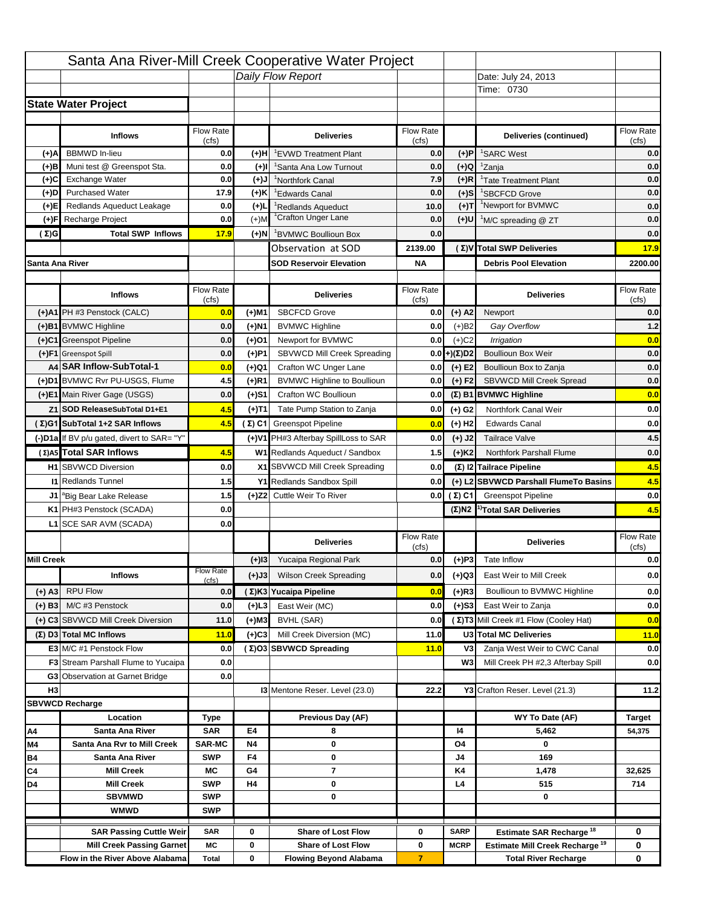|                   |                                                                     |                    |           | Santa Ana River-Mill Creek Cooperative Water Project       |                           |                       |                                                                           |                    |
|-------------------|---------------------------------------------------------------------|--------------------|-----------|------------------------------------------------------------|---------------------------|-----------------------|---------------------------------------------------------------------------|--------------------|
|                   |                                                                     |                    |           | Daily Flow Report                                          |                           |                       | Date: July 24, 2013                                                       |                    |
|                   |                                                                     |                    |           |                                                            |                           |                       | Time: 0730                                                                |                    |
|                   | <b>State Water Project</b>                                          |                    |           |                                                            |                           |                       |                                                                           |                    |
|                   |                                                                     |                    |           |                                                            |                           |                       |                                                                           |                    |
|                   | <b>Inflows</b>                                                      | Flow Rate          |           | <b>Deliveries</b>                                          | Flow Rate                 |                       | Deliveries (continued)                                                    | Flow Rate          |
| (+)A              | <b>BBMWD</b> In-lieu                                                | (cfs)<br>0.0       | (+)H      | <sup>1</sup> EVWD Treatment Plant                          | (cfs)<br>0.0              | $(+)P$                | <sup>1</sup> SARC West                                                    | (cfs)<br>0.0       |
| $(+)$ B           | Muni test @ Greenspot Sta.                                          | 0.0                | (+)I      | 'Santa Ana Low Turnout                                     | 0.0                       | $(+)Q$                | <sup>1</sup> Zanja                                                        | 0.0                |
| (+)C              | Exchange Water                                                      | 0.0                | (+)J      | <sup>1</sup> Northfork Canal                               | 7.9                       | $(+)R$                | <sup>1</sup> Tate Treatment Plant                                         | 0.0                |
| (+)D              | <b>Purchased Water</b>                                              | 17.9               | (+)K      | <sup>1</sup> Edwards Canal                                 | 0.0                       | $(+)$ S               | <sup>1</sup> SBCFCD Grove                                                 | 0.0                |
| (+)E              | Redlands Aqueduct Leakage                                           | 0.0                | $(+)1$    | Redlands Aqueduct                                          | 10.0                      | (+)T                  | <sup>1</sup> Newport for BVMWC                                            | 0.0                |
| (+)F              | Recharge Project                                                    | 0.0                | $(+)$ M   | <sup>1</sup> Crafton Unger Lane                            | 0.0                       | (+)U                  | <sup>1</sup> M/C spreading @ ZT                                           | 0.0                |
| $(\Sigma)$ G      | <b>Total SWP Inflows</b>                                            | 17.9               | (+)N      | <sup>1</sup> BVMWC Boullioun Box                           | 0.0                       |                       |                                                                           | 0.0                |
|                   |                                                                     |                    |           | Observation at SOD                                         | 2139.00                   |                       | (Σ) V Total SWP Deliveries                                                | 17.9               |
| Santa Ana River   |                                                                     |                    |           | <b>SOD Reservoir Elevation</b>                             | ΝA                        |                       | <b>Debris Pool Elevation</b>                                              | 2200.00            |
|                   |                                                                     |                    |           |                                                            |                           |                       |                                                                           |                    |
|                   | <b>Inflows</b>                                                      | Flow Rate<br>(cfs) |           | <b>Deliveries</b>                                          | <b>Flow Rate</b><br>(cfs) |                       | <b>Deliveries</b>                                                         | Flow Rate<br>(cfs) |
|                   | (+)A1 PH #3 Penstock (CALC)                                         | 0.0                | (+)M1     | <b>SBCFCD Grove</b>                                        | 0.0                       | $(+)$ A2              | Newport                                                                   | 0.0                |
|                   | (+)B1 BVMWC Highline                                                | 0.0                | (+)N1     | <b>BVMWC Highline</b>                                      | 0.0                       | $(+)B2$               | Gay Overflow                                                              | 1.2                |
|                   | (+)C1 Greenspot Pipeline                                            | 0.0                | $(+)$ 01  | Newport for BVMWC                                          | 0.0                       | $(+)$ C <sub>2</sub>  | Irrigation                                                                | 0.0                |
|                   | (+)F1 Greenspot Spill                                               | 0.0                | (+)P1     | SBVWCD Mill Creek Spreading                                | 0.0                       | $(+)(\Sigma)D2$       | <b>Boullioun Box Weir</b>                                                 | 0.0                |
|                   | A4 SAR Inflow-SubTotal-1                                            | 0.0                | (+)Q1     | Crafton WC Unger Lane                                      | 0.0                       | $(+)$ E2              | Boullioun Box to Zanja                                                    | 0.0                |
|                   | (+)D1 BVMWC Rvr PU-USGS, Flume                                      | 4.5                | (+)R1     | <b>BVMWC Highline to Boullioun</b>                         | 0.0                       | $(+) F2$              | SBVWCD Mill Creek Spread                                                  | 0.0                |
|                   | (+)E1 Main River Gage (USGS)                                        | 0.0                | (+)S1     | Crafton WC Boullioun                                       | 0.0                       |                       | (Σ) B1 BVMWC Highline                                                     | 0.0                |
|                   | Z1 SOD ReleaseSubTotal D1+E1                                        | 4.5                |           | Tate Pump Station to Zanja                                 | 0.0                       | $(+)$ G <sub>2</sub>  | Northfork Canal Weir                                                      | 0.0                |
|                   |                                                                     |                    | (+)T1     |                                                            |                           |                       |                                                                           |                    |
|                   | (Σ)G1 SubTotal 1+2 SAR Inflows                                      | 4.5                |           | (Σ) C1 Greenspot Pipeline                                  | 0.0                       | $(+)$ H <sub>2</sub>  | <b>Edwards Canal</b>                                                      | 0.0                |
|                   | (-)D1a If BV p/u gated, divert to SAR= "Y"                          |                    |           | (+)V1 PH#3 Afterbay SpillLoss to SAR                       | 0.0                       | $(+)$ J2              | <b>Tailrace Valve</b>                                                     | 4.5                |
|                   | (Σ)A5 Total SAR Inflows                                             | 4.5                |           | W1 Redlands Aqueduct / Sandbox                             | 1.5                       | $(+)$ K <sub>2</sub>  | Northfork Parshall Flume                                                  | 0.0                |
|                   | <b>H1</b> SBVWCD Diversion                                          | 0.0                |           | X1 SBVWCD Mill Creek Spreading                             | 0.0                       |                       | (Σ) I2 Tailrace Pipeline                                                  | 4.5                |
|                   | <b>I1 Redlands Tunnel</b>                                           | 1.5                |           | Y1 Redlands Sandbox Spill                                  | 0.0                       |                       | (+) L2 SBVWCD Parshall FlumeTo Basins                                     | 4.5                |
|                   | J1 <sup>a</sup> Big Bear Lake Release                               | 1.5                |           | (+)Z2 Cuttle Weir To River                                 |                           | $0.0$ ( $\Sigma$ ) C1 | <b>Greenspot Pipeline</b>                                                 | 0.0                |
|                   | K1 PH#3 Penstock (SCADA)                                            | 0.0                |           |                                                            |                           | $(\Sigma)$ N2         | <sup>1)</sup> Total SAR Deliveries                                        | 4.5                |
|                   | L1 SCE SAR AVM (SCADA)                                              | 0.0                |           |                                                            |                           |                       |                                                                           |                    |
|                   |                                                                     |                    |           | <b>Deliveries</b>                                          | Flow Rate<br>(cfs)        |                       | <b>Deliveries</b>                                                         | Flow Rate<br>(cfs) |
| <b>Mill Creek</b> |                                                                     |                    | $(+)$ 13  | Yucaipa Regional Park                                      | 0.0                       | $(+)P3$               | Tate Inflow                                                               | 0.0                |
|                   | <b>Inflows</b>                                                      | <b>Flow Rate</b>   | $(+)$ J3  | <b>Wilson Creek Spreading</b>                              | 0.0                       | (+)Q3                 | East Weir to Mill Creek                                                   | 0.0                |
| $(+)$ A3          | <b>RPU Flow</b>                                                     | (cfs)<br>0.0       |           |                                                            |                           |                       |                                                                           |                    |
|                   | M/C #3 Penstock                                                     |                    |           |                                                            |                           |                       |                                                                           |                    |
| $(+)$ B3          |                                                                     |                    |           | (Σ) K3 Yucaipa Pipeline                                    | 0.0                       | $(+)$ R3              | Boullioun to BVMWC Highline                                               |                    |
|                   |                                                                     | 0.0                | (+)L3     | East Weir (MC)                                             | 0.0                       | $(+)$ S3              | East Weir to Zanja                                                        | 0.0<br>0.0         |
|                   | (+) C3 SBVWCD Mill Creek Diversion                                  | 11.0               | $(+)$ M3  | <b>BVHL (SAR)</b>                                          | 0.0                       |                       | (Σ) T3 Mill Creek #1 Flow (Cooley Hat)                                    | 0.0                |
|                   | $(\Sigma)$ D3 Total MC Inflows                                      | 11.0               | (+)C3     | Mill Creek Diversion (MC)                                  | 11.0                      |                       | U3 Total MC Deliveries                                                    | 11.0               |
|                   | E3 M/C #1 Penstock Flow                                             | 0.0                |           | (Σ)O3 SBVWCD Spreading                                     | 11.0                      | V3                    | Zanja West Weir to CWC Canal                                              |                    |
|                   | <b>F3</b> Stream Parshall Flume to Yucaipa                          | 0.0                |           |                                                            |                           | W3                    | Mill Creek PH #2,3 Afterbay Spill                                         | 0.0<br>0.0         |
|                   | <b>G3</b> Observation at Garnet Bridge                              | 0.0                |           |                                                            |                           |                       |                                                                           |                    |
| H <sub>3</sub>    |                                                                     |                    |           | <b>13 Mentone Reser. Level (23.0)</b>                      | 22.2                      |                       | Y3 Crafton Reser. Level (21.3)                                            | 11.2               |
|                   | <b>SBVWCD Recharge</b>                                              |                    |           |                                                            |                           |                       |                                                                           |                    |
|                   | Location                                                            | Type               |           | Previous Day (AF)                                          |                           |                       | WY To Date (AF)                                                           | <b>Target</b>      |
| Α4                | Santa Ana River                                                     | <b>SAR</b>         | E4        | 8                                                          |                           | 14                    | 5,462                                                                     | 54,375             |
| M4                | Santa Ana Rvr to Mill Creek                                         | <b>SAR-MC</b>      | <b>N4</b> | 0                                                          |                           | O4                    | 0                                                                         |                    |
| Β4                | Santa Ana River                                                     | <b>SWP</b>         | F4        | 0                                                          |                           | J4                    | 169                                                                       |                    |
| C4                | <b>Mill Creek</b><br><b>Mill Creek</b>                              | МC<br><b>SWP</b>   | G4<br>H4  | 7<br>0                                                     |                           | K4<br>L4              | 1,478<br>515                                                              | 32,625<br>714      |
| D4                |                                                                     | <b>SWP</b>         |           | 0                                                          |                           |                       | 0                                                                         |                    |
|                   | <b>SBVMWD</b><br><b>WMWD</b>                                        | <b>SWP</b>         |           |                                                            |                           |                       |                                                                           |                    |
|                   |                                                                     |                    |           |                                                            |                           |                       |                                                                           |                    |
|                   | <b>SAR Passing Cuttle Weir</b>                                      | <b>SAR</b>         | 0         | <b>Share of Lost Flow</b>                                  | 0                         | <b>SARP</b>           | Estimate SAR Recharge <sup>18</sup>                                       | 0                  |
|                   | <b>Mill Creek Passing Garnet</b><br>Flow in the River Above Alabama | МC<br><b>Total</b> | 0<br>0    | <b>Share of Lost Flow</b><br><b>Flowing Beyond Alabama</b> | 0<br>$\overline{7}$       | <b>MCRP</b>           | Estimate Mill Creek Recharge <sup>19</sup><br><b>Total River Recharge</b> | 0<br>0             |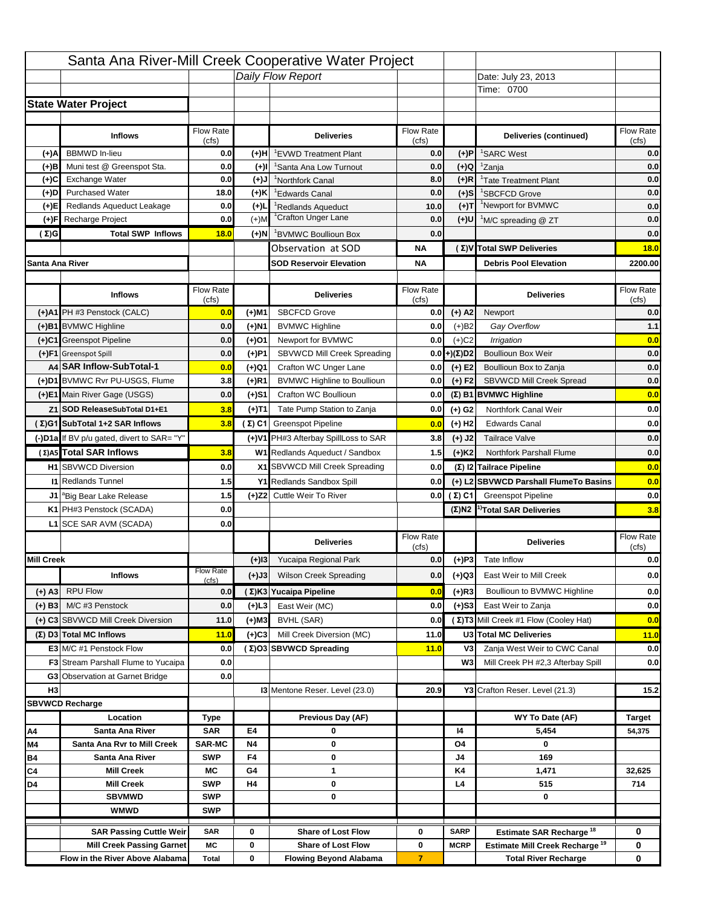|                   |                                                    |                    |           | Santa Ana River-Mill Creek Cooperative Water Project |                           |                      |                                                  |                    |
|-------------------|----------------------------------------------------|--------------------|-----------|------------------------------------------------------|---------------------------|----------------------|--------------------------------------------------|--------------------|
|                   |                                                    |                    |           | Daily Flow Report                                    |                           |                      | Date: July 23, 2013                              |                    |
|                   |                                                    |                    |           |                                                      |                           |                      | Time: 0700                                       |                    |
|                   | <b>State Water Project</b>                         |                    |           |                                                      |                           |                      |                                                  |                    |
|                   |                                                    |                    |           |                                                      |                           |                      |                                                  |                    |
|                   | <b>Inflows</b>                                     | Flow Rate          |           | <b>Deliveries</b>                                    | <b>Flow Rate</b>          |                      | Deliveries (continued)                           | Flow Rate          |
| (+)A              | <b>BBMWD</b> In-lieu                               | (cfs)<br>0.0       | (+)H      | 'EVWD Treatment Plant                                | (cfs)<br>0.0              | (+)P                 | <sup>1</sup> SARC West                           | (cfs)<br>0.0       |
| (+)B              | Muni test @ Greenspot Sta.                         | 0.0                | $(+)$ l   | 'Santa Ana Low Turnout                               | 0.0                       | $(+)Q$               | <sup>1</sup> Zanja                               | 0.0                |
| (+)C              | Exchange Water                                     | 0.0                | $(L(+)$   | <sup>1</sup> Northfork Canal                         | 8.0                       | $(+)R$               | <sup>1</sup> Tate Treatment Plant                | 0.0                |
| (+)D              | <b>Purchased Water</b>                             | 18.0               | (+)K      | <sup>1</sup> Edwards Canal                           | 0.0                       | $(+)$ S              | <sup>1</sup> SBCFCD Grove                        | 0.0                |
| (+)E              | Redlands Aqueduct Leakage                          | 0.0                | $(+)1$    | <sup>1</sup> Redlands Aqueduct                       | 10.0                      | $(+)T$               | <sup>1</sup> Newport for BVMWC                   | 0.0                |
| (+)F              | Recharge Project                                   | 0.0                | $(+)$ M   | <sup>1</sup> Crafton Unger Lane                      | 0.0                       | $(+)$ U              | <sup>1</sup> M/C spreading @ ZT                  | 0.0                |
| (Σ)G              | <b>Total SWP Inflows</b>                           | 18.0               | $(+)$ N   | <sup>1</sup> BVMWC Boullioun Box                     | 0.0                       |                      |                                                  | 0.0                |
|                   |                                                    |                    |           | Observation at SOD                                   | ΝA                        |                      | (Σ) V Total SWP Deliveries                       | 18.0               |
| Santa Ana River   |                                                    |                    |           | <b>SOD Reservoir Elevation</b>                       | ΝA                        |                      | <b>Debris Pool Elevation</b>                     | 2200.00            |
|                   |                                                    |                    |           |                                                      |                           |                      |                                                  |                    |
|                   | <b>Inflows</b>                                     | Flow Rate          |           | <b>Deliveries</b>                                    | Flow Rate                 |                      | <b>Deliveries</b>                                | Flow Rate<br>(cfs) |
|                   | (+)A1 PH #3 Penstock (CALC)                        | (cfs)<br>0.0       | (+)M1     | <b>SBCFCD Grove</b>                                  | (cfs)<br>0.0              | $(+)$ A2             | Newport                                          | 0.0                |
|                   | (+)B1 BVMWC Highline                               | 0.0                | (+)N1     | <b>BVMWC Highline</b>                                | 0.0                       | $(+)B2$              | Gay Overflow                                     | 1.1                |
|                   | (+)C1 Greenspot Pipeline                           | 0.0                | (+)01     | Newport for BVMWC                                    | 0.0                       | $(+)$ C <sub>2</sub> | Irrigation                                       | 0.0                |
|                   | (+)F1 Greenspot Spill                              | 0.0                | (+)P1     | SBVWCD Mill Creek Spreading                          | 0.0                       | (+)(Σ)D2             | <b>Boullioun Box Weir</b>                        | 0.0                |
|                   | A4 SAR Inflow-SubTotal-1                           | 0.0                | (+)Q1     | Crafton WC Unger Lane                                | 0.0                       | $(+) E2$             | Boullioun Box to Zanja                           | 0.0                |
|                   | (+)D1 BVMWC Rvr PU-USGS, Flume                     | 3.8                | $(+)$ R1  | <b>BVMWC Highline to Boullioun</b>                   | 0.0                       | $(+) F2$             | SBVWCD Mill Creek Spread                         | 0.0                |
|                   | (+)E1 Main River Gage (USGS)                       | 0.0                | (+)S1     | Crafton WC Boullioun                                 | 0.0                       |                      | $(\Sigma)$ B1 BVMWC Highline                     | 0.0                |
|                   | Z1 SOD ReleaseSubTotal D1+E1                       | 3.8                |           | Tate Pump Station to Zanja                           | 0.0                       |                      | Northfork Canal Weir                             | 0.0                |
|                   | (Σ)G1 SubTotal 1+2 SAR Inflows                     | 3.8                | (+)T1     | (Σ) C1 Greenspot Pipeline                            |                           | (+) G2               | <b>Edwards Canal</b>                             | 0.0                |
|                   |                                                    |                    |           |                                                      | 0.0                       | $(+)$ H <sub>2</sub> |                                                  |                    |
|                   | (-)D1a If BV p/u gated, divert to SAR= "Y"         |                    |           | (+)V1 PH#3 Afterbay SpillLoss to SAR                 | 3.8                       | $(+)$ J2             | <b>Tailrace Valve</b>                            | 0.0                |
|                   | (Σ) A5 Total SAR Inflows                           | 3.8                |           | W1 Redlands Aqueduct / Sandbox                       | 1.5                       | $(+)$ K <sub>2</sub> | <b>Northfork Parshall Flume</b>                  | 0.0                |
|                   | <b>H1</b> SBVWCD Diversion                         | 0.0                |           | X1 SBVWCD Mill Creek Spreading                       | 0.0                       |                      | (Σ) I2 Tailrace Pipeline                         | 0.0                |
|                   | <b>11 Redlands Tunnel</b>                          | 1.5                |           | Y1 Redlands Sandbox Spill                            | 0.0                       |                      | (+) L2 SBVWCD Parshall FlumeTo Basins            | 0.0                |
|                   | J1 <sup>a</sup> Big Bear Lake Release              | 1.5                |           | (+)Z2 Cuttle Weir To River                           |                           | 0.0 $(Σ) C1$         | <b>Greenspot Pipeline</b>                        | 0.0                |
|                   | K1 PH#3 Penstock (SCADA)                           | 0.0                |           |                                                      |                           |                      | $(\Sigma)$ N2 <sup>1)</sup> Total SAR Deliveries | 3.8                |
|                   | L1 SCE SAR AVM (SCADA)                             | 0.0                |           |                                                      |                           |                      |                                                  |                    |
|                   |                                                    |                    |           | <b>Deliveries</b>                                    | <b>Flow Rate</b><br>(cfs) |                      | <b>Deliveries</b>                                | Flow Rate<br>(cfs) |
| <b>Mill Creek</b> |                                                    |                    | $(+)$ 13  | Yucaipa Regional Park                                | 0.0                       | $(+)P3$              | Tate Inflow                                      | 0.0                |
|                   | <b>Inflows</b>                                     | <b>Flow Rate</b>   | (+)J3     | <b>Wilson Creek Spreading</b>                        | 0.0                       | (+)Q3                | East Weir to Mill Creek                          | 0.0                |
| $(+)$ A3          | <b>RPU Flow</b>                                    | (cfs)<br>0.0       |           | (Σ)K3 Yucaipa Pipeline                               | 0.0                       | $(+)$ R3             | Boullioun to BVMWC Highline                      | 0.0                |
|                   | M/C #3 Penstock                                    | 0.0                | $(+)$ L3  | East Weir (MC)                                       | 0.0                       | $(+)$ S3             | East Weir to Zanja                               | 0.0                |
| $(+)$ B3          |                                                    |                    |           |                                                      |                           |                      | (Σ) T3 Mill Creek #1 Flow (Cooley Hat)           |                    |
|                   | (+) C3 SBVWCD Mill Creek Diversion                 | 11.0               | (+)M3     | BVHL (SAR)                                           | 0.0                       |                      |                                                  | 0.0                |
|                   | (Σ) D3 Total MC Inflows<br>E3 M/C #1 Penstock Flow | 11.0               | $(+)C3$   | Mill Creek Diversion (MC)                            | 11.0                      |                      | U3 Total MC Deliveries                           | 11.0               |
|                   |                                                    | 0.0                |           | (Σ)O3 SBVWCD Spreading                               | 11.0                      | V3<br>W <sub>3</sub> | Zanja West Weir to CWC Canal                     | 0.0                |
|                   | <b>F3</b> Stream Parshall Flume to Yucaipa         | 0.0<br>0.0         |           |                                                      |                           |                      | Mill Creek PH #2,3 Afterbay Spill                | 0.0                |
| H <sub>3</sub>    | G3 Observation at Garnet Bridge                    |                    |           | 13 Mentone Reser. Level (23.0)                       | 20.9                      |                      | Y3 Crafton Reser. Level (21.3)                   | 15.2               |
|                   | <b>SBVWCD Recharge</b>                             |                    |           |                                                      |                           |                      |                                                  |                    |
|                   | Location                                           |                    |           | Previous Day (AF)                                    |                           |                      | WY To Date (AF)                                  | <b>Target</b>      |
| Α4                | Santa Ana River                                    | Type<br><b>SAR</b> | E4        | 0                                                    |                           | 14                   | 5,454                                            | 54,375             |
| M4                | Santa Ana Rvr to Mill Creek                        | <b>SAR-MC</b>      | <b>N4</b> | 0                                                    |                           | O4                   | 0                                                |                    |
| Β4                | Santa Ana River                                    | <b>SWP</b>         | F4        | 0                                                    |                           | J4                   | 169                                              |                    |
| C4                | <b>Mill Creek</b>                                  | МC                 | G4        | 1                                                    |                           | K4                   | 1,471                                            | 32,625             |
| D4                | <b>Mill Creek</b>                                  | <b>SWP</b>         | H4        | 0                                                    |                           | L4                   | 515                                              | 714                |
|                   | <b>SBVMWD</b>                                      | <b>SWP</b>         |           | 0                                                    |                           |                      | 0                                                |                    |
|                   | <b>WMWD</b>                                        | <b>SWP</b>         |           |                                                      |                           |                      |                                                  |                    |
|                   | <b>SAR Passing Cuttle Weir</b>                     | <b>SAR</b>         | 0         | <b>Share of Lost Flow</b>                            | 0                         | <b>SARP</b>          | Estimate SAR Recharge <sup>18</sup>              | 0                  |
|                   | <b>Mill Creek Passing Garnet</b>                   | МC                 | 0         | <b>Share of Lost Flow</b>                            | 0                         | <b>MCRP</b>          | Estimate Mill Creek Recharge <sup>19</sup>       | 0                  |
|                   | Flow in the River Above Alabama                    | <b>Total</b>       | 0         | <b>Flowing Beyond Alabama</b>                        | $\overline{7}$            |                      | <b>Total River Recharge</b>                      | 0                  |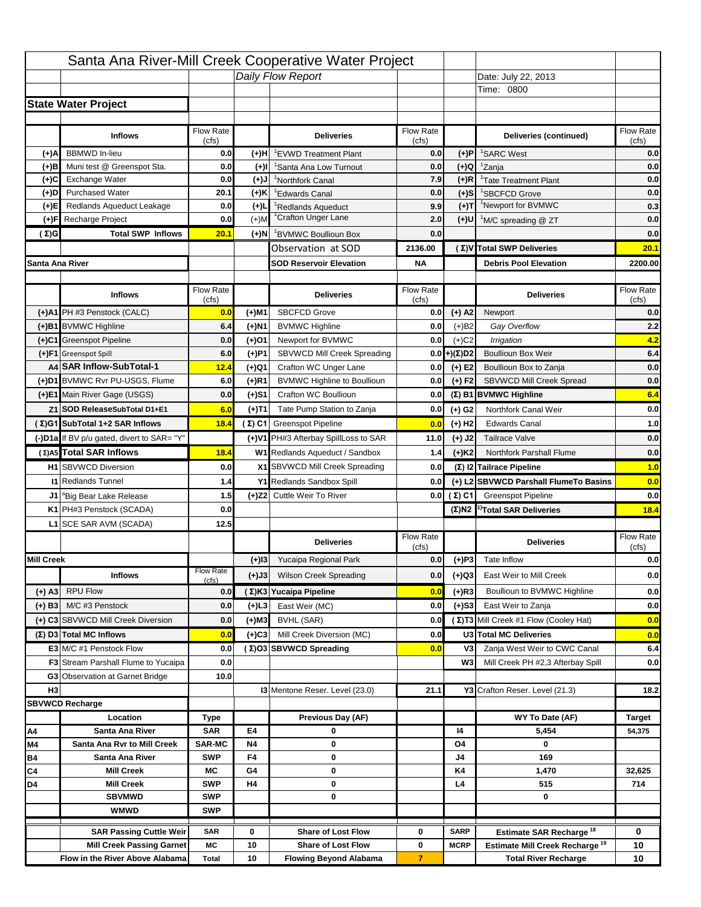|                   |                                                                    |                    |           | Santa Ana River-Mill Creek Cooperative Water Project   |                           |                            |                                                                                   |                          |
|-------------------|--------------------------------------------------------------------|--------------------|-----------|--------------------------------------------------------|---------------------------|----------------------------|-----------------------------------------------------------------------------------|--------------------------|
|                   |                                                                    |                    |           | Daily Flow Report                                      |                           |                            | Date: July 22, 2013                                                               |                          |
|                   |                                                                    |                    |           |                                                        |                           |                            | Time: 0800                                                                        |                          |
|                   | <b>State Water Project</b>                                         |                    |           |                                                        |                           |                            |                                                                                   |                          |
|                   |                                                                    |                    |           |                                                        |                           |                            |                                                                                   |                          |
|                   | <b>Inflows</b>                                                     | Flow Rate<br>(cfs) |           | <b>Deliveries</b>                                      | <b>Flow Rate</b><br>(cfs) |                            | Deliveries (continued)                                                            | Flow Rate<br>(cfs)       |
| (+)A              | <b>BBMWD</b> In-lieu                                               | 0.0                | (+)H      | 'EVWD Treatment Plant                                  | 0.0                       | (+)P                       | <sup>1</sup> SARC West                                                            | 0.0                      |
| (+)B              | Muni test @ Greenspot Sta.                                         | 0.0                | $(+)$ l   | 'Santa Ana Low Turnout                                 | 0.0                       | $(+)Q$                     | <sup>1</sup> Zanja                                                                | 0.0                      |
| (+)C              | Exchange Water                                                     | 0.0                | $(L(+)$   | <sup>1</sup> Northfork Canal                           | 7.9                       | $(+)R$                     | <sup>1</sup> Tate Treatment Plant                                                 | 0.0                      |
| (+)D              | <b>Purchased Water</b>                                             | 20.1               | (+)K      | <sup>1</sup> Edwards Canal                             | 0.0                       | $(+)$ S                    | <sup>1</sup> SBCFCD Grove                                                         | 0.0                      |
| (+)E              | Redlands Aqueduct Leakage                                          | 0.0                | $(+)1$    | <sup>1</sup> Redlands Aqueduct                         | 9.9                       | $(+)T$                     | <sup>1</sup> Newport for BVMWC                                                    | 0.3                      |
| (+)F              | Recharge Project                                                   | 0.0                | $(+)$ M   | <sup>1</sup> Crafton Unger Lane                        | 2.0                       | $(+)$ U                    | <sup>1</sup> M/C spreading @ ZT                                                   | 0.0                      |
| (Σ)G              | <b>Total SWP Inflows</b>                                           | 20.1               | $(+)$ N   | <sup>1</sup> BVMWC Boullioun Box                       | 0.0                       |                            |                                                                                   | 0.0                      |
|                   |                                                                    |                    |           | Observation at SOD                                     | 2136.00                   |                            | (Σ) V Total SWP Deliveries                                                        | 20.1                     |
| Santa Ana River   |                                                                    |                    |           | <b>SOD Reservoir Elevation</b>                         | <b>NA</b>                 |                            | <b>Debris Pool Elevation</b>                                                      | 2200.00                  |
|                   |                                                                    |                    |           |                                                        |                           |                            |                                                                                   |                          |
|                   | <b>Inflows</b>                                                     | Flow Rate          |           | <b>Deliveries</b>                                      | Flow Rate                 |                            | <b>Deliveries</b>                                                                 | Flow Rate<br>(cfs)       |
|                   | (+)A1 PH #3 Penstock (CALC)                                        | (cfs)<br>0.0       | (+)M1     | <b>SBCFCD Grove</b>                                    | (cfs)<br>0.0              | $(+)$ A2                   | Newport                                                                           | 0.0                      |
|                   | (+)B1 BVMWC Highline                                               | 6.4                | (+)N1     | <b>BVMWC Highline</b>                                  | 0.0                       | $(+)B2$                    | Gay Overflow                                                                      | 2.2                      |
|                   | (+)C1 Greenspot Pipeline                                           | 0.0                | (+)01     | Newport for BVMWC                                      | 0.0                       | $(+)$ C <sub>2</sub>       | Irrigation                                                                        | 4.2                      |
|                   | (+)F1 Greenspot Spill                                              | 6.0                | (+)P1     | SBVWCD Mill Creek Spreading                            | 0.0                       | (+)(Σ)D2                   | <b>Boullioun Box Weir</b>                                                         | 6.4                      |
|                   | A4 SAR Inflow-SubTotal-1                                           | 12.4               | (+)Q1     | Crafton WC Unger Lane                                  | 0.0                       | $(+) E2$                   | Boullioun Box to Zanja                                                            | 0.0                      |
|                   | (+)D1 BVMWC Rvr PU-USGS, Flume                                     | 6.0                | $(+)$ R1  | <b>BVMWC Highline to Boullioun</b>                     | 0.0                       | $(+) F2$                   | <b>SBVWCD Mill Creek Spread</b>                                                   | 0.0                      |
|                   | (+)E1 Main River Gage (USGS)                                       | 0.0                | (+)S1     | Crafton WC Boullioun                                   | 0.0                       |                            | $(\Sigma)$ B1 BVMWC Highline                                                      | 6.4                      |
|                   | Z1 SOD ReleaseSubTotal D1+E1                                       | 6.0                |           | Tate Pump Station to Zanja                             | 0.0                       |                            | Northfork Canal Weir                                                              | 0.0                      |
|                   | (Σ)G1 SubTotal 1+2 SAR Inflows                                     |                    | (+)T1     |                                                        |                           | (+) G2                     | <b>Edwards Canal</b>                                                              | 1.0                      |
|                   |                                                                    | 18.4               |           | (Σ) C1 Greenspot Pipeline                              | 0.0                       | $(+)$ H <sub>2</sub>       |                                                                                   |                          |
|                   | (-)D1a If BV p/u gated, divert to SAR= "Y"                         |                    |           | (+)V1 PH#3 Afterbay SpillLoss to SAR                   | 11.0                      | $(+)$ J2                   | <b>Tailrace Valve</b>                                                             | 0.0                      |
|                   | (Σ) A5 Total SAR Inflows                                           | 18.4               |           | W1 Redlands Aqueduct / Sandbox                         | 1.4                       | $(+)$ K <sub>2</sub>       | <b>Northfork Parshall Flume</b>                                                   | 0.0                      |
|                   | <b>H1</b> SBVWCD Diversion                                         | 0.0                |           | X1 SBVWCD Mill Creek Spreading                         | 0.0                       |                            | (Σ) I2 Tailrace Pipeline                                                          | 1.0                      |
|                   | <b>11 Redlands Tunnel</b>                                          | 1.4                |           | Y1 Redlands Sandbox Spill                              | 0.0                       |                            | (+) L2 SBVWCD Parshall FlumeTo Basins                                             | 0.0                      |
|                   | J1 <sup>a</sup> Big Bear Lake Release                              | 1.5                |           | (+)Z2 Cuttle Weir To River                             |                           | 0.0 $(\Sigma)$ C1          | <b>Greenspot Pipeline</b>                                                         | 0.0                      |
|                   | K1 PH#3 Penstock (SCADA)                                           | 0.0                |           |                                                        |                           |                            | $(\Sigma)$ N2 <sup>1)</sup> Total SAR Deliveries                                  | 18.4                     |
|                   | L1 SCE SAR AVM (SCADA)                                             | 12.5               |           |                                                        |                           |                            |                                                                                   |                          |
|                   |                                                                    |                    |           |                                                        |                           |                            |                                                                                   |                          |
|                   |                                                                    |                    |           | <b>Deliveries</b>                                      | <b>Flow Rate</b>          |                            | <b>Deliveries</b>                                                                 | Flow Rate                |
| <b>Mill Creek</b> |                                                                    |                    | $(+)$ 13  | Yucaipa Regional Park                                  | (cfs)<br>0.0              |                            | Tate Inflow                                                                       | (cfs)                    |
|                   |                                                                    | <b>Flow Rate</b>   |           |                                                        |                           | $(+)P3$                    |                                                                                   |                          |
|                   | <b>Inflows</b>                                                     | (cfs)              | (+)J3     | <b>Wilson Creek Spreading</b>                          | 0.0                       | (+)Q3                      | East Weir to Mill Creek                                                           |                          |
| $(+)$ A3          | <b>RPU Flow</b>                                                    | 0.0                |           | (Σ)K3 Yucaipa Pipeline                                 | 0.0                       | $(+)$ R3                   | Boullioun to BVMWC Highline                                                       |                          |
| $(+)$ B3          | M/C #3 Penstock                                                    | 0.0                | $(+)$ L3  | East Weir (MC)                                         | 0.0                       | $(+)$ S3                   | East Weir to Zanja                                                                | 0.0<br>0.0<br>0.0<br>0.0 |
|                   | (+) C3 SBVWCD Mill Creek Diversion                                 | 0.0                | (+)M3     | BVHL (SAR)                                             | 0.0                       |                            | (Σ) T3 Mill Creek #1 Flow (Cooley Hat)                                            | 0.0                      |
|                   | (Σ) D3 Total MC Inflows                                            | 0.0                | $(+)C3$   | Mill Creek Diversion (MC)                              | 0.0                       |                            | U3 Total MC Deliveries                                                            | 0.0                      |
|                   | E3 M/C #1 Penstock Flow                                            | 0.0                |           | (Σ)O3 SBVWCD Spreading                                 | 0.0                       | V3                         | Zanja West Weir to CWC Canal                                                      | 6.4                      |
|                   | <b>F3</b> Stream Parshall Flume to Yucaipa                         | 0.0                |           |                                                        |                           | W <sub>3</sub>             | Mill Creek PH #2,3 Afterbay Spill                                                 | 0.0                      |
|                   | <b>G3</b> Observation at Garnet Bridge                             | 10.0               |           |                                                        |                           |                            |                                                                                   |                          |
| H <sub>3</sub>    |                                                                    |                    |           | 13 Mentone Reser. Level (23.0)                         | 21.1                      |                            | Y3 Crafton Reser. Level (21.3)                                                    | 18.2                     |
|                   | <b>SBVWCD Recharge</b>                                             |                    |           |                                                        |                           |                            |                                                                                   |                          |
|                   | Location                                                           | Type               |           | Previous Day (AF)                                      |                           |                            | WY To Date (AF)                                                                   | <b>Target</b>            |
| Α4                | Santa Ana River                                                    | <b>SAR</b>         | E4        | 0                                                      |                           | 14                         | 5,454                                                                             | 54,375                   |
| M4                | Santa Ana Rvr to Mill Creek                                        | <b>SAR-MC</b>      | <b>N4</b> | 0                                                      |                           | O4                         | 0                                                                                 |                          |
| Β4                | Santa Ana River<br><b>Mill Creek</b>                               | <b>SWP</b><br>МC   | F4<br>G4  | 0<br>0                                                 |                           | J4<br>K4                   | 169<br>1,470                                                                      | 32,625                   |
| C4<br>D4          | <b>Mill Creek</b>                                                  | <b>SWP</b>         | H4        | 0                                                      |                           | L4                         | 515                                                                               | 714                      |
|                   | <b>SBVMWD</b>                                                      | <b>SWP</b>         |           | 0                                                      |                           |                            | 0                                                                                 |                          |
|                   | <b>WMWD</b>                                                        | <b>SWP</b>         |           |                                                        |                           |                            |                                                                                   |                          |
|                   |                                                                    |                    |           |                                                        |                           |                            |                                                                                   |                          |
|                   | <b>SAR Passing Cuttle Weir</b><br><b>Mill Creek Passing Garnet</b> | <b>SAR</b><br>МC   | 0<br>10   | <b>Share of Lost Flow</b><br><b>Share of Lost Flow</b> | 0<br>0                    | <b>SARP</b><br><b>MCRP</b> | Estimate SAR Recharge <sup>18</sup><br>Estimate Mill Creek Recharge <sup>19</sup> | 0<br>10                  |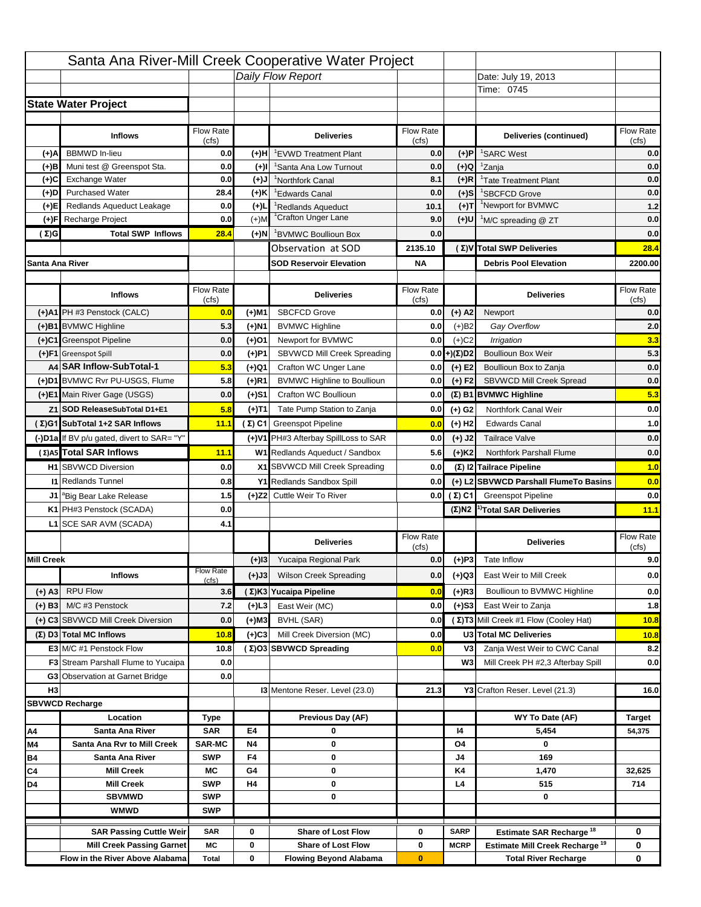|                   |                                                   |                           |           | Santa Ana River-Mill Creek Cooperative Water Project |                  |                      |                                                  |                                                       |
|-------------------|---------------------------------------------------|---------------------------|-----------|------------------------------------------------------|------------------|----------------------|--------------------------------------------------|-------------------------------------------------------|
|                   |                                                   |                           |           | Daily Flow Report                                    |                  |                      | Date: July 19, 2013                              |                                                       |
|                   |                                                   |                           |           |                                                      |                  |                      | Time: 0745                                       |                                                       |
|                   | <b>State Water Project</b>                        |                           |           |                                                      |                  |                      |                                                  |                                                       |
|                   |                                                   |                           |           |                                                      |                  |                      |                                                  |                                                       |
|                   | <b>Inflows</b>                                    | Flow Rate                 |           | <b>Deliveries</b>                                    | <b>Flow Rate</b> |                      | Deliveries (continued)                           | Flow Rate                                             |
| (+)A              | <b>BBMWD</b> In-lieu                              | (cfs)<br>0.0              | (+)H      | 'EVWD Treatment Plant                                | (cfs)<br>0.0     | (+)P                 | <sup>1</sup> SARC West                           | (cfs)<br>0.0                                          |
| (+)B              | Muni test @ Greenspot Sta.                        | 0.0                       | $(+)$ l   | 'Santa Ana Low Turnout                               | 0.0              | $(+)Q$               | <sup>1</sup> Zanja                               | 0.0                                                   |
| (+)C              | Exchange Water                                    | 0.0                       | $(L(+)$   | <sup>1</sup> Northfork Canal                         | 8.1              | $(+)R$               | <sup>1</sup> Tate Treatment Plant                | 0.0                                                   |
| (+)D              | <b>Purchased Water</b>                            | 28.4                      | (+)K      | <sup>1</sup> Edwards Canal                           | 0.0              | $(+)$ S              | <sup>1</sup> SBCFCD Grove                        | 0.0                                                   |
| (+)E              | Redlands Aqueduct Leakage                         | 0.0                       | $(+)1$    | <sup>1</sup> Redlands Aqueduct                       | 10.1             | $(+)T$               | <sup>1</sup> Newport for BVMWC                   | $1.2$                                                 |
| (+)F              | Recharge Project                                  | 0.0                       | $(+)$ M   | <sup>1</sup> Crafton Unger Lane                      | 9.0              | (+)U                 | <sup>1</sup> M/C spreading @ ZT                  | 0.0                                                   |
| (Σ)G              | <b>Total SWP Inflows</b>                          | 28.4                      | $(+)$ N   | <sup>1</sup> BVMWC Boullioun Box                     | 0.0              |                      |                                                  | 0.0                                                   |
|                   |                                                   |                           |           | Observation at SOD                                   | 2135.10          |                      | (Σ)V Total SWP Deliveries                        | 28.4                                                  |
| Santa Ana River   |                                                   |                           |           | <b>SOD Reservoir Elevation</b>                       | <b>NA</b>        |                      | <b>Debris Pool Elevation</b>                     | 2200.00                                               |
|                   |                                                   |                           |           |                                                      |                  |                      |                                                  |                                                       |
|                   | <b>Inflows</b>                                    | Flow Rate                 |           | <b>Deliveries</b>                                    | Flow Rate        |                      | <b>Deliveries</b>                                | Flow Rate                                             |
|                   |                                                   | (cfs)                     |           |                                                      | (cfs)            |                      |                                                  | (cfs)                                                 |
|                   | (+)A1 PH #3 Penstock (CALC)                       | 0.0                       | (+)M1     | <b>SBCFCD Grove</b>                                  | 0.0              | $(+)$ A2             | Newport                                          | 0.0                                                   |
|                   | (+)B1 BVMWC Highline                              | 5.3                       | (+)N1     | <b>BVMWC Highline</b>                                | 0.0              | $(+)B2$              | Gay Overflow                                     | 2.0                                                   |
|                   | (+)C1 Greenspot Pipeline                          | 0.0                       | (+)01     | Newport for BVMWC                                    | 0.0              | $(+)$ C <sub>2</sub> | Irrigation                                       | 3.3                                                   |
|                   | (+)F1 Greenspot Spill<br>A4 SAR Inflow-SubTotal-1 | 0.0                       | (+)P1     | SBVWCD Mill Creek Spreading                          | 0.0              | (+)(Σ)D2             | <b>Boullioun Box Weir</b>                        | 5.3                                                   |
|                   | (+)D1 BVMWC Rvr PU-USGS, Flume                    | 5.3                       | (+)Q1     | Crafton WC Unger Lane                                | 0.0              | $(+) E2$             | Boullioun Box to Zanja                           | 0.0                                                   |
|                   |                                                   | 5.8                       | $(+)$ R1  | <b>BVMWC Highline to Boullioun</b>                   | 0.0              | $(+) F2$             | SBVWCD Mill Creek Spread                         | 0.0                                                   |
|                   | (+)E1 Main River Gage (USGS)                      | 0.0                       | (+)S1     | Crafton WC Boullioun                                 | 0.0              |                      | $(\Sigma)$ B1 BVMWC Highline                     | 5.3                                                   |
|                   | Z1 SOD ReleaseSubTotal D1+E1                      | 5.8                       | (+)T1     | Tate Pump Station to Zanja                           | 0.0              | (+) G2               | Northfork Canal Weir                             | 0.0                                                   |
|                   | (Σ)G1 SubTotal 1+2 SAR Inflows                    | 11.1                      |           | (Σ) C1 Greenspot Pipeline                            | 0.0              | $(+)$ H <sub>2</sub> | <b>Edwards Canal</b>                             | 1.0                                                   |
|                   | (-)D1a If BV p/u gated, divert to SAR= "Y"        |                           |           | (+)V1 PH#3 Afterbay SpillLoss to SAR                 | 0.0              | $(+)$ J2             | <b>Tailrace Valve</b>                            | 0.0                                                   |
|                   | (Σ) A5 Total SAR Inflows                          | 11.1                      |           | W1 Redlands Aqueduct / Sandbox                       | 5.6              | $(+)$ K <sub>2</sub> | Northfork Parshall Flume                         | 0.0                                                   |
|                   | <b>H1</b> SBVWCD Diversion                        | 0.0                       |           |                                                      |                  |                      |                                                  |                                                       |
|                   |                                                   |                           |           | X1 SBVWCD Mill Creek Spreading                       | 0.0              |                      | (Σ) I2 Tailrace Pipeline                         |                                                       |
|                   | <b>11 Redlands Tunnel</b>                         | 0.8                       |           | Y1 Redlands Sandbox Spill                            | 0.0              |                      | (+) L2 SBVWCD Parshall FlumeTo Basins            |                                                       |
|                   | J1 <sup>a</sup> Big Bear Lake Release             | 1.5                       |           | (+)Z2 Cuttle Weir To River                           |                  | 0.0 $(\Sigma)$ C1    | <b>Greenspot Pipeline</b>                        |                                                       |
|                   | K1 PH#3 Penstock (SCADA)                          | 0.0                       |           |                                                      |                  |                      | $(\Sigma)$ N2 <sup>1)</sup> Total SAR Deliveries |                                                       |
|                   | L1 SCE SAR AVM (SCADA)                            | 4.1                       |           |                                                      |                  |                      |                                                  |                                                       |
|                   |                                                   |                           |           | <b>Deliveries</b>                                    | <b>Flow Rate</b> |                      | <b>Deliveries</b>                                | Flow Rate                                             |
|                   |                                                   |                           |           |                                                      | (cfs)            |                      |                                                  | (cfs)                                                 |
| <b>Mill Creek</b> |                                                   |                           | $(+)$ 13  | Yucaipa Regional Park                                | 0.0              | $(+)P3$              | Tate Inflow                                      |                                                       |
|                   | <b>Inflows</b>                                    | <b>Flow Rate</b><br>(cfs) | (+)J3     | <b>Wilson Creek Spreading</b>                        | 0.0              | (+)Q3                | East Weir to Mill Creek                          |                                                       |
| (+) A3            | <b>RPU Flow</b>                                   | 3.6                       |           | (Σ)K3 Yucaipa Pipeline                               | 0.0              | $(+)$ R3             | Boullioun to BVMWC Highline                      |                                                       |
| $(+)$ B3          | M/C #3 Penstock                                   | 7.2                       | $(+)$ L3  | East Weir (MC)                                       | 0.0              | $(+)$ S3             | East Weir to Zanja                               | 1.0<br>0.0<br>0.0<br>11.1<br>9.0<br>0.0<br>0.0<br>1.8 |
|                   | (+) C3 SBVWCD Mill Creek Diversion                | 0.0                       | (+)M3     | BVHL (SAR)                                           | 0.0              |                      | (Σ) T3 Mill Creek #1 Flow (Cooley Hat)           | 10.8                                                  |
|                   | (Σ) D3 Total MC Inflows                           | 10.8                      | $(+)C3$   | Mill Creek Diversion (MC)                            | 0.0              |                      | U3 Total MC Deliveries                           |                                                       |
|                   | E3 M/C #1 Penstock Flow                           | 10.8                      |           | (Σ)O3 SBVWCD Spreading                               | 0.0              | V3                   | Zanja West Weir to CWC Canal                     | 10.8<br>8.2                                           |
|                   | <b>F3</b> Stream Parshall Flume to Yucaipa        | 0.0                       |           |                                                      |                  | W <sub>3</sub>       | Mill Creek PH #2,3 Afterbay Spill                |                                                       |
|                   | G3 Observation at Garnet Bridge                   | 0.0                       |           |                                                      |                  |                      |                                                  |                                                       |
| H <sub>3</sub>    |                                                   |                           |           | 13 Mentone Reser. Level (23.0)                       | 21.3             |                      | Y3 Crafton Reser. Level (21.3)                   |                                                       |
|                   | <b>SBVWCD Recharge</b>                            |                           |           |                                                      |                  |                      |                                                  | 0.0<br>16.0                                           |
|                   | Location                                          | Type                      |           | Previous Day (AF)                                    |                  |                      | WY To Date (AF)                                  | Target                                                |
| Α4                | Santa Ana River                                   | <b>SAR</b>                | E4        | 0                                                    |                  | 14                   | 5,454                                            | 54,375                                                |
| M4                | Santa Ana Rvr to Mill Creek                       | <b>SAR-MC</b>             | <b>N4</b> | 0                                                    |                  | O4                   | 0                                                |                                                       |
| Β4                | Santa Ana River                                   | <b>SWP</b>                | F4        | 0                                                    |                  | J4                   | 169                                              |                                                       |
| C4                | <b>Mill Creek</b>                                 | МC                        | G4        | 0                                                    |                  | K4                   | 1,470                                            | 32,625                                                |
| D4                | <b>Mill Creek</b>                                 | <b>SWP</b>                | H4        | 0                                                    |                  | L4                   | 515                                              | 714                                                   |
|                   | <b>SBVMWD</b>                                     | <b>SWP</b>                |           | 0                                                    |                  |                      | 0                                                |                                                       |
|                   | <b>WMWD</b>                                       | <b>SWP</b>                |           |                                                      |                  |                      |                                                  |                                                       |
|                   | <b>SAR Passing Cuttle Weir</b>                    | <b>SAR</b>                | 0         | <b>Share of Lost Flow</b>                            | 0                | <b>SARP</b>          | Estimate SAR Recharge <sup>18</sup>              | 0                                                     |
|                   | <b>Mill Creek Passing Garnet</b>                  | МC                        | 0         | <b>Share of Lost Flow</b>                            | 0                | <b>MCRP</b>          | Estimate Mill Creek Recharge <sup>19</sup>       | 0                                                     |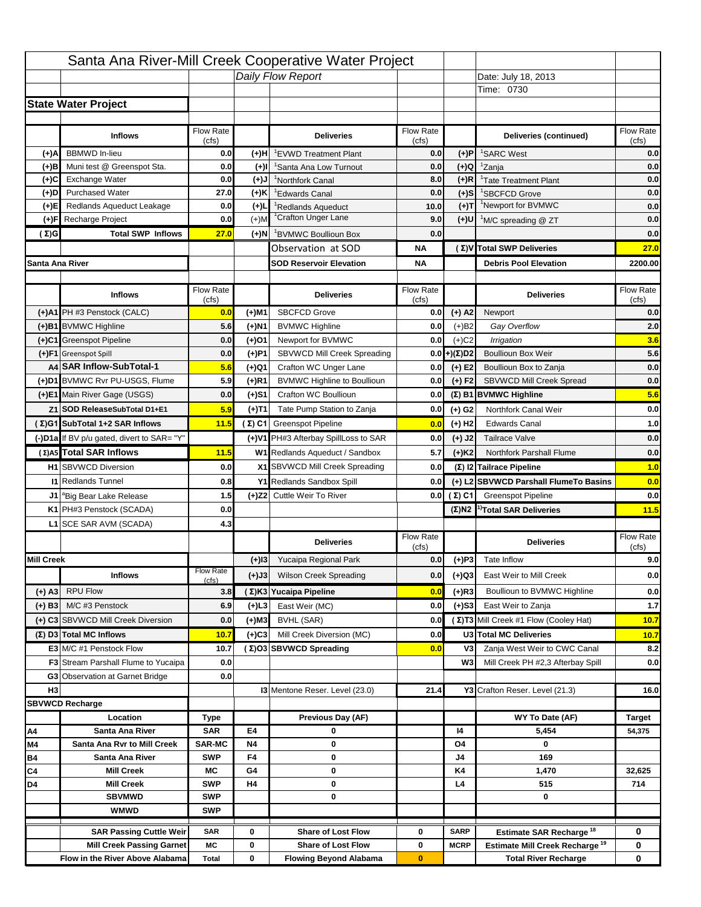|                   |                                                                        |                  |           | Santa Ana River-Mill Creek Cooperative Water Project                   |                  |                            |                                                                                   |                                                       |
|-------------------|------------------------------------------------------------------------|------------------|-----------|------------------------------------------------------------------------|------------------|----------------------------|-----------------------------------------------------------------------------------|-------------------------------------------------------|
|                   |                                                                        |                  |           | Daily Flow Report                                                      |                  |                            | Date: July 18, 2013                                                               |                                                       |
|                   |                                                                        |                  |           |                                                                        |                  |                            | Time: 0730                                                                        |                                                       |
|                   | <b>State Water Project</b>                                             |                  |           |                                                                        |                  |                            |                                                                                   |                                                       |
|                   |                                                                        |                  |           |                                                                        |                  |                            |                                                                                   |                                                       |
|                   | <b>Inflows</b>                                                         | Flow Rate        |           | <b>Deliveries</b>                                                      | <b>Flow Rate</b> |                            | Deliveries (continued)                                                            | Flow Rate                                             |
| (+)A              | <b>BBMWD</b> In-lieu                                                   | (cfs)<br>0.0     | (+)H      | 'EVWD Treatment Plant                                                  | (cfs)<br>0.0     | (+)P                       | <sup>1</sup> SARC West                                                            | (cfs)<br>0.0                                          |
| (+)B              | Muni test @ Greenspot Sta.                                             | 0.0              | $(+)$ l   | 'Santa Ana Low Turnout                                                 | 0.0              | $(+)Q$                     | <sup>1</sup> Zanja                                                                | 0.0                                                   |
| (+)C              | Exchange Water                                                         | 0.0              | $(L(+)$   | <sup>1</sup> Northfork Canal                                           | 8.0              | $(+)R$                     | <sup>1</sup> Tate Treatment Plant                                                 | 0.0                                                   |
| (+)D              | <b>Purchased Water</b>                                                 | 27.0             | (+)K      | <sup>1</sup> Edwards Canal                                             | 0.0              | $(+)$ S                    | <sup>1</sup> SBCFCD Grove                                                         | 0.0                                                   |
| (+)E              | Redlands Aqueduct Leakage                                              | 0.0              | $(+)1$    | <sup>1</sup> Redlands Aqueduct                                         | 10.0             | $(+)T$                     | <sup>1</sup> Newport for BVMWC                                                    | 0.0                                                   |
| (+)F              | Recharge Project                                                       | 0.0              | $(+)$ M   | <sup>1</sup> Crafton Unger Lane                                        | 9.0              | $(+)$ U                    | <sup>1</sup> M/C spreading @ ZT                                                   | 0.0                                                   |
| (Σ)G              | <b>Total SWP Inflows</b>                                               | 27.0             | $(+)$ N   | <sup>1</sup> BVMWC Boullioun Box                                       | 0.0              |                            |                                                                                   | 0.0                                                   |
|                   |                                                                        |                  |           | Observation at SOD                                                     | ΝA               |                            | (Σ) V Total SWP Deliveries                                                        | 27.0                                                  |
| Santa Ana River   |                                                                        |                  |           | <b>SOD Reservoir Elevation</b>                                         | ΝA               |                            | <b>Debris Pool Elevation</b>                                                      | 2200.00                                               |
|                   |                                                                        |                  |           |                                                                        |                  |                            |                                                                                   |                                                       |
|                   | <b>Inflows</b>                                                         | Flow Rate        |           | <b>Deliveries</b>                                                      | Flow Rate        |                            | <b>Deliveries</b>                                                                 | Flow Rate<br>(cfs)                                    |
|                   | (+)A1 PH #3 Penstock (CALC)                                            | (cfs)<br>0.0     | (+)M1     | <b>SBCFCD Grove</b>                                                    | (cfs)<br>0.0     | $(+)$ A2                   | Newport                                                                           | 0.0                                                   |
|                   | (+)B1 BVMWC Highline                                                   | 5.6              | (+)N1     | <b>BVMWC Highline</b>                                                  | 0.0              | $(+)B2$                    | Gay Overflow                                                                      | 2.0                                                   |
|                   | (+)C1 Greenspot Pipeline                                               | 0.0              | (+)01     | Newport for BVMWC                                                      | 0.0              | $(+)$ C <sub>2</sub>       | Irrigation                                                                        | 3.6                                                   |
|                   | (+)F1 Greenspot Spill                                                  | 0.0              | (+)P1     | SBVWCD Mill Creek Spreading                                            | 0.0              | (+)(Σ)D2                   | <b>Boullioun Box Weir</b>                                                         | 5.6                                                   |
|                   | A4 SAR Inflow-SubTotal-1                                               | 5.6              | (+)Q1     | Crafton WC Unger Lane                                                  | 0.0              | $(+) E2$                   | Boullioun Box to Zanja                                                            | 0.0                                                   |
|                   | (+)D1 BVMWC Rvr PU-USGS, Flume                                         | 5.9              | $(+)$ R1  | <b>BVMWC Highline to Boullioun</b>                                     | 0.0              | $(+) F2$                   | <b>SBVWCD Mill Creek Spread</b>                                                   | 0.0                                                   |
|                   | (+)E1 Main River Gage (USGS)                                           | 0.0              | (+)S1     | Crafton WC Boullioun                                                   | 0.0              |                            | $(\Sigma)$ B1 BVMWC Highline                                                      | 5.6                                                   |
|                   | Z1 SOD ReleaseSubTotal D1+E1                                           | 5.9              |           | Tate Pump Station to Zanja                                             | 0.0              |                            | Northfork Canal Weir                                                              | 0.0                                                   |
|                   | (Σ)G1 SubTotal 1+2 SAR Inflows                                         | 11.5             | (+)T1     |                                                                        |                  | (+) G2                     | <b>Edwards Canal</b>                                                              | 1.0                                                   |
|                   |                                                                        |                  |           | $(\Sigma)$ C1 Greenspot Pipeline                                       | 0.0              | $(+)$ H <sub>2</sub>       |                                                                                   |                                                       |
|                   | (-)D1a If BV p/u gated, divert to SAR= "Y"<br>(Σ) A5 Total SAR Inflows |                  |           | (+)V1 PH#3 Afterbay SpillLoss to SAR<br>W1 Redlands Aqueduct / Sandbox | 0.0<br>5.7       | $(+)$ J2                   | <b>Tailrace Valve</b>                                                             | 0.0                                                   |
|                   |                                                                        | 11.5             |           |                                                                        |                  | $(+)$ K <sub>2</sub>       | Northfork Parshall Flume                                                          | 0.0                                                   |
|                   |                                                                        |                  |           |                                                                        |                  |                            |                                                                                   |                                                       |
|                   | <b>H1</b> SBVWCD Diversion                                             | 0.0              |           | X1 SBVWCD Mill Creek Spreading                                         | 0.0              |                            | (Σ) I2 Tailrace Pipeline                                                          |                                                       |
|                   | <b>11 Redlands Tunnel</b>                                              | 0.8              |           | Y1 Redlands Sandbox Spill                                              | 0.0              |                            | (+) L2 SBVWCD Parshall FlumeTo Basins                                             |                                                       |
|                   | J1 <sup>a</sup> Big Bear Lake Release                                  | 1.5              |           | (+)Z2 Cuttle Weir To River                                             |                  | 0.0 $(Σ) C1$               | <b>Greenspot Pipeline</b>                                                         |                                                       |
|                   | K1 PH#3 Penstock (SCADA)                                               | 0.0              |           |                                                                        |                  |                            | $(\Sigma)$ N2 <sup>1)</sup> Total SAR Deliveries                                  |                                                       |
|                   | L1 SCE SAR AVM (SCADA)                                                 | 4.3              |           |                                                                        |                  |                            |                                                                                   |                                                       |
|                   |                                                                        |                  |           | <b>Deliveries</b>                                                      | <b>Flow Rate</b> |                            | <b>Deliveries</b>                                                                 | Flow Rate                                             |
| <b>Mill Creek</b> |                                                                        |                  | $(+)$ 13  | Yucaipa Regional Park                                                  | (cfs)<br>0.0     |                            | Tate Inflow                                                                       | (cfs)                                                 |
|                   |                                                                        | <b>Flow Rate</b> |           |                                                                        |                  | $(+)P3$                    |                                                                                   |                                                       |
|                   | <b>Inflows</b>                                                         | (cfs)            | (+)J3     | <b>Wilson Creek Spreading</b>                                          | 0.0              | (+)Q3                      | East Weir to Mill Creek                                                           |                                                       |
| (+) A3            | <b>RPU Flow</b>                                                        | 3.8              |           | (Σ)K3 Yucaipa Pipeline                                                 | 0.0              | $(+)$ R3                   | Boullioun to BVMWC Highline                                                       |                                                       |
| $(+)$ B3          | M/C #3 Penstock                                                        | 6.9              | $(+)$ L3  | East Weir (MC)                                                         | 0.0              | $(+)$ S3                   | East Weir to Zanja                                                                | 1.0<br>0.0<br>0.0<br>11.5<br>9.0<br>0.0<br>0.0<br>1.7 |
|                   | (+) C3 SBVWCD Mill Creek Diversion                                     | 0.0              | (+)M3     | BVHL (SAR)                                                             | 0.0              |                            | (Σ) T3 Mill Creek #1 Flow (Cooley Hat)                                            | 10.7                                                  |
|                   | (Σ) D3 Total MC Inflows                                                | 10.7             | $(+)C3$   | Mill Creek Diversion (MC)                                              | 0.0              |                            | U3 Total MC Deliveries                                                            | 10.7                                                  |
|                   | E3 M/C #1 Penstock Flow                                                | 10.7             |           | (Σ)O3 SBVWCD Spreading                                                 | 0.0              | V3                         | Zanja West Weir to CWC Canal                                                      |                                                       |
|                   | <b>F3</b> Stream Parshall Flume to Yucaipa                             | 0.0              |           |                                                                        |                  | W <sub>3</sub>             | Mill Creek PH #2,3 Afterbay Spill                                                 |                                                       |
|                   | G3 Observation at Garnet Bridge                                        | 0.0              |           |                                                                        |                  |                            |                                                                                   |                                                       |
| H <sub>3</sub>    |                                                                        |                  |           | 13 Mentone Reser. Level (23.0)                                         | 21.4             |                            | Y3 Crafton Reser. Level (21.3)                                                    | 8.2<br>0.0<br>16.0                                    |
|                   | <b>SBVWCD Recharge</b>                                                 |                  |           |                                                                        |                  |                            |                                                                                   |                                                       |
|                   | Location                                                               | Type             |           | Previous Day (AF)                                                      |                  |                            | WY To Date (AF)                                                                   | Target                                                |
| Α4                | Santa Ana River                                                        | <b>SAR</b>       | E4        | 0                                                                      |                  | 14                         | 5,454<br>0                                                                        | 54,375                                                |
| M4                | Santa Ana Rvr to Mill Creek                                            | <b>SAR-MC</b>    | <b>N4</b> | 0                                                                      |                  | O4                         |                                                                                   |                                                       |
| Β4<br>C4          | Santa Ana River<br><b>Mill Creek</b>                                   | <b>SWP</b><br>МC | F4<br>G4  | 0<br>0                                                                 |                  | J4<br>K4                   | 169<br>1,470                                                                      | 32,625                                                |
| D4                | <b>Mill Creek</b>                                                      | <b>SWP</b>       | H4        | 0                                                                      |                  | L4                         | 515                                                                               | 714                                                   |
|                   | <b>SBVMWD</b>                                                          | <b>SWP</b>       |           | 0                                                                      |                  |                            | 0                                                                                 |                                                       |
|                   | <b>WMWD</b>                                                            | <b>SWP</b>       |           |                                                                        |                  |                            |                                                                                   |                                                       |
|                   |                                                                        |                  |           |                                                                        |                  |                            |                                                                                   |                                                       |
|                   | <b>SAR Passing Cuttle Weir</b><br><b>Mill Creek Passing Garnet</b>     | <b>SAR</b><br>МC | 0<br>0    | <b>Share of Lost Flow</b><br><b>Share of Lost Flow</b>                 | 0<br>0           | <b>SARP</b><br><b>MCRP</b> | Estimate SAR Recharge <sup>18</sup><br>Estimate Mill Creek Recharge <sup>19</sup> | 0<br>0                                                |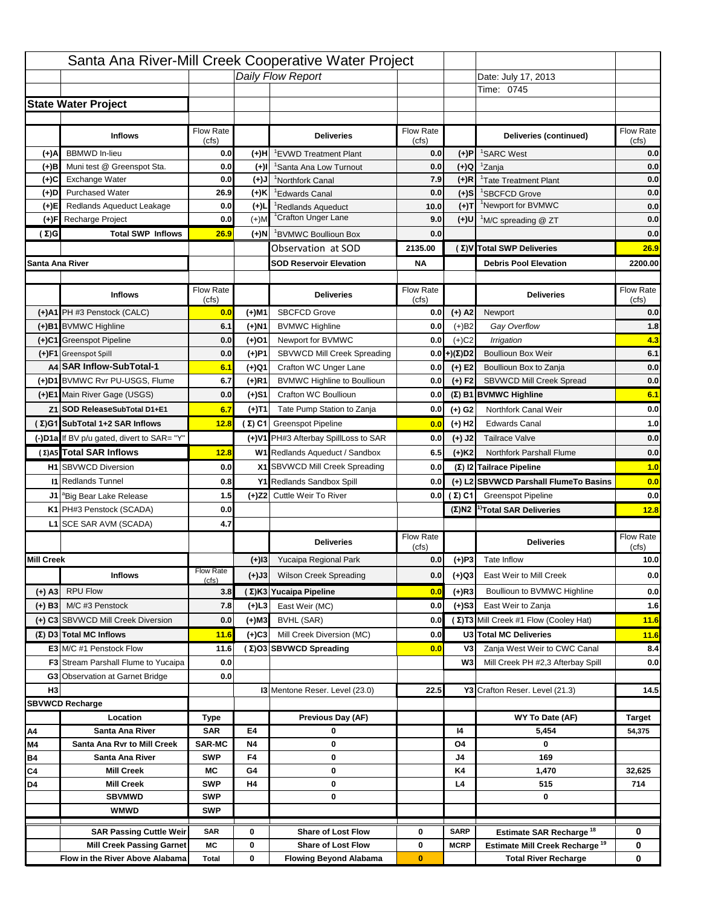|                   |                                            |                           |           | Santa Ana River-Mill Creek Cooperative Water Project |                  |                      |                                                  |                                                 |
|-------------------|--------------------------------------------|---------------------------|-----------|------------------------------------------------------|------------------|----------------------|--------------------------------------------------|-------------------------------------------------|
|                   |                                            |                           |           | Daily Flow Report                                    |                  |                      | Date: July 17, 2013                              |                                                 |
|                   |                                            |                           |           |                                                      |                  |                      | Time: 0745                                       |                                                 |
|                   | <b>State Water Project</b>                 |                           |           |                                                      |                  |                      |                                                  |                                                 |
|                   |                                            |                           |           |                                                      |                  |                      |                                                  |                                                 |
|                   | <b>Inflows</b>                             | Flow Rate                 |           | <b>Deliveries</b>                                    | <b>Flow Rate</b> |                      | Deliveries (continued)                           | Flow Rate                                       |
| (+)A              | <b>BBMWD</b> In-lieu                       | (cfs)<br>0.0              | (+)H      | 'EVWD Treatment Plant                                | (cfs)<br>0.0     | (+)P                 | <sup>1</sup> SARC West                           | (cfs)<br>0.0                                    |
| (+)B              | Muni test @ Greenspot Sta.                 | 0.0                       | $(+)$ l   | 'Santa Ana Low Turnout                               | 0.0              | $(+)Q$               | <sup>1</sup> Zanja                               | 0.0                                             |
| (+)C              | Exchange Water                             | 0.0                       | $(L(+)$   | <sup>1</sup> Northfork Canal                         | 7.9              | $(+)R$               | <sup>1</sup> Tate Treatment Plant                | 0.0                                             |
| (+)D              | <b>Purchased Water</b>                     | 26.9                      | (+)K      | <sup>1</sup> Edwards Canal                           | 0.0              | $(+)$ S              | <sup>1</sup> SBCFCD Grove                        | 0.0                                             |
| (+)E              | Redlands Aqueduct Leakage                  | 0.0                       | $(+)1$    | <sup>1</sup> Redlands Aqueduct                       | 10.0             | $(+)T$               | <sup>1</sup> Newport for BVMWC                   | 0.0                                             |
| (+)F              | Recharge Project                           | 0.0                       | $(+)$ M   | <sup>1</sup> Crafton Unger Lane                      | 9.0              | (+)U                 | <sup>1</sup> M/C spreading @ ZT                  | 0.0                                             |
| (Σ)G              | <b>Total SWP Inflows</b>                   | 26.9                      | (+)N      | <sup>1</sup> BVMWC Boullioun Box                     | 0.0              |                      |                                                  | 0.0                                             |
|                   |                                            |                           |           | Observation at SOD                                   | 2135.00          |                      | (Σ) V Total SWP Deliveries                       | 26.9                                            |
| Santa Ana River   |                                            |                           |           | <b>SOD Reservoir Elevation</b>                       | <b>NA</b>        |                      | <b>Debris Pool Elevation</b>                     | 2200.00                                         |
|                   |                                            |                           |           |                                                      |                  |                      |                                                  |                                                 |
|                   | <b>Inflows</b>                             | Flow Rate                 |           | <b>Deliveries</b>                                    | Flow Rate        |                      | <b>Deliveries</b>                                | Flow Rate                                       |
|                   |                                            | (cfs)                     |           |                                                      | (cfs)            |                      |                                                  | (cfs)                                           |
|                   | (+)A1 PH #3 Penstock (CALC)                | 0.0                       | (+)M1     | <b>SBCFCD Grove</b>                                  | 0.0              | $(+)$ A2             | Newport                                          | 0.0                                             |
|                   | (+)B1 BVMWC Highline                       | 6.1                       | (+)N1     | <b>BVMWC Highline</b>                                | 0.0              | $(+)B2$              | Gay Overflow                                     | 1.8                                             |
|                   | (+)C1 Greenspot Pipeline                   | 0.0                       | (+)01     | Newport for BVMWC                                    | 0.0              | $(+)$ C <sub>2</sub> | Irrigation                                       | 4.3                                             |
|                   | (+)F1 Greenspot Spill                      | 0.0                       | (+)P1     | SBVWCD Mill Creek Spreading                          | 0.0              | (+)(Σ)D2             | <b>Boullioun Box Weir</b>                        | 6.1                                             |
|                   | A4 SAR Inflow-SubTotal-1                   | 6.1                       | (+)Q1     | Crafton WC Unger Lane                                | 0.0              | $(+) E2$             | Boullioun Box to Zanja                           | 0.0                                             |
|                   | (+)D1 BVMWC Rvr PU-USGS, Flume             | 6.7                       | $(+)$ R1  | <b>BVMWC Highline to Boullioun</b>                   | 0.0              | $(+) F2$             | SBVWCD Mill Creek Spread                         | 0.0                                             |
|                   | (+)E1 Main River Gage (USGS)               | 0.0                       | (+)S1     | Crafton WC Boullioun                                 | 0.0              |                      | $(\Sigma)$ B1 BVMWC Highline                     | 6.1                                             |
|                   | Z1 SOD ReleaseSubTotal D1+E1               | 6.7                       | (+)T1     | Tate Pump Station to Zanja                           | 0.0              | (+) G2               | Northfork Canal Weir                             | 0.0                                             |
|                   | (Σ)G1 SubTotal 1+2 SAR Inflows             | 12.8                      |           | (Σ) C1 Greenspot Pipeline                            | 0.0              | $(+)$ H <sub>2</sub> | <b>Edwards Canal</b>                             | 1.0                                             |
|                   | (-)D1a If BV p/u gated, divert to SAR= "Y" |                           |           | (+)V1 PH#3 Afterbay SpillLoss to SAR                 | 0.0              | $(+)$ J2             | <b>Tailrace Valve</b>                            | 0.0                                             |
|                   | (Σ) A5 Total SAR Inflows                   | 12.8                      |           | W1 Redlands Aqueduct / Sandbox                       | 6.5              | $(+)$ K <sub>2</sub> | Northfork Parshall Flume                         | 0.0                                             |
|                   | <b>H1</b> SBVWCD Diversion                 | 0.0                       |           | X1 SBVWCD Mill Creek Spreading                       | 0.0              |                      | (Σ) I2 Tailrace Pipeline                         | 1.0                                             |
|                   |                                            |                           |           |                                                      |                  |                      |                                                  |                                                 |
|                   | <b>11 Redlands Tunnel</b>                  | 0.8                       |           | Y1 Redlands Sandbox Spill                            | 0.0              |                      | (+) L2 SBVWCD Parshall FlumeTo Basins            |                                                 |
|                   | J1 <sup>a</sup> Big Bear Lake Release      | 1.5                       |           | (+)Z2 Cuttle Weir To River                           |                  | 0.0 $(\Sigma)$ C1    | <b>Greenspot Pipeline</b>                        |                                                 |
|                   | K1 PH#3 Penstock (SCADA)                   | 0.0                       |           |                                                      |                  |                      | $(\Sigma)$ N2 <sup>1)</sup> Total SAR Deliveries |                                                 |
|                   | L1 SCE SAR AVM (SCADA)                     | 4.7                       |           |                                                      |                  |                      |                                                  |                                                 |
|                   |                                            |                           |           | <b>Deliveries</b>                                    | <b>Flow Rate</b> |                      | <b>Deliveries</b>                                | Flow Rate                                       |
|                   |                                            |                           |           |                                                      | (cfs)            |                      |                                                  | (cts)                                           |
| <b>Mill Creek</b> |                                            |                           | $(+)$ 13  | Yucaipa Regional Park                                | 0.0              | $(+)P3$              | Tate Inflow                                      |                                                 |
|                   | <b>Inflows</b>                             | <b>Flow Rate</b><br>(cfs) | (+)J3     | <b>Wilson Creek Spreading</b>                        | 0.0              | (+)Q3                | East Weir to Mill Creek                          |                                                 |
| (+) A3            | <b>RPU Flow</b>                            | 3.8                       |           | (Σ)K3 Yucaipa Pipeline                               | 0.0              | $(+)$ R3             | Boullioun to BVMWC Highline                      |                                                 |
| $(+)$ B3          | M/C #3 Penstock                            | 7.8                       | $(+)$ L3  | East Weir (MC)                                       | 0.0              | $(+)$ S3             | East Weir to Zanja                               | 0.0<br>0.0<br>12.8<br>10.0<br>0.0<br>0.0<br>1.6 |
|                   | (+) C3 SBVWCD Mill Creek Diversion         | 0.0                       | (+)M3     | BVHL (SAR)                                           | 0.0              |                      | (Σ) T3 Mill Creek #1 Flow (Cooley Hat)           | 11.6                                            |
|                   | (Σ) D3 Total MC Inflows                    | 11.6                      | $(+)C3$   | Mill Creek Diversion (MC)                            | 0.0              |                      | U3 Total MC Deliveries                           | 11.6                                            |
|                   | E3 M/C #1 Penstock Flow                    | 11.6                      |           | (Σ)O3 SBVWCD Spreading                               | 0.0              | V3                   | Zanja West Weir to CWC Canal                     | 8.4                                             |
|                   | <b>F3</b> Stream Parshall Flume to Yucaipa | 0.0                       |           |                                                      |                  | W <sub>3</sub>       | Mill Creek PH #2,3 Afterbay Spill                |                                                 |
|                   | G3 Observation at Garnet Bridge            | 0.0                       |           |                                                      |                  |                      |                                                  |                                                 |
| H <sub>3</sub>    |                                            |                           |           | 13 Mentone Reser. Level (23.0)                       | 22.5             |                      | Y3 Crafton Reser. Level (21.3)                   | 0.0<br>14.5                                     |
|                   | <b>SBVWCD Recharge</b>                     |                           |           |                                                      |                  |                      |                                                  |                                                 |
|                   | Location                                   | Type                      |           | Previous Day (AF)                                    |                  |                      | WY To Date (AF)                                  | Target                                          |
| Α4                | Santa Ana River                            | <b>SAR</b>                | E4        | 0                                                    |                  | 14                   | 5,454                                            | 54,375                                          |
| M4                | Santa Ana Rvr to Mill Creek                | <b>SAR-MC</b>             | <b>N4</b> | 0                                                    |                  | O4                   | 0                                                |                                                 |
| Β4                | Santa Ana River                            | <b>SWP</b>                | F4        | 0                                                    |                  | J4                   | 169                                              |                                                 |
| C4                | <b>Mill Creek</b>                          | МC                        | G4        | 0                                                    |                  | K4                   | 1,470                                            | 32,625                                          |
| D4                | <b>Mill Creek</b>                          | <b>SWP</b>                | H4        | 0                                                    |                  | L4                   | 515                                              | 714                                             |
|                   | <b>SBVMWD</b>                              | <b>SWP</b>                |           | 0                                                    |                  |                      | 0                                                |                                                 |
|                   | <b>WMWD</b>                                | <b>SWP</b>                |           |                                                      |                  |                      |                                                  |                                                 |
|                   | <b>SAR Passing Cuttle Weir</b>             | <b>SAR</b>                | 0         | <b>Share of Lost Flow</b>                            | 0                | <b>SARP</b>          | Estimate SAR Recharge <sup>18</sup>              | 0                                               |
|                   | <b>Mill Creek Passing Garnet</b>           | МC                        | 0         | <b>Share of Lost Flow</b>                            | 0                | <b>MCRP</b>          | Estimate Mill Creek Recharge <sup>19</sup>       | 0                                               |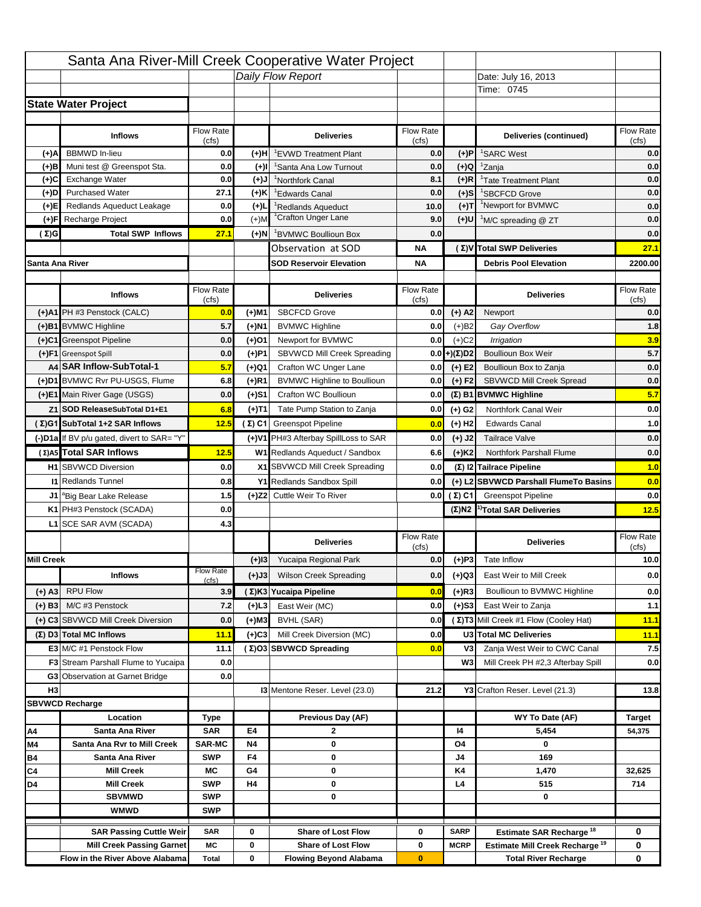|                   |                                            |                    |           | Santa Ana River-Mill Creek Cooperative Water Project |                    |                      |                                                  |                                   |
|-------------------|--------------------------------------------|--------------------|-----------|------------------------------------------------------|--------------------|----------------------|--------------------------------------------------|-----------------------------------|
|                   |                                            |                    |           | Daily Flow Report                                    |                    |                      | Date: July 16, 2013                              |                                   |
|                   |                                            |                    |           |                                                      |                    |                      | Time: 0745                                       |                                   |
|                   | <b>State Water Project</b>                 |                    |           |                                                      |                    |                      |                                                  |                                   |
|                   |                                            |                    |           |                                                      |                    |                      |                                                  |                                   |
|                   | <b>Inflows</b>                             | Flow Rate          |           | <b>Deliveries</b>                                    | <b>Flow Rate</b>   |                      | Deliveries (continued)                           | Flow Rate                         |
| (+)A              | <b>BBMWD</b> In-lieu                       | (cfs)<br>0.0       | (+)H      | 'EVWD Treatment Plant                                | (cfs)<br>0.0       | (+)P                 | <sup>1</sup> SARC West                           | (cfs)<br>0.0                      |
| (+)B              | Muni test @ Greenspot Sta.                 | 0.0                | $(+)$ l   | 'Santa Ana Low Turnout                               | 0.0                | $(+)Q$               | <sup>1</sup> Zanja                               | 0.0                               |
| (+)C              | Exchange Water                             | 0.0                | $(L(+)$   | <sup>1</sup> Northfork Canal                         | 8.1                | $(+)R$               | <sup>1</sup> Tate Treatment Plant                | 0.0                               |
| (+)D              | <b>Purchased Water</b>                     | 27.1               | (+)K      | <sup>1</sup> Edwards Canal                           | 0.0                | $(+)$ S              | <sup>1</sup> SBCFCD Grove                        | 0.0                               |
| (+)E              | Redlands Aqueduct Leakage                  | 0.0                | $(+)1$    | <sup>1</sup> Redlands Aqueduct                       | 10.0               | $(+)T$               | <sup>1</sup> Newport for BVMWC                   | 0.0                               |
| (+)F              | Recharge Project                           | 0.0                | $(+)$ M   | <sup>1</sup> Crafton Unger Lane                      | 9.0                | (+)U                 | <sup>1</sup> M/C spreading @ ZT                  | 0.0                               |
| (Σ)G              | <b>Total SWP Inflows</b>                   | 27.1               | $(+)$ N   | <sup>1</sup> BVMWC Boullioun Box                     | 0.0                |                      |                                                  | 0.0                               |
|                   |                                            |                    |           | Observation at SOD                                   | ΝA                 |                      | (Σ) V Total SWP Deliveries                       | 27.1                              |
| Santa Ana River   |                                            |                    |           | <b>SOD Reservoir Elevation</b>                       | ΝA                 |                      | <b>Debris Pool Elevation</b>                     | 2200.00                           |
|                   |                                            |                    |           |                                                      |                    |                      |                                                  |                                   |
|                   | <b>Inflows</b>                             | Flow Rate<br>(cfs) |           | <b>Deliveries</b>                                    | Flow Rate<br>(cfs) |                      | <b>Deliveries</b>                                | Flow Rate<br>(cfs)                |
|                   | (+)A1 PH #3 Penstock (CALC)                | 0.0                | (+)M1     | <b>SBCFCD Grove</b>                                  | 0.0                | $(+)$ A2             | Newport                                          | 0.0                               |
|                   | (+)B1 BVMWC Highline                       | 5.7                | (+)N1     | <b>BVMWC Highline</b>                                | 0.0                | $(+)B2$              | Gay Overflow                                     | 1.8                               |
|                   | (+)C1 Greenspot Pipeline                   | 0.0                | (+)01     | Newport for BVMWC                                    | 0.0                | $(+)$ C <sub>2</sub> | Irrigation                                       | 3.9                               |
|                   | (+)F1 Greenspot Spill                      | 0.0                | (+)P1     | SBVWCD Mill Creek Spreading                          | 0.0                | (+)(Σ)D2             | <b>Boullioun Box Weir</b>                        | 5.7                               |
|                   | A4 SAR Inflow-SubTotal-1                   | 5.7                | (+)Q1     | Crafton WC Unger Lane                                | 0.0                | $(+) E2$             | Boullioun Box to Zanja                           | 0.0                               |
|                   | (+)D1 BVMWC Rvr PU-USGS, Flume             | 6.8                | $(+)$ R1  | <b>BVMWC Highline to Boullioun</b>                   | 0.0                | $(+) F2$             | SBVWCD Mill Creek Spread                         | 0.0                               |
|                   | (+)E1 Main River Gage (USGS)               | 0.0                | (+)S1     | Crafton WC Boullioun                                 | 0.0                |                      | $(\Sigma)$ B1 BVMWC Highline                     | 5.7                               |
|                   | Z1 SOD ReleaseSubTotal D1+E1               | 6.8                | (+)T1     | Tate Pump Station to Zanja                           | 0.0                | (+) G2               | Northfork Canal Weir                             | 0.0                               |
|                   | (Σ)G1 SubTotal 1+2 SAR Inflows             | 12.5               |           | (Σ) C1 Greenspot Pipeline                            | 0.0                | $(+)$ H <sub>2</sub> | <b>Edwards Canal</b>                             | 1.0                               |
|                   | (-)D1a If BV p/u gated, divert to SAR= "Y" |                    |           | (+)V1 PH#3 Afterbay SpillLoss to SAR                 | 0.0                | $(+)$ J2             | <b>Tailrace Valve</b>                            | 0.0                               |
|                   | (Σ) A5 Total SAR Inflows                   | 12.5               |           | W1 Redlands Aqueduct / Sandbox                       |                    |                      | Northfork Parshall Flume                         | 0.0                               |
|                   |                                            |                    |           |                                                      | 6.6                | $(+)$ K <sub>2</sub> |                                                  |                                   |
|                   |                                            |                    |           |                                                      |                    |                      |                                                  |                                   |
|                   | <b>H1</b> SBVWCD Diversion                 | 0.0                |           | X1 SBVWCD Mill Creek Spreading                       | 0.0                |                      | (Σ) I2 Tailrace Pipeline                         | 1.0                               |
|                   | <b>11 Redlands Tunnel</b>                  | 0.8                |           | Y1 Redlands Sandbox Spill                            | 0.0                |                      | (+) L2 SBVWCD Parshall FlumeTo Basins            | 0.0                               |
|                   | J1 <sup>a</sup> Big Bear Lake Release      | 1.5                |           | (+)Z2 Cuttle Weir To River                           |                    | 0.0 $(\Sigma)$ C1    | <b>Greenspot Pipeline</b>                        |                                   |
|                   | K1 PH#3 Penstock (SCADA)                   | 0.0                |           |                                                      |                    |                      | $(\Sigma)$ N2 <sup>1)</sup> Total SAR Deliveries |                                   |
|                   | L1 SCE SAR AVM (SCADA)                     | 4.3                |           |                                                      |                    |                      |                                                  |                                   |
|                   |                                            |                    |           | <b>Deliveries</b>                                    | <b>Flow Rate</b>   |                      | <b>Deliveries</b>                                | Flow Rate                         |
| <b>Mill Creek</b> |                                            |                    | $(+)$ 13  | Yucaipa Regional Park                                | (cfs)<br>0.0       | $(+)P3$              | Tate Inflow                                      | (cts)                             |
|                   | <b>Inflows</b>                             | <b>Flow Rate</b>   |           | <b>Wilson Creek Spreading</b>                        | 0.0                |                      | East Weir to Mill Creek                          |                                   |
|                   |                                            | (cfs)              | (+)J3     |                                                      |                    | (+)Q3                |                                                  |                                   |
| (+) A3            | <b>RPU Flow</b>                            | 3.9                |           | (Σ)K3 Yucaipa Pipeline                               | 0.0                | $(+)$ R3             | Boullioun to BVMWC Highline                      | 0.0<br>12.5<br>10.0<br>0.0<br>0.0 |
| $(+)$ B3          | M/C #3 Penstock                            | 7.2                | $(+)$ L3  | East Weir (MC)                                       | 0.0                | $(+)$ S3             | East Weir to Zanja                               | 1.1                               |
|                   | (+) C3 SBVWCD Mill Creek Diversion         | 0.0                | (+)M3     | BVHL (SAR)                                           | 0.0                |                      | (Σ) T3 Mill Creek #1 Flow (Cooley Hat)           | 11.1                              |
|                   | (Σ) D3 Total MC Inflows                    | 11.1               | $(+)C3$   | Mill Creek Diversion (MC)                            | 0.0                |                      | U3 Total MC Deliveries                           | 11.1                              |
|                   | E3 M/C #1 Penstock Flow                    | 11.1               |           | (Σ)O3 SBVWCD Spreading                               | 0.0                | V3                   | Zanja West Weir to CWC Canal                     | 7.5                               |
|                   | <b>F3</b> Stream Parshall Flume to Yucaipa | 0.0                |           |                                                      |                    | W <sub>3</sub>       | Mill Creek PH #2,3 Afterbay Spill                | 0.0                               |
|                   | G3 Observation at Garnet Bridge            | 0.0                |           |                                                      |                    |                      |                                                  |                                   |
| H <sub>3</sub>    |                                            |                    |           | 13 Mentone Reser. Level (23.0)                       | 21.2               |                      | Y3 Crafton Reser. Level (21.3)                   | 13.8                              |
|                   | <b>SBVWCD Recharge</b>                     |                    |           |                                                      |                    |                      |                                                  |                                   |
| Α4                | Location<br>Santa Ana River                | Type<br><b>SAR</b> | E4        | Previous Day (AF)<br>2                               |                    | 14                   | WY To Date (AF)<br>5,454                         | <b>Target</b><br>54,375           |
| M4                | Santa Ana Rvr to Mill Creek                | <b>SAR-MC</b>      | <b>N4</b> | 0                                                    |                    | O4                   | 0                                                |                                   |
| Β4                | Santa Ana River                            | <b>SWP</b>         | F4        | 0                                                    |                    | J4                   | 169                                              |                                   |
| C4                | <b>Mill Creek</b>                          | МC                 | G4        | 0                                                    |                    | K4                   | 1,470                                            | 32,625                            |
| D4                | <b>Mill Creek</b>                          | <b>SWP</b>         | H4        | 0                                                    |                    | L4                   | 515                                              | 714                               |
|                   | <b>SBVMWD</b>                              | <b>SWP</b>         |           | 0                                                    |                    |                      | 0                                                |                                   |
|                   | <b>WMWD</b>                                | <b>SWP</b>         |           |                                                      |                    |                      |                                                  |                                   |
|                   | <b>SAR Passing Cuttle Weir</b>             | <b>SAR</b>         | 0         | <b>Share of Lost Flow</b>                            | 0                  | <b>SARP</b>          | Estimate SAR Recharge <sup>18</sup>              | 0                                 |
|                   | <b>Mill Creek Passing Garnet</b>           | МC                 | 0         | <b>Share of Lost Flow</b>                            | 0                  | <b>MCRP</b>          | Estimate Mill Creek Recharge <sup>19</sup>       | 0                                 |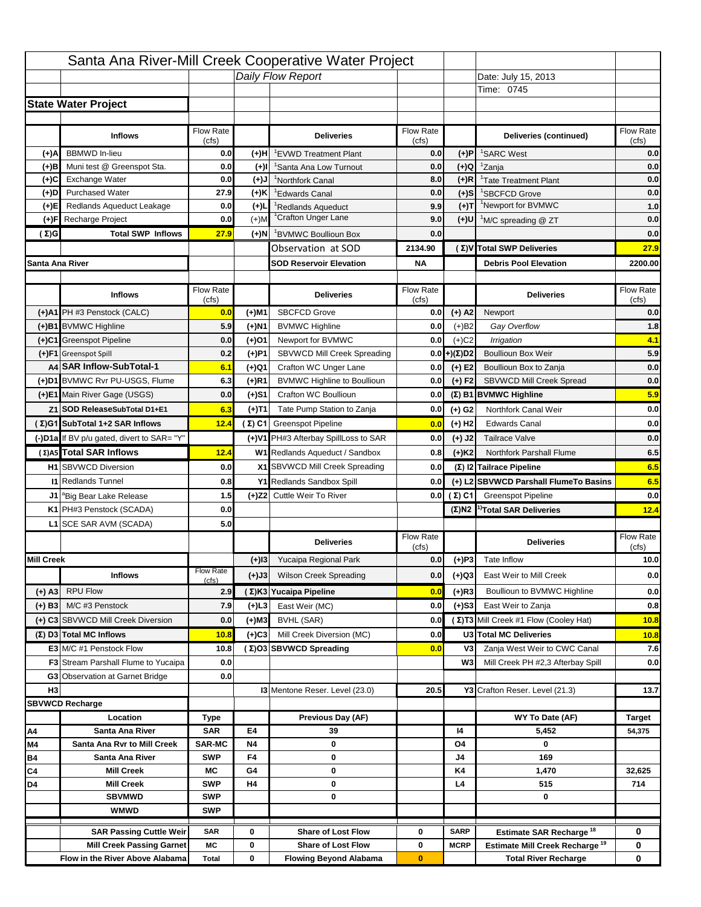|                   |                                                                     |                    |           | Santa Ana River-Mill Creek Cooperative Water Project       |                  |                      |                                                                           |                                   |
|-------------------|---------------------------------------------------------------------|--------------------|-----------|------------------------------------------------------------|------------------|----------------------|---------------------------------------------------------------------------|-----------------------------------|
|                   |                                                                     |                    |           | Daily Flow Report                                          |                  |                      | Date: July 15, 2013                                                       |                                   |
|                   |                                                                     |                    |           |                                                            |                  |                      | Time: 0745                                                                |                                   |
|                   | <b>State Water Project</b>                                          |                    |           |                                                            |                  |                      |                                                                           |                                   |
|                   |                                                                     |                    |           |                                                            |                  |                      |                                                                           |                                   |
|                   | <b>Inflows</b>                                                      | Flow Rate          |           | <b>Deliveries</b>                                          | <b>Flow Rate</b> |                      | Deliveries (continued)                                                    | Flow Rate                         |
| (+)A              | <b>BBMWD</b> In-lieu                                                | (cfs)<br>0.0       | (+)H      | 'EVWD Treatment Plant                                      | (cfs)<br>0.0     | (+)P                 | <sup>1</sup> SARC West                                                    | (cfs)<br>0.0                      |
| (+)B              | Muni test @ Greenspot Sta.                                          | 0.0                | $(+)$ l   | 'Santa Ana Low Turnout                                     | 0.0              | $(+)Q$               | <sup>1</sup> Zanja                                                        | 0.0                               |
| (+)C              | Exchange Water                                                      | 0.0                | $(L(+)$   | <sup>1</sup> Northfork Canal                               | 8.0              | $(+)R$               | <sup>1</sup> Tate Treatment Plant                                         | 0.0                               |
| (+)D              | <b>Purchased Water</b>                                              | 27.9               | (+)K      | <sup>1</sup> Edwards Canal                                 | 0.0              | $(+)$ S              | <sup>1</sup> SBCFCD Grove                                                 | 0.0                               |
| (+)E              | Redlands Aqueduct Leakage                                           | 0.0                | $(+)1$    | <sup>1</sup> Redlands Aqueduct                             | 9.9              | $(+)T$               | <sup>1</sup> Newport for BVMWC                                            | 1.0                               |
| (+)F              | Recharge Project                                                    | 0.0                | $(+)$ M   | <sup>1</sup> Crafton Unger Lane                            | 9.0              | $(+)$ U              | <sup>1</sup> M/C spreading @ ZT                                           | 0.0                               |
| (Σ)G              | <b>Total SWP Inflows</b>                                            | 27.9               | (+)N      | <sup>1</sup> BVMWC Boullioun Box                           | 0.0              |                      |                                                                           | 0.0                               |
|                   |                                                                     |                    |           | Observation at SOD                                         | 2134.90          |                      | (Σ)V Total SWP Deliveries                                                 | 27.9                              |
| Santa Ana River   |                                                                     |                    |           | <b>SOD Reservoir Elevation</b>                             | <b>NA</b>        |                      | <b>Debris Pool Elevation</b>                                              | 2200.00                           |
|                   |                                                                     |                    |           |                                                            |                  |                      |                                                                           |                                   |
|                   | <b>Inflows</b>                                                      | Flow Rate          |           | <b>Deliveries</b>                                          | Flow Rate        |                      | <b>Deliveries</b>                                                         | Flow Rate                         |
|                   |                                                                     | (cfs)              |           |                                                            | (cfs)            |                      |                                                                           | (cfs)                             |
|                   | (+)A1 PH #3 Penstock (CALC)                                         | 0.0                | (+)M1     | <b>SBCFCD Grove</b>                                        | 0.0              | $(+)$ A2             | Newport                                                                   | 0.0                               |
|                   | (+)B1 BVMWC Highline                                                | 5.9                | (+)N1     | <b>BVMWC Highline</b>                                      | 0.0              | $(+)B2$              | Gay Overflow                                                              | 1.8                               |
|                   | (+)C1 Greenspot Pipeline                                            | 0.0                | (+)01     | Newport for BVMWC                                          | 0.0              | $(+)$ C <sub>2</sub> | Irrigation                                                                | 4.1                               |
|                   | (+)F1 Greenspot Spill                                               | 0.2                | (+)P1     | SBVWCD Mill Creek Spreading                                | 0.0              | (+)(Σ)D2             | <b>Boullioun Box Weir</b>                                                 | 5.9                               |
|                   | A4 SAR Inflow-SubTotal-1                                            | 6.1                | (+)Q1     | Crafton WC Unger Lane                                      | 0.0              | $(+) E2$             | Boullioun Box to Zanja                                                    | 0.0                               |
|                   | (+)D1 BVMWC Rvr PU-USGS, Flume                                      | 6.3                | $(+)$ R1  | <b>BVMWC Highline to Boullioun</b>                         | 0.0              | $(+) F2$             | SBVWCD Mill Creek Spread                                                  | 0.0                               |
|                   | (+)E1 Main River Gage (USGS)                                        | 0.0                | (+)S1     | Crafton WC Boullioun                                       | 0.0              |                      | $(\Sigma)$ B1 BVMWC Highline                                              | 5.9                               |
|                   | Z1 SOD ReleaseSubTotal D1+E1                                        | 6.3                | (+)T1     | Tate Pump Station to Zanja                                 | 0.0              | (+) G2               | Northfork Canal Weir                                                      | 0.0                               |
|                   | (Σ)G1 SubTotal 1+2 SAR Inflows                                      | 12.4               |           | (Σ) C1 Greenspot Pipeline                                  | 0.0              | $(+)$ H <sub>2</sub> | <b>Edwards Canal</b>                                                      | 0.0                               |
|                   | (-)D1a If BV p/u gated, divert to SAR= "Y"                          |                    |           | (+)V1 PH#3 Afterbay SpillLoss to SAR                       | 0.0              | $(+)$ J2             | <b>Tailrace Valve</b>                                                     | 0.0                               |
|                   | (Σ) A5 Total SAR Inflows                                            | 12.4               |           | W1 Redlands Aqueduct / Sandbox                             | 0.8              | $(+)$ K <sub>2</sub> | Northfork Parshall Flume                                                  | 6.5                               |
|                   | <b>H1</b> SBVWCD Diversion                                          | 0.0                |           | X1 SBVWCD Mill Creek Spreading                             | 0.0              |                      | (Σ) I2 Tailrace Pipeline                                                  | 6.5                               |
|                   | <b>11 Redlands Tunnel</b>                                           | 0.8                |           | Y1 Redlands Sandbox Spill                                  | 0.0              |                      | (+) L2 SBVWCD Parshall FlumeTo Basins                                     | 6.5                               |
|                   | J1 <sup>a</sup> Big Bear Lake Release                               | 1.5                |           | (+)Z2 Cuttle Weir To River                                 |                  | 0.0 $(\Sigma)$ C1    | <b>Greenspot Pipeline</b>                                                 | 0.0                               |
|                   |                                                                     |                    |           |                                                            |                  |                      |                                                                           |                                   |
|                   | K1 PH#3 Penstock (SCADA)                                            | 0.0                |           |                                                            |                  |                      | $(\Sigma)$ N2 <sup>1)</sup> Total SAR Deliveries                          |                                   |
|                   | L1 SCE SAR AVM (SCADA)                                              | 5.0                |           |                                                            |                  |                      |                                                                           |                                   |
|                   |                                                                     |                    |           | <b>Deliveries</b>                                          | <b>Flow Rate</b> |                      | <b>Deliveries</b>                                                         | Flow Rate                         |
|                   |                                                                     |                    |           |                                                            | (cfs)            |                      |                                                                           | (cts)                             |
| <b>Mill Creek</b> |                                                                     | <b>Flow Rate</b>   | $(+)$ 13  | Yucaipa Regional Park                                      | 0.0              | $(+)P3$              | Tate Inflow                                                               |                                   |
|                   | <b>Inflows</b>                                                      | (cfs)              | (+)J3     | <b>Wilson Creek Spreading</b>                              | 0.0              | (+)Q3                | East Weir to Mill Creek                                                   |                                   |
| (+) A3            | <b>RPU Flow</b>                                                     | 2.9                |           | (Σ)K3 Yucaipa Pipeline                                     | 0.0              | $(+)$ R3             | Boullioun to BVMWC Highline                                               |                                   |
| $(+)$ B3          | M/C #3 Penstock                                                     | 7.9                | $(+)$ L3  | East Weir (MC)                                             | 0.0              | $(+)$ S3             | East Weir to Zanja                                                        | 12.4<br>10.0<br>0.0<br>0.0<br>0.8 |
|                   | (+) C3 SBVWCD Mill Creek Diversion                                  | 0.0                | (+)M3     | BVHL (SAR)                                                 | 0.0              |                      | (Σ) T3 Mill Creek #1 Flow (Cooley Hat)                                    | 10.8                              |
|                   | (Σ) D3 Total MC Inflows                                             | 10.8               | $(+)C3$   | Mill Creek Diversion (MC)                                  | 0.0              |                      | U3 Total MC Deliveries                                                    | 10.8                              |
|                   | E3 M/C #1 Penstock Flow                                             | 10.8               |           | (Σ)O3 SBVWCD Spreading                                     | 0.0              | V3                   | Zanja West Weir to CWC Canal                                              | 7.6                               |
|                   | <b>F3</b> Stream Parshall Flume to Yucaipa                          | 0.0                |           |                                                            |                  | W <sub>3</sub>       | Mill Creek PH #2,3 Afterbay Spill                                         |                                   |
|                   | G3 Observation at Garnet Bridge                                     | 0.0                |           |                                                            |                  |                      |                                                                           | 0.0                               |
| H <sub>3</sub>    |                                                                     |                    |           | 13 Mentone Reser. Level (23.0)                             | 20.5             |                      | Y3 Crafton Reser. Level (21.3)                                            | 13.7                              |
|                   | <b>SBVWCD Recharge</b>                                              |                    |           |                                                            |                  |                      |                                                                           |                                   |
|                   | Location                                                            | Type               |           | Previous Day (AF)                                          |                  |                      | WY To Date (AF)                                                           | <b>Target</b>                     |
| Α4                | Santa Ana River                                                     | <b>SAR</b>         | E4        | 39                                                         |                  | 14                   | 5,452                                                                     | 54,375                            |
| M4                | Santa Ana Rvr to Mill Creek                                         | <b>SAR-MC</b>      | <b>N4</b> | 0                                                          |                  | O4                   | 0                                                                         |                                   |
| Β4                | Santa Ana River                                                     | <b>SWP</b>         | F4        | 0                                                          |                  | J4                   | 169                                                                       |                                   |
| C4                | <b>Mill Creek</b>                                                   | МC                 | G4        | 0                                                          |                  | K4                   | 1,470                                                                     | 32,625                            |
| D4                | <b>Mill Creek</b>                                                   | <b>SWP</b>         | H4        | 0                                                          |                  | L4                   | 515                                                                       | 714                               |
|                   | <b>SBVMWD</b>                                                       | <b>SWP</b>         |           | 0                                                          |                  |                      | 0                                                                         |                                   |
|                   | <b>WMWD</b>                                                         | <b>SWP</b>         |           |                                                            |                  |                      |                                                                           |                                   |
|                   | <b>SAR Passing Cuttle Weir</b>                                      | <b>SAR</b>         | 0         | <b>Share of Lost Flow</b>                                  | 0                | <b>SARP</b>          | Estimate SAR Recharge <sup>18</sup>                                       | 0                                 |
|                   | <b>Mill Creek Passing Garnet</b><br>Flow in the River Above Alabama | МC<br><b>Total</b> | 0<br>0    | <b>Share of Lost Flow</b><br><b>Flowing Beyond Alabama</b> | 0<br>$\bf{0}$    | <b>MCRP</b>          | Estimate Mill Creek Recharge <sup>19</sup><br><b>Total River Recharge</b> | 0<br>0                            |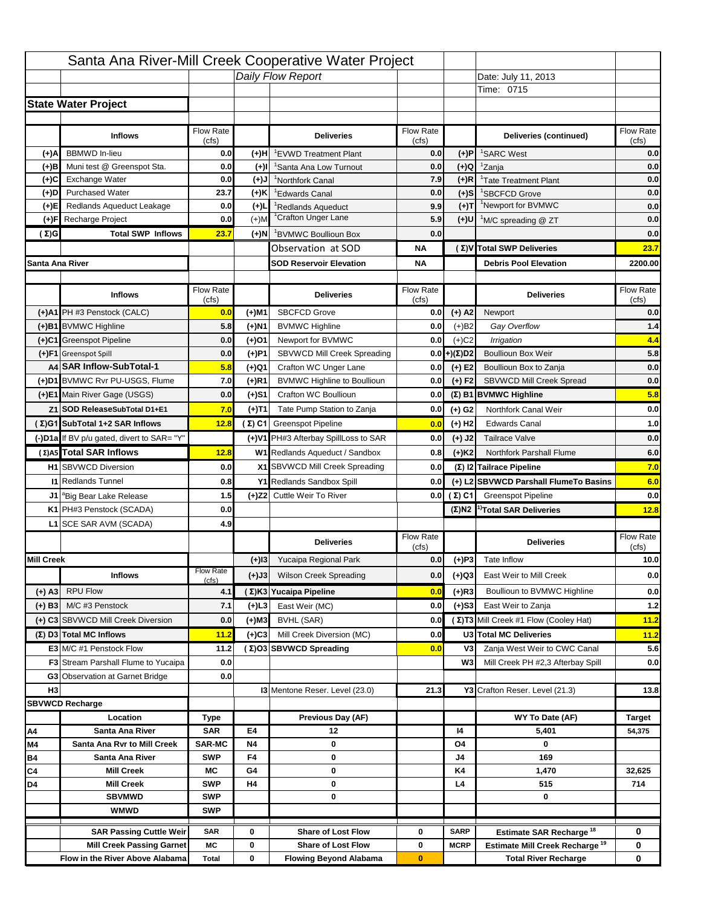|                   |                                                                     |                          |                   | Santa Ana River-Mill Creek Cooperative Water Project       |                  |                      |                                                                           |                                      |
|-------------------|---------------------------------------------------------------------|--------------------------|-------------------|------------------------------------------------------------|------------------|----------------------|---------------------------------------------------------------------------|--------------------------------------|
|                   |                                                                     |                          |                   | Daily Flow Report                                          |                  |                      | Date: July 11, 2013                                                       |                                      |
|                   |                                                                     |                          |                   |                                                            |                  |                      | Time: 0715                                                                |                                      |
|                   | <b>State Water Project</b>                                          |                          |                   |                                                            |                  |                      |                                                                           |                                      |
|                   |                                                                     |                          |                   |                                                            |                  |                      |                                                                           |                                      |
|                   | <b>Inflows</b>                                                      | Flow Rate                |                   | <b>Deliveries</b>                                          | <b>Flow Rate</b> |                      | Deliveries (continued)                                                    | Flow Rate                            |
| (+)A              | <b>BBMWD</b> In-lieu                                                | (cfs)<br>0.0             | (+)H              | 'EVWD Treatment Plant                                      | (cfs)<br>0.0     | (+)P                 | <sup>1</sup> SARC West                                                    | (cfs)<br>0.0                         |
| (+)B              | Muni test @ Greenspot Sta.                                          | 0.0                      | $(+)$ l           | 'Santa Ana Low Turnout                                     | 0.0              | $(+)Q$               | <sup>1</sup> Zanja                                                        | 0.0                                  |
| (+)C              | Exchange Water                                                      | 0.0                      | $(L(+)$           | <sup>1</sup> Northfork Canal                               | 7.9              | $(+)R$               | <sup>1</sup> Tate Treatment Plant                                         | 0.0                                  |
| (+)D              | <b>Purchased Water</b>                                              | 23.7                     | (+)K              | <sup>1</sup> Edwards Canal                                 | 0.0              | $(+)$ S              | <sup>1</sup> SBCFCD Grove                                                 | 0.0                                  |
| (+)E              | Redlands Aqueduct Leakage                                           | 0.0                      | $(+)1$            | <sup>1</sup> Redlands Aqueduct                             | 9.9              | $(+)T$               | <sup>1</sup> Newport for BVMWC                                            | 0.0                                  |
| (+)F              | Recharge Project                                                    | 0.0                      | $(+)$ M           | <sup>1</sup> Crafton Unger Lane                            | 5.9              | $(+)$ U              | <sup>1</sup> M/C spreading @ ZT                                           | 0.0                                  |
| (Σ)G              | <b>Total SWP Inflows</b>                                            | 23.7                     | $(+)$ N           | <sup>1</sup> BVMWC Boullioun Box                           | 0.0              |                      |                                                                           | 0.0                                  |
|                   |                                                                     |                          |                   | Observation at SOD                                         | ΝA               |                      | (Σ) V Total SWP Deliveries                                                | 23.7                                 |
| Santa Ana River   |                                                                     |                          |                   | <b>SOD Reservoir Elevation</b>                             | ΝA               |                      | <b>Debris Pool Elevation</b>                                              | 2200.00                              |
|                   |                                                                     |                          |                   |                                                            |                  |                      |                                                                           |                                      |
|                   | <b>Inflows</b>                                                      | Flow Rate                |                   | <b>Deliveries</b>                                          | Flow Rate        |                      | <b>Deliveries</b>                                                         | Flow Rate                            |
|                   |                                                                     | (cfs)                    |                   |                                                            | (cfs)            |                      |                                                                           | (cfs)                                |
|                   | (+)A1 PH #3 Penstock (CALC)                                         | 0.0                      | (+)M1             | <b>SBCFCD Grove</b>                                        | 0.0              | $(+)$ A2             | Newport                                                                   | 0.0                                  |
|                   | (+)B1 BVMWC Highline                                                | 5.8                      | (+)N1             | <b>BVMWC Highline</b>                                      | 0.0              | $(+)B2$              | Gay Overflow                                                              | $1.4$                                |
|                   | (+)C1 Greenspot Pipeline                                            | 0.0                      | (+)01             | Newport for BVMWC                                          | 0.0              | $(+)$ C <sub>2</sub> | Irrigation                                                                | 4.4                                  |
|                   | (+)F1 Greenspot Spill<br>A4 SAR Inflow-SubTotal-1                   | 0.0                      | (+)P1             | SBVWCD Mill Creek Spreading<br>Crafton WC Unger Lane       | 0.0              | (+)(Σ)D2             | <b>Boullioun Box Weir</b>                                                 | 5.8                                  |
|                   | (+)D1 BVMWC Rvr PU-USGS, Flume                                      | 5.8<br>7.0               | (+)Q1<br>$(+)$ R1 | <b>BVMWC Highline to Boullioun</b>                         | 0.0<br>0.0       | $(+) E2$<br>$(+) F2$ | Boullioun Box to Zanja<br>SBVWCD Mill Creek Spread                        | 0.0<br>0.0                           |
|                   |                                                                     |                          |                   |                                                            |                  |                      |                                                                           |                                      |
|                   | (+)E1 Main River Gage (USGS)                                        | 0.0                      | (+)S1             | Crafton WC Boullioun                                       | 0.0              |                      | $(\Sigma)$ B1 BVMWC Highline                                              | 5.8                                  |
|                   | Z1 SOD ReleaseSubTotal D1+E1                                        | 7.0                      | (+)T1             | Tate Pump Station to Zanja                                 | 0.0              | (+) G2               | Northfork Canal Weir                                                      | 0.0                                  |
|                   | (Σ)G1 SubTotal 1+2 SAR Inflows                                      | 12.8                     |                   | (Σ) C1 Greenspot Pipeline                                  | 0.0              | $(+)$ H <sub>2</sub> | <b>Edwards Canal</b>                                                      | 1.0                                  |
|                   | (-)D1a If BV p/u gated, divert to SAR= "Y"                          |                          |                   | (+)V1 PH#3 Afterbay SpillLoss to SAR                       | 0.0              | $(+)$ J2             | <b>Tailrace Valve</b>                                                     | 0.0                                  |
|                   | (Σ) A5 Total SAR Inflows                                            | 12.8                     |                   | W1 Redlands Aqueduct / Sandbox                             | 0.8              | $(+)$ K <sub>2</sub> | <b>Northfork Parshall Flume</b>                                           | 6.0                                  |
|                   | <b>H1</b> SBVWCD Diversion                                          | 0.0                      |                   | X1 SBVWCD Mill Creek Spreading                             | 0.0              |                      | (Σ) I2 Tailrace Pipeline                                                  | 7.0                                  |
|                   | <b>11 Redlands Tunnel</b>                                           | 0.8                      |                   | Y1 Redlands Sandbox Spill                                  | 0.0              |                      | (+) L2 SBVWCD Parshall FlumeTo Basins                                     | 6.0                                  |
|                   | J1 <sup>a</sup> Big Bear Lake Release                               | 1.5                      |                   | (+)Z2 Cuttle Weir To River                                 |                  | 0.0 $(\Sigma)$ C1    | <b>Greenspot Pipeline</b>                                                 | 0.0                                  |
|                   | K1 PH#3 Penstock (SCADA)                                            | 0.0                      |                   |                                                            |                  |                      | $(\Sigma)$ N2 <sup>1)</sup> Total SAR Deliveries                          | 12.8                                 |
|                   | L1 SCE SAR AVM (SCADA)                                              | 4.9                      |                   |                                                            |                  |                      |                                                                           |                                      |
|                   |                                                                     |                          |                   |                                                            |                  |                      |                                                                           |                                      |
| <b>Mill Creek</b> |                                                                     |                          |                   | <b>Deliveries</b>                                          | <b>Flow Rate</b> |                      | <b>Deliveries</b>                                                         | Flow Rate                            |
|                   |                                                                     |                          |                   |                                                            | (cfs)            |                      |                                                                           | (cts)                                |
|                   |                                                                     | <b>Flow Rate</b>         | $(+)$ 13          | Yucaipa Regional Park                                      | 0.0              | $(+)P3$              | Tate Inflow                                                               |                                      |
|                   | <b>Inflows</b>                                                      | (cfs)                    | (+)J3             | <b>Wilson Creek Spreading</b>                              | 0.0              | (+)Q3                | East Weir to Mill Creek                                                   |                                      |
| (+) A3            | <b>RPU Flow</b>                                                     | 4.1                      |                   | (Σ)K3 Yucaipa Pipeline                                     | 0.0              | $(+)$ R3             | Boullioun to BVMWC Highline                                               |                                      |
| $(+)$ B3          | M/C #3 Penstock                                                     | 7.1                      | (+)L3             | East Weir (MC)                                             | 0.0              | $(+)$ S3             | East Weir to Zanja                                                        | 10.0<br>0.0<br>0.0<br>$1.2$          |
|                   | (+) C3 SBVWCD Mill Creek Diversion                                  | 0.0                      | (+)M3             | BVHL (SAR)                                                 | 0.0              |                      | (Σ) T3 Mill Creek #1 Flow (Cooley Hat)                                    | 11.2                                 |
|                   | (Σ) D3 Total MC Inflows                                             | 11.2                     | $(+)C3$           | Mill Creek Diversion (MC)                                  | 0.0              |                      | U3 Total MC Deliveries                                                    |                                      |
|                   | E3 M/C #1 Penstock Flow                                             | 11.2                     |                   | (Σ)O3 SBVWCD Spreading                                     | 0.0              | V3                   | Zanja West Weir to CWC Canal                                              |                                      |
|                   | <b>F3</b> Stream Parshall Flume to Yucaipa                          | 0.0                      |                   |                                                            |                  | W <sub>3</sub>       | Mill Creek PH #2,3 Afterbay Spill                                         |                                      |
|                   | G3 Observation at Garnet Bridge                                     | 0.0                      |                   |                                                            |                  |                      |                                                                           |                                      |
| H <sub>3</sub>    |                                                                     |                          |                   | 13 Mentone Reser. Level (23.0)                             | 21.3             |                      | Y3 Crafton Reser. Level (21.3)                                            |                                      |
|                   | <b>SBVWCD Recharge</b>                                              |                          |                   |                                                            |                  |                      |                                                                           |                                      |
|                   | Location                                                            | Type                     |                   | Previous Day (AF)                                          |                  |                      | WY To Date (AF)                                                           | <b>Target</b>                        |
| Α4                | Santa Ana River                                                     | <b>SAR</b>               | E4                | 12                                                         |                  | 14                   | 5,401                                                                     | 54,375                               |
| M4                | Santa Ana Rvr to Mill Creek                                         | <b>SAR-MC</b>            | <b>N4</b>         | 0                                                          |                  | O4                   | 0                                                                         |                                      |
| Β4                | Santa Ana River                                                     | <b>SWP</b>               | F4                | 0                                                          |                  | J4                   | 169                                                                       |                                      |
| C4                | <b>Mill Creek</b>                                                   | МC                       | G4                | 0                                                          |                  | K4                   | 1,470                                                                     | 32,625                               |
| D4                | <b>Mill Creek</b>                                                   | <b>SWP</b>               | H4                | 0                                                          |                  | L4                   | 515                                                                       | 714                                  |
|                   | <b>SBVMWD</b><br><b>WMWD</b>                                        | <b>SWP</b><br><b>SWP</b> |                   | 0                                                          |                  |                      | 0                                                                         |                                      |
|                   |                                                                     |                          |                   |                                                            |                  |                      |                                                                           |                                      |
|                   | <b>SAR Passing Cuttle Weir</b>                                      | <b>SAR</b>               | 0                 | <b>Share of Lost Flow</b>                                  | 0                | <b>SARP</b>          | Estimate SAR Recharge <sup>18</sup>                                       | 0                                    |
|                   | <b>Mill Creek Passing Garnet</b><br>Flow in the River Above Alabama | МC<br><b>Total</b>       | 0<br>0            | <b>Share of Lost Flow</b><br><b>Flowing Beyond Alabama</b> | 0<br>$\bf{0}$    | <b>MCRP</b>          | Estimate Mill Creek Recharge <sup>19</sup><br><b>Total River Recharge</b> | 11.2<br>5.6<br>0.0<br>13.8<br>0<br>0 |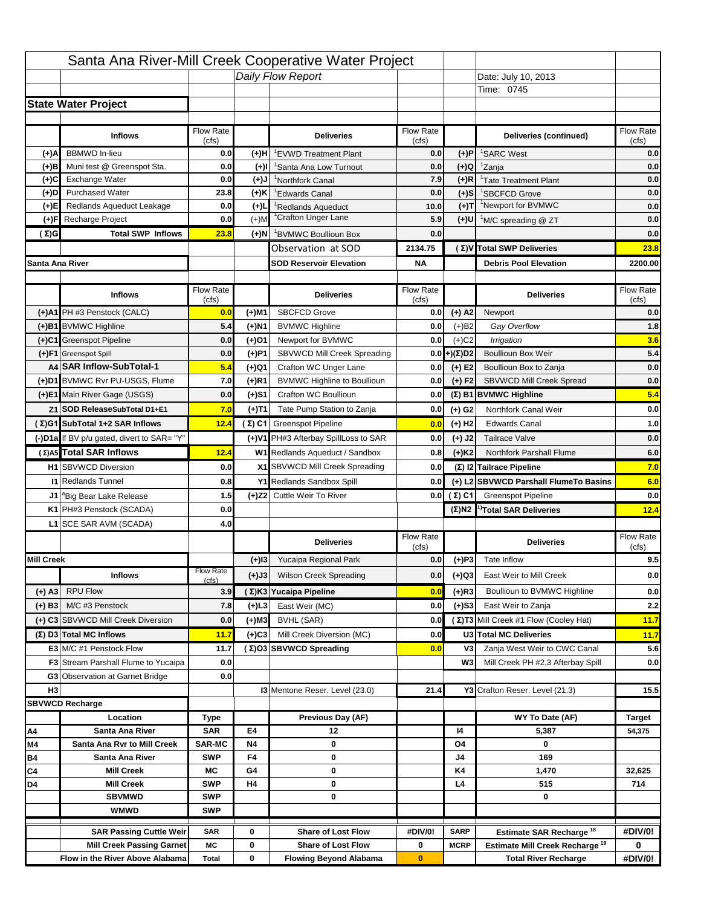| Santa Ana River-Mill Creek Cooperative Water Project                                                       |                                                                                   |                         |
|------------------------------------------------------------------------------------------------------------|-----------------------------------------------------------------------------------|-------------------------|
| Daily Flow Report                                                                                          | Date: July 10, 2013                                                               |                         |
|                                                                                                            | Time: 0745                                                                        |                         |
| <b>State Water Project</b>                                                                                 |                                                                                   |                         |
|                                                                                                            |                                                                                   |                         |
| Flow Rate<br><b>Flow Rate</b><br><b>Inflows</b><br><b>Deliveries</b><br>(cfs)<br>(cfs)                     | Deliveries (continued)                                                            | Flow Rate<br>(cfs)      |
| <b>BBMWD</b> In-lieu<br>(+)A<br>0.0<br>0.0<br>(+)P<br>(+)H<br>'EVWD Treatment Plant                        | <sup>1</sup> SARC West                                                            | 0.0                     |
| Muni test @ Greenspot Sta.<br>0.0<br>0.0<br>$(+)Q$<br>(+)B<br>$(+)$ l<br>'Santa Ana Low Turnout            | <sup>1</sup> Zanja                                                                | 0.0                     |
| Exchange Water<br>0.0<br>7.9<br>$(+)R$<br>(+)C<br>$(L(+)$<br><sup>1</sup> Northfork Canal                  | <sup>1</sup> Tate Treatment Plant                                                 | 0.0                     |
| (+)D<br><b>Purchased Water</b><br>23.8<br>(+)K<br>0.0<br>$(+)$ S<br><sup>1</sup> Edwards Canal             | <sup>1</sup> SBCFCD Grove                                                         | 0.0                     |
| 0.0<br>$(+)T$<br>Redlands Aqueduct Leakage<br>$(+)1$<br>(+)E <br><sup>1</sup> Redlands Aqueduct<br>10.0    | <sup>1</sup> Newport for BVMWC                                                    | 0.0                     |
| <sup>1</sup> Crafton Unger Lane<br>Recharge Project<br>0.0<br>$(+)$ M<br>5.9<br>(+)U<br>(+)F               | <sup>1</sup> M/C spreading @ ZT                                                   | 0.0                     |
| <b>Total SWP Inflows</b><br>23.8<br>0.0<br>(Σ)G<br>$(+)$ N<br><sup>1</sup> BVMWC Boullioun Box             |                                                                                   | 0.0                     |
| Observation at SOD<br>2134.75                                                                              | (Σ)V Total SWP Deliveries                                                         | 23.8                    |
| Santa Ana River<br><b>SOD Reservoir Elevation</b><br><b>NA</b>                                             | <b>Debris Pool Elevation</b>                                                      | 2200.00                 |
|                                                                                                            |                                                                                   |                         |
| Flow Rate<br>Flow Rate<br><b>Inflows</b><br><b>Deliveries</b>                                              | <b>Deliveries</b>                                                                 | Flow Rate<br>(cfs)      |
| (cfs)<br>(cfs)<br><b>SBCFCD Grove</b><br>(+)A1 PH #3 Penstock (CALC)<br>$(+)$ A2<br>0.0<br>(+)M1<br>0.0    | Newport                                                                           | 0.0                     |
| (+)B1 BVMWC Highline<br>5.4<br>(+)N1<br><b>BVMWC Highline</b><br>0.0<br>$(+)B2$                            | Gay Overflow                                                                      | 1.8                     |
| (+)C1 Greenspot Pipeline<br>$(+)$ C <sub>2</sub><br>0.0<br>(+)01<br>Newport for BVMWC<br>0.0               | Irrigation                                                                        | 3.6                     |
| SBVWCD Mill Creek Spreading<br>(+)(Σ)D2<br>(+)F1 Greenspot Spill<br>0.0<br>(+)P1<br>0.0                    | <b>Boullioun Box Weir</b>                                                         | 5.4                     |
| A4 SAR Inflow-SubTotal-1<br>5.4<br>Crafton WC Unger Lane<br>$(+) E2$<br>(+)Q1<br>0.0                       | Boullioun Box to Zanja                                                            | 0.0                     |
| (+)D1 BVMWC Rvr PU-USGS, Flume<br>7.0<br>$(+)$ R1<br><b>BVMWC Highline to Boullioun</b><br>$(+) F2$<br>0.0 | <b>SBVWCD Mill Creek Spread</b>                                                   | 0.0                     |
| (+)E1 Main River Gage (USGS)<br>0.0<br>Crafton WC Boullioun<br>(+)S1<br>0.0                                | $(\Sigma)$ B1 BVMWC Highline                                                      | 5.4                     |
| 7.0<br>Tate Pump Station to Zanja<br>Z1 SOD ReleaseSubTotal D1+E1<br>0.0                                   | Northfork Canal Weir                                                              | 0.0                     |
| (+)T1<br>(+) G2<br>(Σ)G1 SubTotal 1+2 SAR Inflows<br>12.4                                                  | <b>Edwards Canal</b>                                                              | 1.0                     |
| (Σ) C1 Greenspot Pipeline<br>$(+)$ H <sub>2</sub><br>0.0                                                   |                                                                                   |                         |
| (-)D1a If BV p/u gated, divert to SAR= "Y"<br>(+)V1 PH#3 Afterbay SpillLoss to SAR<br>$(+)$ J2<br>0.0      | <b>Tailrace Valve</b>                                                             | 0.0                     |
| (Σ) A5 Total SAR Inflows<br>W1 Redlands Aqueduct / Sandbox<br>12.4<br>$(+)$ K <sub>2</sub><br>0.8          | <b>Northfork Parshall Flume</b>                                                   | 6.0                     |
| <b>H1</b> SBVWCD Diversion<br>0.0<br>X1 SBVWCD Mill Creek Spreading<br>0.0                                 | (Σ) I2 Tailrace Pipeline                                                          | 7.0                     |
| <b>11 Redlands Tunnel</b><br>0.8<br>Y1 Redlands Sandbox Spill<br>0.0                                       | (+) L2 SBVWCD Parshall FlumeTo Basins                                             | 6.0                     |
| 1.5<br>(+)Z2 Cuttle Weir To River<br>0.0 $(\Sigma)$ C1<br>J1 <sup>a</sup> Big Bear Lake Release            | <b>Greenspot Pipeline</b>                                                         | 0.0                     |
| K1 PH#3 Penstock (SCADA)<br>0.0                                                                            | $(\Sigma)$ N2 <sup>1)</sup> Total SAR Deliveries                                  | 12.4                    |
| L1 SCE SAR AVM (SCADA)<br>4.0                                                                              |                                                                                   |                         |
| <b>Flow Rate</b><br><b>Deliveries</b><br>(cfs)                                                             | <b>Deliveries</b>                                                                 | Flow Rate<br>(cfs)      |
| <b>Mill Creek</b><br>$(+)P3$<br>Yucaipa Regional Park<br>0.0<br>$(+)$ 13                                   | Tate Inflow                                                                       | 9.5                     |
| <b>Flow Rate</b><br><b>Wilson Creek Spreading</b><br><b>Inflows</b><br>(+)J3<br>0.0<br>(+)Q3               | East Weir to Mill Creek                                                           | 0.0                     |
| (cfs)<br><b>RPU Flow</b>                                                                                   |                                                                                   |                         |
| 3.9<br>(Σ)K3 Yucaipa Pipeline<br>$(+)$ R3<br>(+) A3<br>0.0                                                 | Boullioun to BVMWC Highline                                                       | 0.0                     |
| M/C #3 Penstock<br>7.8<br>$(+)$ L3<br>East Weir (MC)<br>0.0<br>$(+)$ S3<br>$(+)$ B3                        | East Weir to Zanja                                                                | 2.2                     |
| (+) C3 SBVWCD Mill Creek Diversion<br>0.0<br>(+)M3<br>BVHL (SAR)<br>0.0                                    | (Σ) T3 Mill Creek #1 Flow (Cooley Hat)                                            | 11.7                    |
| (Σ) D3 Total MC Inflows<br>11.7<br>Mill Creek Diversion (MC)<br>0.0<br>$(+)C3$                             | U3 Total MC Deliveries                                                            | 11.7                    |
| E3 M/C #1 Penstock Flow<br>11.7<br>(Σ)O3 SBVWCD Spreading<br>V3<br>0.0                                     | Zanja West Weir to CWC Canal                                                      | 5.6                     |
| <b>F3</b> Stream Parshall Flume to Yucaipa<br>W <sub>3</sub><br>0.0                                        | Mill Creek PH #2,3 Afterbay Spill                                                 | 0.0                     |
| G3 Observation at Garnet Bridge<br>0.0<br>H <sub>3</sub><br><b>13 Mentone Reser. Level (23.0)</b>          |                                                                                   |                         |
| 21.4                                                                                                       | Y3 Crafton Reser. Level (21.3)                                                    | 15.5                    |
| <b>SBVWCD Recharge</b><br>Previous Day (AF)<br>Location                                                    | WY To Date (AF)                                                                   |                         |
| Type<br><b>SAR</b><br>E4<br>Α4<br>Santa Ana River<br>12<br>14                                              | 5,387                                                                             | <b>Target</b><br>54,375 |
| Santa Ana Rvr to Mill Creek<br><b>SAR-MC</b><br><b>N4</b><br>M4<br>0<br>O4                                 | 0                                                                                 |                         |
| <b>SWP</b><br>F4<br>Β4<br>Santa Ana River<br>0<br>J4                                                       | 169                                                                               |                         |
| <b>Mill Creek</b><br>МC<br>G4<br>K4<br>C4<br>0                                                             | 1,470                                                                             | 32,625                  |
| <b>SWP</b><br>D4<br><b>Mill Creek</b><br>H4<br>0<br>L4                                                     | 515                                                                               | 714                     |
| <b>SBVMWD</b><br><b>SWP</b><br>0                                                                           | 0                                                                                 |                         |
| <b>WMWD</b><br><b>SWP</b>                                                                                  |                                                                                   |                         |
| <b>Share of Lost Flow</b><br><b>SAR Passing Cuttle Weir</b><br>0<br>#DIV/0!<br><b>SARP</b>                 |                                                                                   | #DIV/0!                 |
| <b>SAR</b><br><b>Share of Lost Flow</b><br><b>Mill Creek Passing Garnet</b><br>МC<br>0<br>0<br><b>MCRP</b> | Estimate SAR Recharge <sup>18</sup><br>Estimate Mill Creek Recharge <sup>19</sup> | 0                       |
| Flow in the River Above Alabama<br>0<br><b>Flowing Beyond Alabama</b><br>$\bf{0}$<br><b>Total</b>          | <b>Total River Recharge</b>                                                       | #DIV/0!                 |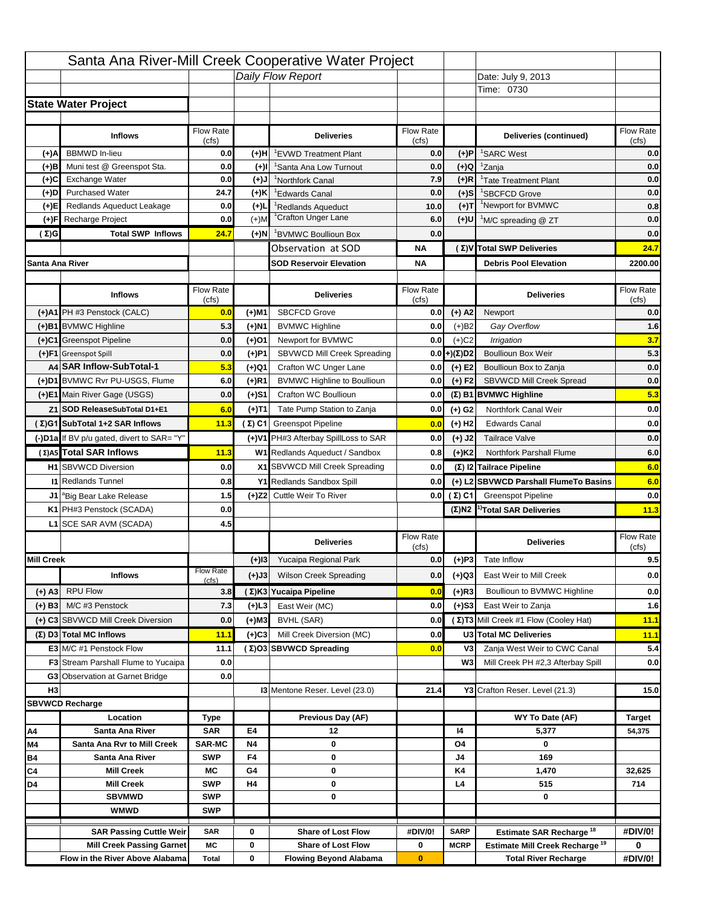| Santa Ana River-Mill Creek Cooperative Water Project<br>Daily Flow Report<br>Date: July 9, 2013<br>Time: 0730                                                                                   |                    |
|-------------------------------------------------------------------------------------------------------------------------------------------------------------------------------------------------|--------------------|
|                                                                                                                                                                                                 |                    |
|                                                                                                                                                                                                 |                    |
| <b>State Water Project</b>                                                                                                                                                                      |                    |
|                                                                                                                                                                                                 |                    |
| Flow Rate<br><b>Flow Rate</b><br><b>Inflows</b><br><b>Deliveries</b><br>Deliveries (continued)<br>(cfs)<br>(cfs)                                                                                | Flow Rate<br>(cfs) |
| <b>BBMWD</b> In-lieu<br>(+)A<br>0.0<br>0.0<br>(+)P<br><sup>1</sup> SARC West<br>(+)H<br>'EVWD Treatment Plant                                                                                   | 0.0                |
| Muni test @ Greenspot Sta.<br>0.0<br><sup>1</sup> Zanja<br>0.0<br>$(+)Q$<br>(+)B<br>$(+)$ l<br>'Santa Ana Low Turnout                                                                           | 0.0                |
| Exchange Water<br>0.0<br>7.9<br>$(+)R$<br>(+)C<br>$(L(+)$<br><sup>1</sup> Tate Treatment Plant<br><sup>1</sup> Northfork Canal                                                                  | 0.0                |
| (+)D<br><b>Purchased Water</b><br>24.7<br>(+)K<br>0.0<br>$(+)$ S<br><sup>1</sup> SBCFCD Grove<br><sup>1</sup> Edwards Canal                                                                     | 0.0                |
| <sup>1</sup> Newport for BVMWC<br>$(+)T$<br>Redlands Aqueduct Leakage<br>0.0<br>$(+)1$<br>(+)E <br><sup>1</sup> Redlands Aqueduct<br>10.0                                                       | 0.8                |
| <sup>1</sup> Crafton Unger Lane<br>Recharge Project<br>0.0<br>$(+)$ M<br>6.0<br>$(+)$ U<br>(+)F<br><sup>1</sup> M/C spreading @ ZT                                                              | 0.0                |
| <b>Total SWP Inflows</b><br>24.7<br>0.0<br>(Σ)G<br>$(+)$ N<br><sup>1</sup> BVMWC Boullioun Box                                                                                                  | 0.0                |
| (Σ) V Total SWP Deliveries<br>Observation at SOD<br>ΝA                                                                                                                                          | 24.7               |
| Santa Ana River<br><b>SOD Reservoir Elevation</b><br><b>Debris Pool Elevation</b><br>ΝA                                                                                                         | 2200.00            |
|                                                                                                                                                                                                 |                    |
| Flow Rate<br>Flow Rate<br><b>Inflows</b><br><b>Deliveries</b><br><b>Deliveries</b><br>(cfs)<br>(cfs)                                                                                            | Flow Rate<br>(cfs) |
| <b>SBCFCD Grove</b><br>(+)A1 PH #3 Penstock (CALC)<br>$(+)$ A2<br>0.0<br>(+)M1<br>0.0<br>Newport                                                                                                | 0.0                |
| (+)B1 BVMWC Highline<br>5.3<br>(+)N1<br><b>BVMWC Highline</b><br>0.0<br>$(+)B2$<br>Gay Overflow                                                                                                 | 1.6                |
| (+)C1 Greenspot Pipeline<br>$(+)$ C <sub>2</sub><br>0.0<br>(+)01<br>Newport for BVMWC<br>0.0<br>Irrigation                                                                                      | 3.7                |
| SBVWCD Mill Creek Spreading<br>(+)(Σ)D2<br>(+)F1 Greenspot Spill<br>0.0<br>(+)P1<br>0.0<br><b>Boullioun Box Weir</b>                                                                            | 5.3                |
| A4 SAR Inflow-SubTotal-1<br>5.3<br>Crafton WC Unger Lane<br>$(+) E2$<br>(+)Q1<br>0.0<br>Boullioun Box to Zanja                                                                                  | 0.0                |
| (+)D1 BVMWC Rvr PU-USGS, Flume<br>6.0<br>$(+)$ R1<br><b>BVMWC Highline to Boullioun</b><br>$(+) F2$<br><b>SBVWCD Mill Creek Spread</b><br>0.0                                                   | 0.0                |
| (+)E1 Main River Gage (USGS)<br>0.0<br>Crafton WC Boullioun<br>$(\Sigma)$ B1 BVMWC Highline<br>(+)S1<br>0.0                                                                                     | 5.3                |
| Northfork Canal Weir<br>Tate Pump Station to Zanja<br>Z1 SOD ReleaseSubTotal D1+E1<br>6.0<br>(+)T1<br>0.0<br>(+) G2                                                                             | 0.0                |
| (Σ)G1 SubTotal 1+2 SAR Inflows<br>11.3<br>(Σ) C1 Greenspot Pipeline<br>$(+)$ H <sub>2</sub><br><b>Edwards Canal</b><br>0.0                                                                      | 0.0                |
|                                                                                                                                                                                                 |                    |
| (-)D1a If BV p/u gated, divert to SAR= "Y"<br>(+)V1 PH#3 Afterbay SpillLoss to SAR<br>$(+)$ J2<br>0.0<br><b>Tailrace Valve</b>                                                                  | 0.0                |
| (Σ) A5 Total SAR Inflows<br>W1 Redlands Aqueduct / Sandbox<br><b>Northfork Parshall Flume</b><br>11.3<br>$(+)$ K <sub>2</sub><br>0.8                                                            | 6.0                |
| (Σ) I2 Tailrace Pipeline<br><b>H1</b> SBVWCD Diversion<br>0.0<br>X1 SBVWCD Mill Creek Spreading<br>0.0                                                                                          | 6.0                |
| (+) L2 SBVWCD Parshall FlumeTo Basins<br><b>11 Redlands Tunnel</b><br>0.8<br>Y1 Redlands Sandbox Spill<br>0.0                                                                                   | 6.0                |
| 1.5<br>(+)Z2 Cuttle Weir To River<br>0.0 $(Σ) C1$<br><b>Greenspot Pipeline</b><br>J1 <sup>a</sup> Big Bear Lake Release                                                                         | 0.0                |
| K1 PH#3 Penstock (SCADA)<br>0.0<br>$(\Sigma)$ N2 <sup>1)</sup> Total SAR Deliveries                                                                                                             | 11.3               |
| 4.5<br>L1 SCE SAR AVM (SCADA)                                                                                                                                                                   |                    |
| <b>Flow Rate</b><br><b>Deliveries</b><br><b>Deliveries</b><br>(cfs)                                                                                                                             | Flow Rate<br>(cfs) |
| <b>Mill Creek</b><br>$(+)P3$<br>Yucaipa Regional Park<br>0.0<br>$(+)$ 13<br>Tate Inflow                                                                                                         | 9.5                |
| <b>Flow Rate</b><br><b>Wilson Creek Spreading</b><br>East Weir to Mill Creek<br><b>Inflows</b><br>(+)J3<br>0.0<br>(+)Q3                                                                         | 0.0                |
| (cfs)<br><b>RPU Flow</b><br>(Σ)K3 Yucaipa Pipeline<br>$(+)$ R3<br>$(+)$ A3<br>3.8<br>0.0<br>Boullioun to BVMWC Highline                                                                         | 0.0                |
| M/C #3 Penstock<br>East Weir (MC)<br>0.0<br>East Weir to Zanja                                                                                                                                  |                    |
| 7.3<br>$(+)$ L3<br>$(+)$ S3<br>$(+)$ B3<br>(Σ)T3 Mill Creek #1 Flow (Cooley Hat)                                                                                                                | 1.6                |
| (+) C3 SBVWCD Mill Creek Diversion<br>0.0<br>(+)M3<br>BVHL (SAR)<br>0.0                                                                                                                         | 11.1               |
| U3 Total MC Deliveries<br>(Σ) D3 Total MC Inflows<br>11.1<br>Mill Creek Diversion (MC)<br>0.0<br>$(+)C3$                                                                                        | 11.1               |
| E3 M/C #1 Penstock Flow<br>Zanja West Weir to CWC Canal<br>11.1<br>(Σ)O3 SBVWCD Spreading<br>V3<br>0.0                                                                                          | 5.4                |
| <b>F3</b> Stream Parshall Flume to Yucaipa<br>W <sub>3</sub><br>Mill Creek PH #2,3 Afterbay Spill<br>0.0                                                                                        | 0.0                |
| G3 Observation at Garnet Bridge<br>0.0<br>H <sub>3</sub><br><b>13 Mentone Reser. Level (23.0)</b>                                                                                               |                    |
| 21.4<br>Y3 Crafton Reser. Level (21.3)                                                                                                                                                          | 15.0               |
| <b>SBVWCD Recharge</b><br>Previous Day (AF)<br>WY To Date (AF)<br>Location                                                                                                                      | <b>Target</b>      |
| Type<br><b>SAR</b><br>E4<br>14                                                                                                                                                                  |                    |
| Α4<br>Santa Ana River<br>12<br>5,377<br>Santa Ana Rvr to Mill Creek<br><b>SAR-MC</b><br><b>N4</b><br>0<br>M4<br>0<br>O4                                                                         | 54,375             |
| <b>SWP</b><br>F4<br>Β4<br>Santa Ana River<br>0<br>169<br>J4                                                                                                                                     |                    |
| <b>Mill Creek</b><br>МC<br>G4<br>K4<br>C4<br>0<br>1,470                                                                                                                                         | 32,625             |
| <b>SWP</b><br>D4<br><b>Mill Creek</b><br>H4<br>0<br>L4<br>515                                                                                                                                   | 714                |
| <b>SBVMWD</b><br><b>SWP</b><br>0<br>0                                                                                                                                                           |                    |
| <b>WMWD</b><br><b>SWP</b>                                                                                                                                                                       |                    |
| <b>Share of Lost Flow</b><br><b>SAR Passing Cuttle Weir</b><br>0<br>#DIV/0!<br><b>SARP</b>                                                                                                      | #DIV/0!            |
| Estimate SAR Recharge <sup>18</sup><br><b>SAR</b><br><b>Share of Lost Flow</b><br>Estimate Mill Creek Recharge <sup>19</sup><br><b>Mill Creek Passing Garnet</b><br>МC<br>0<br>0<br><b>MCRP</b> | 0                  |
| Flow in the River Above Alabama<br>0<br><b>Flowing Beyond Alabama</b><br>$\bf{0}$<br><b>Total River Recharge</b><br><b>Total</b>                                                                | #DIV/0!            |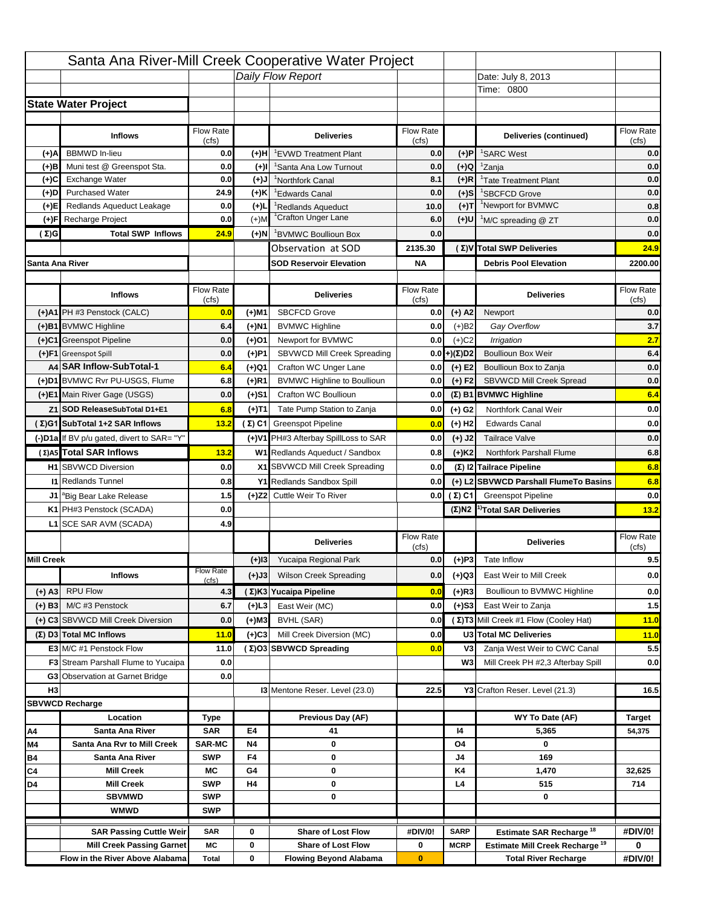|                   |                                                                     |                             |                 | Santa Ana River-Mill Creek Cooperative Water Project |                           |                      |                                                  |                    |
|-------------------|---------------------------------------------------------------------|-----------------------------|-----------------|------------------------------------------------------|---------------------------|----------------------|--------------------------------------------------|--------------------|
|                   |                                                                     |                             |                 | Daily Flow Report                                    |                           |                      | Date: July 8, 2013                               |                    |
|                   |                                                                     |                             |                 |                                                      |                           |                      | Time: 0800                                       |                    |
|                   | <b>State Water Project</b>                                          |                             |                 |                                                      |                           |                      |                                                  |                    |
|                   |                                                                     |                             |                 |                                                      |                           |                      |                                                  |                    |
|                   | <b>Inflows</b>                                                      | Flow Rate<br>(cfs)          |                 | <b>Deliveries</b>                                    | <b>Flow Rate</b><br>(cfs) |                      | Deliveries (continued)                           | Flow Rate<br>(cfs) |
| (+)A              | <b>BBMWD</b> In-lieu                                                | 0.0                         | (+)H            | 'EVWD Treatment Plant                                | 0.0                       | (+)P                 | <sup>1</sup> SARC West                           | 0.0                |
| (+)B              | Muni test @ Greenspot Sta.                                          | 0.0                         | $(+)$ l         | 'Santa Ana Low Turnout                               | 0.0                       | $(+)Q$               | <sup>1</sup> Zanja                               | 0.0                |
| (+)C              | Exchange Water                                                      | 0.0                         | $(L(+)$         | <sup>1</sup> Northfork Canal                         | 8.1                       | $(+)R$               | <sup>1</sup> Tate Treatment Plant                | 0.0                |
| (+)D              | <b>Purchased Water</b>                                              | 24.9                        | (+)K            | <sup>1</sup> Edwards Canal                           | 0.0                       | $(+)$ S              | <sup>1</sup> SBCFCD Grove                        | 0.0                |
| (+)E              | Redlands Aqueduct Leakage                                           | 0.0                         | $(+)1$          | <sup>1</sup> Redlands Aqueduct                       | 10.0                      | $(+)T$               | <sup>1</sup> Newport for BVMWC                   | 0.8                |
| (+)F              | Recharge Project                                                    | 0.0                         | $(+)$ M         | <sup>1</sup> Crafton Unger Lane                      | 6.0                       | (+)U                 | <sup>1</sup> M/C spreading @ ZT                  | 0.0                |
| (Σ)G              | <b>Total SWP Inflows</b>                                            | 24.9                        | (+)N            | <sup>1</sup> BVMWC Boullioun Box                     | 0.0                       |                      |                                                  | 0.0                |
|                   |                                                                     |                             |                 | Observation at SOD                                   | 2135.30                   |                      | (Σ)V Total SWP Deliveries                        | 24.9               |
| Santa Ana River   |                                                                     |                             |                 | <b>SOD Reservoir Elevation</b>                       | <b>NA</b>                 |                      | <b>Debris Pool Elevation</b>                     | 2200.00            |
|                   |                                                                     |                             |                 |                                                      |                           |                      |                                                  |                    |
|                   | <b>Inflows</b>                                                      | Flow Rate                   |                 | <b>Deliveries</b>                                    | Flow Rate                 |                      | <b>Deliveries</b>                                | Flow Rate<br>(cfs) |
|                   | (+)A1 PH #3 Penstock (CALC)                                         | (cfs)<br>0.0                | (+)M1           | <b>SBCFCD Grove</b>                                  | (cfs)<br>0.0              | $(+)$ A2             | Newport                                          | 0.0                |
|                   | (+)B1 BVMWC Highline                                                | 6.4                         | (+)N1           | <b>BVMWC Highline</b>                                | 0.0                       | $(+)B2$              | Gay Overflow                                     | 3.7                |
|                   | (+)C1 Greenspot Pipeline                                            | 0.0                         | (+)01           | Newport for BVMWC                                    | 0.0                       | $(+)$ C <sub>2</sub> | Irrigation                                       | 2.7                |
|                   | (+)F1 Greenspot Spill                                               | 0.0                         | (+)P1           | SBVWCD Mill Creek Spreading                          | 0.0                       | (+)(Σ)D2             | <b>Boullioun Box Weir</b>                        | 6.4                |
|                   | A4 SAR Inflow-SubTotal-1                                            | 6.4                         | (+)Q1           | Crafton WC Unger Lane                                | 0.0                       | $(+) E2$             | Boullioun Box to Zanja                           | 0.0                |
|                   | (+)D1 BVMWC Rvr PU-USGS, Flume                                      | 6.8                         | $(+)$ R1        | <b>BVMWC Highline to Boullioun</b>                   | 0.0                       | $(+) F2$             | SBVWCD Mill Creek Spread                         | 0.0                |
|                   | (+)E1 Main River Gage (USGS)                                        | 0.0                         | (+)S1           | Crafton WC Boullioun                                 | 0.0                       |                      | $(\Sigma)$ B1 BVMWC Highline                     | 6.4                |
|                   | Z1 SOD ReleaseSubTotal D1+E1                                        | 6.8                         |                 | Tate Pump Station to Zanja                           | 0.0                       |                      | Northfork Canal Weir                             | 0.0                |
|                   | (Σ)G1 SubTotal 1+2 SAR Inflows                                      |                             | (+)T1           |                                                      |                           | (+) G2               | <b>Edwards Canal</b>                             | 0.0                |
|                   |                                                                     | 13.2                        |                 | (Σ) C1 Greenspot Pipeline                            | 0.0                       | $(+)$ H <sub>2</sub> |                                                  |                    |
|                   | (-)D1a If BV p/u gated, divert to SAR= "Y"                          |                             |                 | (+)V1 PH#3 Afterbay SpillLoss to SAR                 | 0.0                       | $(+)$ J2             | <b>Tailrace Valve</b>                            | 0.0                |
|                   | (Σ) A5 Total SAR Inflows                                            | 13.2                        |                 | W1 Redlands Aqueduct / Sandbox                       | 0.8                       | $(+)$ K <sub>2</sub> | Northfork Parshall Flume                         | 6.8                |
|                   | <b>H1</b> SBVWCD Diversion                                          | 0.0                         |                 | X1 SBVWCD Mill Creek Spreading                       | 0.0                       |                      | (Σ) I2 Tailrace Pipeline                         | 6.8                |
|                   | <b>11 Redlands Tunnel</b>                                           | 0.8                         |                 | Y1 Redlands Sandbox Spill                            | 0.0                       |                      | (+) L2 SBVWCD Parshall FlumeTo Basins            | 6.8                |
|                   | J1 <sup>a</sup> Big Bear Lake Release                               | 1.5                         |                 | (+)Z2 Cuttle Weir To River                           |                           | 0.0 $(\Sigma)$ C1    | <b>Greenspot Pipeline</b>                        | 0.0                |
|                   | K1 PH#3 Penstock (SCADA)                                            | 0.0                         |                 |                                                      |                           |                      | $(\Sigma)$ N2 <sup>1)</sup> Total SAR Deliveries | 13.2               |
|                   | L1 SCE SAR AVM (SCADA)                                              | 4.9                         |                 |                                                      |                           |                      |                                                  |                    |
|                   |                                                                     |                             |                 | <b>Deliveries</b>                                    | <b>Flow Rate</b><br>(cfs) |                      | <b>Deliveries</b>                                | Flow Rate<br>(cfs) |
| <b>Mill Creek</b> |                                                                     |                             | $(+)$ 13        | Yucaipa Regional Park                                | 0.0                       | $(+)P3$              | Tate Inflow                                      | 9.5                |
|                   | <b>Inflows</b>                                                      | <b>Flow Rate</b>            | (+)J3           | <b>Wilson Creek Spreading</b>                        | 0.0                       | (+)Q3                | East Weir to Mill Creek                          | 0.0                |
|                   | <b>RPU Flow</b>                                                     | (cfs)                       |                 |                                                      |                           |                      |                                                  |                    |
| $(+)$ A3          |                                                                     | 4.3                         |                 | (Σ)K3 Yucaipa Pipeline                               | 0.0                       | $(+)$ R3             | Boullioun to BVMWC Highline                      | 0.0                |
| $(+)$ B3          | M/C #3 Penstock                                                     | 6.7                         | (+)L3           | East Weir (MC)                                       | 0.0                       | $(+)$ S3             | East Weir to Zanja                               | $1.5$              |
|                   | (+) C3 SBVWCD Mill Creek Diversion                                  | 0.0                         | (+)M3           | BVHL (SAR)                                           | 0.0                       |                      | (Σ)T3 Mill Creek #1 Flow (Cooley Hat)            | 11.0               |
|                   | (Σ) D3 Total MC Inflows                                             | 11.0                        | $(+)C3$         | Mill Creek Diversion (MC)                            | 0.0                       |                      | U3 Total MC Deliveries                           | 11.0               |
|                   | E3 M/C #1 Penstock Flow                                             | 11.0                        |                 | (Σ)O3 SBVWCD Spreading                               | 0.0                       | V3                   | Zanja West Weir to CWC Canal                     | 5.5                |
|                   | <b>F3</b> Stream Parshall Flume to Yucaipa                          | 0.0                         |                 |                                                      |                           | W <sub>3</sub>       | Mill Creek PH #2,3 Afterbay Spill                | 0.0                |
|                   | G3 Observation at Garnet Bridge                                     | 0.0                         |                 |                                                      |                           |                      |                                                  |                    |
| H <sub>3</sub>    |                                                                     |                             |                 | <b>13 Mentone Reser. Level (23.0)</b>                | 22.5                      |                      | Y3 Crafton Reser. Level (21.3)                   | 16.5               |
|                   | <b>SBVWCD Recharge</b>                                              |                             |                 |                                                      |                           |                      |                                                  |                    |
|                   | Location                                                            | Type<br><b>SAR</b>          | E4              | Previous Day (AF)                                    |                           | 14                   | WY To Date (AF)                                  | <b>Target</b>      |
| Α4                | Santa Ana River                                                     |                             |                 | 41                                                   |                           |                      | 5,365<br>0                                       | 54,375             |
| M4<br>Β4          | Santa Ana Rvr to Mill Creek<br>Santa Ana River                      | <b>SAR-MC</b><br><b>SWP</b> | <b>N4</b><br>F4 | 0<br>0                                               |                           | O4<br>J4             | 169                                              |                    |
| C4                | <b>Mill Creek</b>                                                   | МC                          | G4              | 0                                                    |                           | K4                   | 1,470                                            | 32,625             |
| D4                | <b>Mill Creek</b>                                                   | <b>SWP</b>                  | H4              | 0                                                    |                           | L4                   | 515                                              | 714                |
|                   | <b>SBVMWD</b>                                                       | <b>SWP</b>                  |                 | 0                                                    |                           |                      | 0                                                |                    |
|                   | <b>WMWD</b>                                                         | <b>SWP</b>                  |                 |                                                      |                           |                      |                                                  |                    |
|                   |                                                                     |                             |                 |                                                      |                           |                      |                                                  |                    |
|                   | <b>SAR Passing Cuttle Weir</b>                                      | <b>SAR</b>                  | 0               | <b>Share of Lost Flow</b>                            | #DIV/0!                   | <b>SARP</b>          | Estimate SAR Recharge <sup>18</sup>              | #DIV/0!            |
|                   | <b>Mill Creek Passing Garnet</b><br>Flow in the River Above Alabama | МC                          | 0<br>0          | <b>Share of Lost Flow</b>                            | 0                         | <b>MCRP</b>          | Estimate Mill Creek Recharge <sup>19</sup>       | 0                  |
|                   |                                                                     | <b>Total</b>                |                 | <b>Flowing Beyond Alabama</b>                        | $\bf{0}$                  |                      | <b>Total River Recharge</b>                      | #DIV/0!            |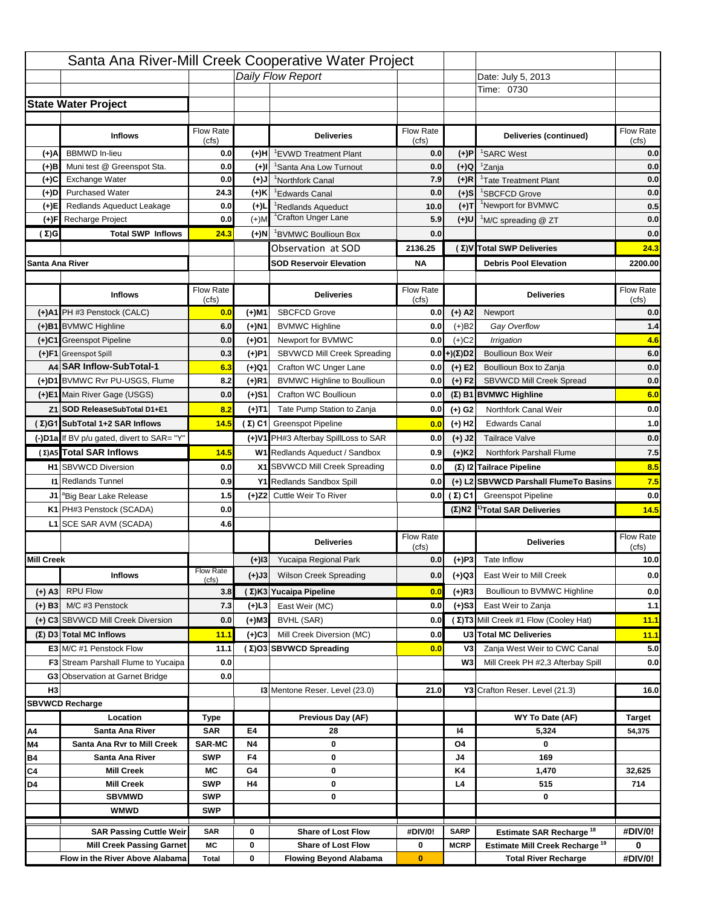|                   |                                                                    |                           |              | Santa Ana River-Mill Creek Cooperative Water Project         |                  |                            |                                                                                   |               |
|-------------------|--------------------------------------------------------------------|---------------------------|--------------|--------------------------------------------------------------|------------------|----------------------------|-----------------------------------------------------------------------------------|---------------|
|                   |                                                                    |                           |              | Daily Flow Report                                            |                  |                            | Date: July 5, 2013                                                                |               |
|                   |                                                                    |                           |              |                                                              |                  |                            | Time: 0730                                                                        |               |
|                   | <b>State Water Project</b>                                         |                           |              |                                                              |                  |                            |                                                                                   |               |
|                   |                                                                    |                           |              |                                                              |                  |                            |                                                                                   |               |
|                   | <b>Inflows</b>                                                     | Flow Rate                 |              | <b>Deliveries</b>                                            | Flow Rate        |                            | Deliveries (continued)                                                            | Flow Rate     |
|                   |                                                                    | (cfs)                     |              |                                                              | (cfs)            |                            |                                                                                   | (cfs)         |
| (+)A              | <b>BBMWD</b> In-lieu                                               | 0.0                       | (+)H         | 'EVWD Treatment Plant                                        | 0.0              | (+)P                       | <sup>1</sup> SARC West                                                            | 0.0           |
| $(+)$ B           | Muni test @ Greenspot Sta.<br><b>Exchange Water</b>                | 0.0<br>0.0                | $(+)$        | <sup>1</sup> Santa Ana Low Turnout                           | 0.0<br>7.9       | (+)Q<br>$(+)R$             | <sup>1</sup> Zanja                                                                | 0.0<br>0.0    |
| $(+)$ C<br>(+)D   | <b>Purchased Water</b>                                             | 24.3                      | (+)J<br>(+)K | <sup>1</sup> Northfork Canal                                 | 0.0              | $(+)$ S                    | <sup>1</sup> Tate Treatment Plant<br><sup>1</sup> SBCFCD Grove                    | 0.0           |
| (+)E              | Redlands Aqueduct Leakage                                          | 0.0                       | $(+)$        | <sup>1</sup> Edwards Canal<br><sup>1</sup> Redlands Aqueduct | 10.0             | $(+)$ T                    | <sup>1</sup> Newport for BVMWC                                                    | 0.5           |
| (+)F              | Recharge Project                                                   | 0.0                       | $(+)$ M      | <sup>1</sup> Crafton Unger Lane                              | 5.9              | $(+)$ U                    | <sup>1</sup> M/C spreading @ ZT                                                   | 0.0           |
| $(\Sigma)$ G      | <b>Total SWP Inflows</b>                                           | 24.3                      | (+)N         | <sup>1</sup> BVMWC Boullioun Box                             | 0.0              |                            |                                                                                   | 0.0           |
|                   |                                                                    |                           |              | Observation at SOD                                           | 2136.25          |                            | (Σ)V Total SWP Deliveries                                                         | 24.3          |
| Santa Ana River   |                                                                    |                           |              | <b>SOD Reservoir Elevation</b>                               | <b>NA</b>        |                            | <b>Debris Pool Elevation</b>                                                      | 2200.00       |
|                   |                                                                    |                           |              |                                                              |                  |                            |                                                                                   |               |
|                   |                                                                    | Flow Rate                 |              |                                                              | Flow Rate        |                            |                                                                                   | Flow Rate     |
|                   | <b>Inflows</b>                                                     | (cfs)                     |              | <b>Deliveries</b>                                            | (cts)            |                            | <b>Deliveries</b>                                                                 | (cfs)         |
|                   | (+)A1 PH #3 Penstock (CALC)                                        | 0.0                       | (+)M1        | <b>SBCFCD Grove</b>                                          | 0.0              | $(+)$ A2                   | Newport                                                                           | 0.0           |
|                   | (+)B1 BVMWC Highline                                               | 6.0                       | (+)N1        | <b>BVMWC Highline</b>                                        | 0.0              | $(+)B2$                    | Gay Overflow                                                                      | 1.4           |
|                   | (+)C1 Greenspot Pipeline                                           | 0.0                       | $(+)01$      | Newport for BVMWC                                            | 0.0              | $(+)$ C <sub>2</sub>       | Irrigation                                                                        | 4.6           |
|                   | (+)F1 Greenspot Spill                                              | 0.3                       | (+)P1        | SBVWCD Mill Creek Spreading                                  | 0.0              | $(+)(\Sigma)D2$            | <b>Boullioun Box Weir</b>                                                         | 6.0           |
|                   | A4 SAR Inflow-SubTotal-1                                           | 6.3                       | (+)Q1        | Crafton WC Unger Lane                                        | 0.0              | $(+)$ E2                   | Boullioun Box to Zanja                                                            | 0.0           |
|                   | (+)D1 BVMWC Rvr PU-USGS, Flume                                     | 8.2                       | (+)R1        | <b>BVMWC Highline to Boullioun</b>                           | 0.0              | $(+) F2$                   | SBVWCD Mill Creek Spread                                                          | 0.0           |
|                   | (+)E1 Main River Gage (USGS)                                       | 0.0                       | (+)S1        | Crafton WC Boullioun                                         | 0.0              |                            | (Σ) B1 BVMWC Highline                                                             | 6.0           |
|                   | Z1 SOD ReleaseSubTotal D1+E1                                       | 8.2                       | (+)T1        | Tate Pump Station to Zanja                                   | 0.0              | $(+)$ G <sub>2</sub>       | Northfork Canal Weir                                                              | 0.0           |
|                   | (Σ)G1 SubTotal 1+2 SAR Inflows                                     | 14.5                      |              | $(\Sigma)$ C1 Greenspot Pipeline                             | 0.0              | $(+)$ H <sub>2</sub>       | <b>Edwards Canal</b>                                                              | 1.0           |
|                   | (-)D1a If BV p/u gated, divert to SAR= "Y"                         |                           |              | (+)V1 PH#3 Afterbay SpillLoss to SAR                         | 0.0              | $(+)$ J2                   | <b>Tailrace Valve</b>                                                             | 0.0           |
|                   | (Σ) A5 Total SAR Inflows                                           | 14.5                      |              | W1 Redlands Aqueduct / Sandbox                               | 0.9              | $(+)$ K <sub>2</sub>       | Northfork Parshall Flume                                                          | 7.5           |
|                   | <b>H1 SBVWCD Diversion</b>                                         | 0.0                       |              | X1 SBVWCD Mill Creek Spreading                               | 0.0              |                            | (Σ) $ 2 $ Tailrace Pipeline                                                       | 8.5           |
|                   | <b>I1 Redlands Tunnel</b>                                          | 0.9                       |              | Y1 Redlands Sandbox Spill                                    | 0.0              |                            | (+) L2 SBVWCD Parshall FlumeTo Basins                                             | 7.5           |
|                   | J1 <sup>a</sup> Big Bear Lake Release                              | 1.5                       |              | (+)Z2 Cuttle Weir To River                                   |                  | $0.0$ ( $\Sigma$ ) C1      | <b>Greenspot Pipeline</b>                                                         | 0.0           |
|                   | K1 PH#3 Penstock (SCADA)                                           | 0.0                       |              |                                                              |                  | $(\Sigma)$ N2              | <sup>1)</sup> Total SAR Deliveries                                                | 14.5          |
|                   | L1 SCE SAR AVM (SCADA)                                             | 4.6                       |              |                                                              |                  |                            |                                                                                   |               |
|                   |                                                                    |                           |              |                                                              | <b>Flow Rate</b> |                            |                                                                                   | Flow Rate     |
|                   |                                                                    |                           |              | <b>Deliveries</b>                                            | (cts)            |                            | <b>Deliveries</b>                                                                 | (cts)         |
| <b>Mill Creek</b> |                                                                    |                           | $(+)$  3     | Yucaipa Regional Park                                        | 0.0              |                            | $(+)$ P3 Tate Inflow                                                              | 10.0          |
|                   | <b>Inflows</b>                                                     | <b>Flow Rate</b><br>(cfs) | (+)J3        | <b>Wilson Creek Spreading</b>                                | 0.0              | (+)Q3                      | East Weir to Mill Creek                                                           | 0.0           |
| $(+)$ A3          | <b>RPU Flow</b>                                                    | 3.8                       |              | (Σ) K3 Yucaipa Pipeline                                      | 0.0              | $(+)$ R3                   | Boullioun to BVMWC Highline                                                       | 0.0           |
| $(+)$ B3          | M/C #3 Penstock                                                    | 7.3                       | (+)L3        | East Weir (MC)                                               | 0.0              | $(+)$ S3                   | East Weir to Zanja                                                                | 1.1           |
|                   | (+) C3 SBVWCD Mill Creek Diversion                                 | 0.0                       | (+)M3        | BVHL (SAR)                                                   | 0.0              |                            | (Σ) T3 Mill Creek #1 Flow (Cooley Hat)                                            | 11.1          |
|                   | $(\Sigma)$ D3 Total MC Inflows                                     | 11.1                      | (+)C3        | Mill Creek Diversion (MC)                                    | 0.0              |                            | U3 Total MC Deliveries                                                            | 11.1          |
|                   | <b>E3 M/C #1 Penstock Flow</b>                                     | 11.1                      |              | (Σ)O3 SBVWCD Spreading                                       | 0.0              | V <sub>3</sub>             | Zanja West Weir to CWC Canal                                                      | 5.0           |
|                   | <b>F3</b> Stream Parshall Flume to Yucaipa                         | 0.0                       |              |                                                              |                  | W3                         | Mill Creek PH #2,3 Afterbay Spill                                                 | 0.0           |
|                   | <b>G3</b> Observation at Garnet Bridge                             | 0.0                       |              |                                                              |                  |                            |                                                                                   |               |
| H <sub>3</sub>    |                                                                    |                           |              | 13 Mentone Reser. Level (23.0)                               | 21.0             |                            | Y3 Crafton Reser. Level (21.3)                                                    | 16.0          |
|                   | <b>SBVWCD Recharge</b>                                             |                           |              |                                                              |                  |                            |                                                                                   |               |
|                   | Location                                                           | Type                      |              | Previous Day (AF)                                            |                  |                            | WY To Date (AF)                                                                   | <b>Target</b> |
| Α4                | Santa Ana River                                                    | <b>SAR</b>                | E4           | 28                                                           |                  | 14                         | 5,324                                                                             | 54,375        |
| M4                | <b>Santa Ana Rvr to Mill Creek</b>                                 | <b>SAR-MC</b>             | N4           | 0                                                            |                  | O4                         | 0                                                                                 |               |
| Β4                | Santa Ana River                                                    | <b>SWP</b>                | F4           | 0                                                            |                  | J4                         | 169                                                                               |               |
| C4                | <b>Mill Creek</b>                                                  | МC                        | G4           | 0                                                            |                  | K4                         | 1,470                                                                             | 32,625        |
| D4                | <b>Mill Creek</b>                                                  | <b>SWP</b>                | H4           | 0                                                            |                  | L4                         | 515                                                                               | 714           |
|                   |                                                                    |                           |              |                                                              |                  |                            | 0                                                                                 |               |
|                   | <b>SBVMWD</b>                                                      | <b>SWP</b>                |              | 0                                                            |                  |                            |                                                                                   |               |
|                   | <b>WMWD</b>                                                        | <b>SWP</b>                |              |                                                              |                  |                            |                                                                                   |               |
|                   |                                                                    | <b>SAR</b>                | 0            | <b>Share of Lost Flow</b>                                    |                  |                            |                                                                                   |               |
|                   | <b>SAR Passing Cuttle Weir</b><br><b>Mill Creek Passing Garnet</b> | МC                        | 0            | <b>Share of Lost Flow</b>                                    | #DIV/0!<br>0     | <b>SARP</b><br><b>MCRP</b> | Estimate SAR Recharge <sup>18</sup><br>Estimate Mill Creek Recharge <sup>19</sup> | #DIV/0!<br>0  |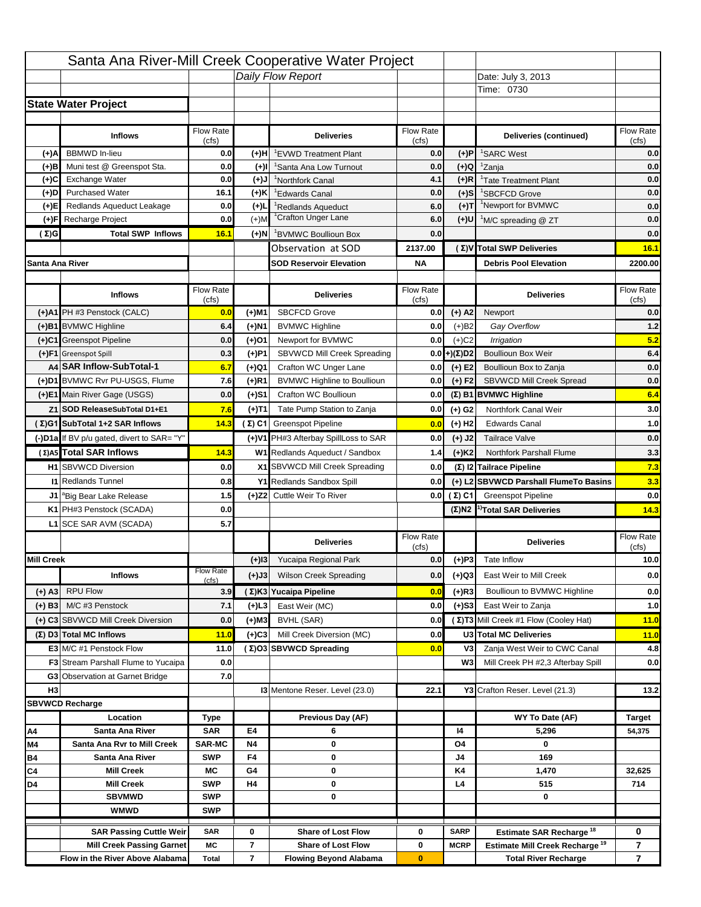|                   |                                                                     |                             |                     | Santa Ana River-Mill Creek Cooperative Water Project |                           |                      |                                                                           |                                  |
|-------------------|---------------------------------------------------------------------|-----------------------------|---------------------|------------------------------------------------------|---------------------------|----------------------|---------------------------------------------------------------------------|----------------------------------|
|                   |                                                                     |                             |                     | Daily Flow Report                                    |                           |                      | Date: July 3, 2013                                                        |                                  |
|                   |                                                                     |                             |                     |                                                      |                           |                      | Time: 0730                                                                |                                  |
|                   | <b>State Water Project</b>                                          |                             |                     |                                                      |                           |                      |                                                                           |                                  |
|                   |                                                                     |                             |                     |                                                      |                           |                      |                                                                           |                                  |
|                   | <b>Inflows</b>                                                      | Flow Rate                   |                     | <b>Deliveries</b>                                    | <b>Flow Rate</b>          |                      | Deliveries (continued)                                                    | Flow Rate                        |
| (+)A              | <b>BBMWD</b> In-lieu                                                | (cfs)<br>0.0                | (+)H                | 'EVWD Treatment Plant                                | (cfs)<br>0.0              | (+)P                 | <sup>1</sup> SARC West                                                    | (cfs)<br>0.0                     |
| (+)B              | Muni test @ Greenspot Sta.                                          | 0.0                         | $(+)$ l             | 'Santa Ana Low Turnout                               | 0.0                       | $(+)Q$               | <sup>1</sup> Zanja                                                        | 0.0                              |
| (+)C              | Exchange Water                                                      | 0.0                         | $(L(+)$             | <sup>1</sup> Northfork Canal                         | 4.1                       | $(+)R$               | <sup>1</sup> Tate Treatment Plant                                         | 0.0                              |
| (+)D              | <b>Purchased Water</b>                                              | 16.1                        | (+)K                | <sup>1</sup> Edwards Canal                           | 0.0                       | $(+)$ S              | <sup>1</sup> SBCFCD Grove                                                 | 0.0                              |
| (+)E              | Redlands Aqueduct Leakage                                           | 0.0                         | $(+)1$              | <sup>1</sup> Redlands Aqueduct                       | 6.0                       | $(+)T$               | <sup>1</sup> Newport for BVMWC                                            | 0.0                              |
| (+)F              | Recharge Project                                                    | 0.0                         | $(+)$ M             | <sup>1</sup> Crafton Unger Lane                      | 6.0                       | (+)U                 | <sup>1</sup> M/C spreading @ ZT                                           | 0.0                              |
| (Σ)G              | <b>Total SWP Inflows</b>                                            | 16.1                        | $(+)$ N             | <sup>1</sup> BVMWC Boullioun Box                     | 0.0                       |                      |                                                                           | 0.0                              |
|                   |                                                                     |                             |                     | Observation at SOD                                   | 2137.00                   |                      | (Σ) V Total SWP Deliveries                                                | 16.1                             |
| Santa Ana River   |                                                                     |                             |                     | <b>SOD Reservoir Elevation</b>                       | <b>NA</b>                 |                      | <b>Debris Pool Elevation</b>                                              | 2200.00                          |
|                   |                                                                     |                             |                     |                                                      |                           |                      |                                                                           |                                  |
|                   | <b>Inflows</b>                                                      | Flow Rate                   |                     | <b>Deliveries</b>                                    | Flow Rate                 |                      | <b>Deliveries</b>                                                         | Flow Rate                        |
|                   | (+)A1 PH #3 Penstock (CALC)                                         | (cfs)                       |                     | <b>SBCFCD Grove</b>                                  | (cfs)                     |                      |                                                                           | (cfs)                            |
|                   |                                                                     | 0.0                         | (+)M1               |                                                      | 0.0                       | $(+)$ A2             | Newport                                                                   | 0.0                              |
|                   | (+)B1 BVMWC Highline                                                | 6.4                         | (+)N1               | <b>BVMWC Highline</b>                                | 0.0                       | $(+)B2$              | Gay Overflow                                                              | 1.2<br>5.2                       |
|                   | (+)C1 Greenspot Pipeline                                            | 0.0                         | (+)01               | Newport for BVMWC                                    | 0.0                       | $(+)$ C <sub>2</sub> | Irrigation                                                                |                                  |
|                   | (+)F1 Greenspot Spill<br>A4 SAR Inflow-SubTotal-1                   | 0.3                         | (+)P1               | SBVWCD Mill Creek Spreading<br>Crafton WC Unger Lane | 0.0                       | (+)(Σ)D2             | <b>Boullioun Box Weir</b>                                                 | 6.4                              |
|                   | (+)D1 BVMWC Rvr PU-USGS, Flume                                      | 6.7<br>7.6                  | (+)Q1<br>$(+)$ R1   | <b>BVMWC Highline to Boullioun</b>                   | 0.0<br>0.0                | $(+) E2$<br>$(+) F2$ | Boullioun Box to Zanja<br>SBVWCD Mill Creek Spread                        | 0.0<br>0.0                       |
|                   | (+)E1 Main River Gage (USGS)                                        | 0.0                         |                     | Crafton WC Boullioun                                 | 0.0                       |                      |                                                                           | 6.4                              |
|                   |                                                                     |                             | (+)S1               |                                                      |                           |                      | $(\Sigma)$ B1 BVMWC Highline                                              |                                  |
|                   | Z1 SOD ReleaseSubTotal D1+E1                                        | 7.6                         | (+)T1               | Tate Pump Station to Zanja                           | 0.0                       | (+) G2               | Northfork Canal Weir                                                      | 3.0                              |
|                   | (Σ)G1 SubTotal 1+2 SAR Inflows                                      | 14.3                        |                     | (Σ) C1 Greenspot Pipeline                            | 0.0                       | $(+)$ H <sub>2</sub> | <b>Edwards Canal</b>                                                      | 1.0                              |
|                   | (-)D1a If BV p/u gated, divert to SAR= "Y"                          |                             |                     | (+)V1 PH#3 Afterbay SpillLoss to SAR                 | 0.0                       | $(+)$ J2             | <b>Tailrace Valve</b>                                                     | 0.0                              |
|                   | (Σ) A5 Total SAR Inflows                                            | 14.3                        |                     | W1 Redlands Aqueduct / Sandbox                       | 1.4                       | $(+)$ K <sub>2</sub> | <b>Northfork Parshall Flume</b>                                           | 3.3                              |
|                   | <b>H1</b> SBVWCD Diversion                                          | 0.0                         |                     | X1 SBVWCD Mill Creek Spreading                       | 0.0                       |                      | (Σ) I2 Tailrace Pipeline                                                  | 7.3                              |
|                   | <b>11 Redlands Tunnel</b>                                           | 0.8                         |                     | Y1 Redlands Sandbox Spill                            | 0.0                       |                      | (+) L2 SBVWCD Parshall FlumeTo Basins                                     | 3.3                              |
|                   | J1 <sup>a</sup> Big Bear Lake Release                               | 1.5                         |                     | (+)Z2 Cuttle Weir To River                           |                           | 0.0 $(\Sigma)$ C1    | <b>Greenspot Pipeline</b>                                                 | 0.0                              |
|                   | K1 PH#3 Penstock (SCADA)                                            | 0.0                         |                     |                                                      |                           |                      | $(\Sigma)$ N2 <sup>1)</sup> Total SAR Deliveries                          | 14.3                             |
|                   | L1 SCE SAR AVM (SCADA)                                              | 5.7                         |                     |                                                      |                           |                      |                                                                           |                                  |
|                   |                                                                     |                             |                     | <b>Deliveries</b>                                    | <b>Flow Rate</b><br>(cfs) |                      | <b>Deliveries</b>                                                         | Flow Rate<br>(cts)               |
| <b>Mill Creek</b> |                                                                     |                             | $(+)$ 13            | Yucaipa Regional Park                                | 0.0                       | $(+)P3$              | Tate Inflow                                                               | 10.0                             |
|                   | <b>Inflows</b>                                                      | <b>Flow Rate</b>            | (+)J3               | <b>Wilson Creek Spreading</b>                        | 0.0                       | (+)Q3                | East Weir to Mill Creek                                                   | 0.0                              |
|                   |                                                                     | (cfs)                       |                     |                                                      |                           |                      |                                                                           |                                  |
| $(+)$ A3          | <b>RPU Flow</b>                                                     | 3.9                         |                     | (Σ)K3 Yucaipa Pipeline                               | 0.0                       | $(+)$ R3             | Boullioun to BVMWC Highline                                               | 0.0                              |
| $(+)$ B3          | M/C #3 Penstock                                                     | 7.1                         | (+)L3               | East Weir (MC)                                       | 0.0                       | $(+)$ S3             | East Weir to Zanja                                                        | 1.0                              |
|                   | (+) C3 SBVWCD Mill Creek Diversion                                  | 0.0                         | (+)M3               | BVHL (SAR)                                           | 0.0                       |                      | (Σ) T3 Mill Creek #1 Flow (Cooley Hat)                                    | 11.0                             |
|                   | (Σ) D3 Total MC Inflows                                             | 11.0                        | $(+)C3$             | Mill Creek Diversion (MC)                            | 0.0                       |                      | U3 Total MC Deliveries                                                    | 11.0                             |
|                   | E3 M/C #1 Penstock Flow                                             | 11.0                        |                     | (Σ)O3 SBVWCD Spreading                               | 0.0                       | V3                   | Zanja West Weir to CWC Canal                                              | 4.8                              |
|                   | <b>F3</b> Stream Parshall Flume to Yucaipa                          | 0.0                         |                     |                                                      |                           | W <sub>3</sub>       | Mill Creek PH #2,3 Afterbay Spill                                         | 0.0                              |
|                   | G3 Observation at Garnet Bridge                                     | 7.0                         |                     |                                                      |                           |                      |                                                                           |                                  |
| H <sub>3</sub>    |                                                                     |                             |                     | 13 Mentone Reser. Level (23.0)                       | 22.1                      |                      | Y3 Crafton Reser. Level (21.3)                                            | 13.2                             |
|                   | <b>SBVWCD Recharge</b>                                              |                             |                     |                                                      |                           |                      |                                                                           |                                  |
|                   | Location                                                            | Type                        |                     | Previous Day (AF)                                    |                           |                      | WY To Date (AF)                                                           | <b>Target</b>                    |
| Α4                | Santa Ana River                                                     | <b>SAR</b>                  | E4                  | 6                                                    |                           | 14                   | 5,296<br>0                                                                | 54,375                           |
| M4<br>Β4          | Santa Ana Rvr to Mill Creek<br>Santa Ana River                      | <b>SAR-MC</b><br><b>SWP</b> | <b>N4</b><br>F4     | 0<br>0                                               |                           | O4<br>J4             | 169                                                                       |                                  |
| C4                | <b>Mill Creek</b>                                                   | МC                          | G4                  | 0                                                    |                           | K4                   | 1,470                                                                     | 32,625                           |
| D4                | <b>Mill Creek</b>                                                   | <b>SWP</b>                  | H4                  | 0                                                    |                           | L4                   | 515                                                                       | 714                              |
|                   | <b>SBVMWD</b>                                                       | <b>SWP</b>                  |                     | 0                                                    |                           |                      | 0                                                                         |                                  |
|                   | <b>WMWD</b>                                                         | <b>SWP</b>                  |                     |                                                      |                           |                      |                                                                           |                                  |
|                   |                                                                     |                             |                     | <b>Share of Lost Flow</b>                            |                           |                      |                                                                           |                                  |
|                   | <b>SAR Passing Cuttle Weir</b>                                      | <b>SAR</b>                  | 0                   | <b>Share of Lost Flow</b>                            | 0                         | <b>SARP</b>          | Estimate SAR Recharge <sup>18</sup>                                       | 0                                |
|                   | <b>Mill Creek Passing Garnet</b><br>Flow in the River Above Alabama | МC<br><b>Total</b>          | 7<br>$\overline{7}$ | <b>Flowing Beyond Alabama</b>                        | 0<br>$\bf{0}$             | <b>MCRP</b>          | Estimate Mill Creek Recharge <sup>19</sup><br><b>Total River Recharge</b> | $\overline{7}$<br>$\overline{7}$ |
|                   |                                                                     |                             |                     |                                                      |                           |                      |                                                                           |                                  |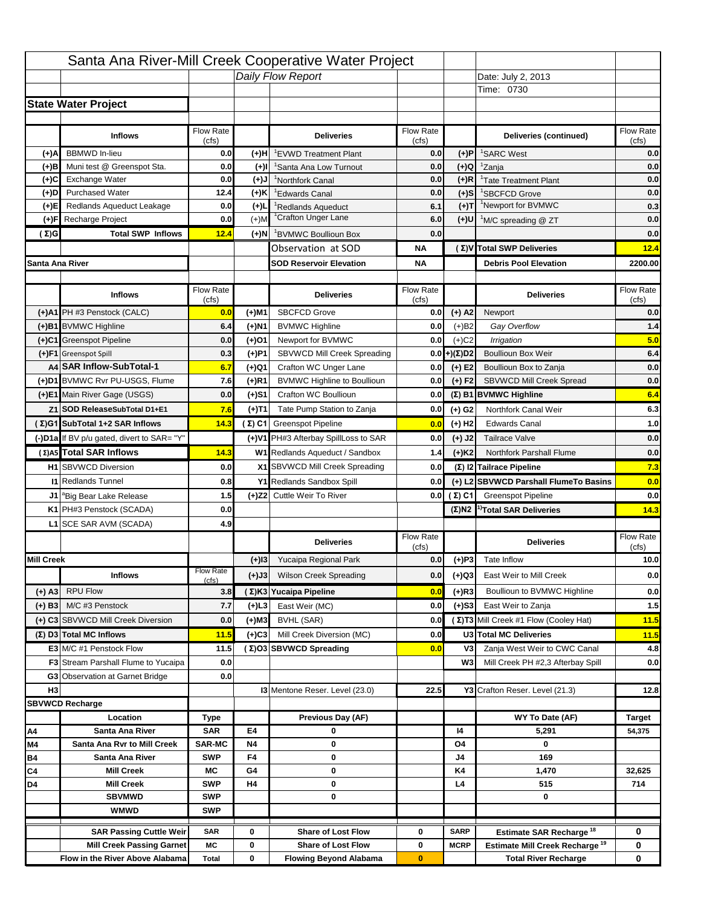|                   |                                                                    |                  |           | Santa Ana River-Mill Creek Cooperative Water Project   |                  |                            |                                                                                   |                                                                  |
|-------------------|--------------------------------------------------------------------|------------------|-----------|--------------------------------------------------------|------------------|----------------------------|-----------------------------------------------------------------------------------|------------------------------------------------------------------|
|                   |                                                                    |                  |           | Daily Flow Report                                      |                  |                            | Date: July 2, 2013                                                                |                                                                  |
|                   |                                                                    |                  |           |                                                        |                  |                            | Time: 0730                                                                        |                                                                  |
|                   | <b>State Water Project</b>                                         |                  |           |                                                        |                  |                            |                                                                                   |                                                                  |
|                   |                                                                    |                  |           |                                                        |                  |                            |                                                                                   |                                                                  |
|                   | <b>Inflows</b>                                                     | Flow Rate        |           | <b>Deliveries</b>                                      | <b>Flow Rate</b> |                            | Deliveries (continued)                                                            | Flow Rate                                                        |
| (+)A              | <b>BBMWD</b> In-lieu                                               | (cfs)<br>0.0     | (+)H      | 'EVWD Treatment Plant                                  | (cfs)<br>0.0     | (+)P                       | <sup>1</sup> SARC West                                                            | (cfs)<br>0.0                                                     |
| (+)B              | Muni test @ Greenspot Sta.                                         | 0.0              | $(+)$ l   | 'Santa Ana Low Turnout                                 | 0.0              | $(+)Q$                     | <sup>1</sup> Zanja                                                                | 0.0                                                              |
| (+)C              | Exchange Water                                                     | 0.0              | $(L(+)$   | <sup>1</sup> Northfork Canal                           | 0.0              | $(+)R$                     | <sup>1</sup> Tate Treatment Plant                                                 | 0.0                                                              |
| (+)D              | <b>Purchased Water</b>                                             | 12.4             | (+)K      | <sup>1</sup> Edwards Canal                             | 0.0              | $(+)$ S                    | <sup>1</sup> SBCFCD Grove                                                         | 0.0                                                              |
| (+)E              | Redlands Aqueduct Leakage                                          | 0.0              | $(+)1$    | <sup>1</sup> Redlands Aqueduct                         | 6.1              | $(+)T$                     | <sup>1</sup> Newport for BVMWC                                                    | 0.3                                                              |
| (+)F              | Recharge Project                                                   | 0.0              | $(+)$ M   | <sup>1</sup> Crafton Unger Lane                        | 6.0              | (+)U                       | <sup>1</sup> M/C spreading @ ZT                                                   | 0.0                                                              |
| (Σ)G              | <b>Total SWP Inflows</b>                                           | 12.4             | $(+)$ N   | <sup>1</sup> BVMWC Boullioun Box                       | 0.0              |                            |                                                                                   | 0.0                                                              |
|                   |                                                                    |                  |           | Observation at SOD                                     | ΝA               |                            | (Σ) V Total SWP Deliveries                                                        | 12.4                                                             |
| Santa Ana River   |                                                                    |                  |           | <b>SOD Reservoir Elevation</b>                         | ΝA               |                            | <b>Debris Pool Elevation</b>                                                      | 2200.00                                                          |
|                   |                                                                    |                  |           |                                                        |                  |                            |                                                                                   |                                                                  |
|                   | <b>Inflows</b>                                                     | Flow Rate        |           | <b>Deliveries</b>                                      | Flow Rate        |                            | <b>Deliveries</b>                                                                 | Flow Rate<br>(cfs)                                               |
|                   | (+)A1 PH #3 Penstock (CALC)                                        | (cfs)<br>0.0     | (+)M1     | <b>SBCFCD Grove</b>                                    | (cfs)<br>0.0     | $(+)$ A2                   | Newport                                                                           | 0.0                                                              |
|                   | (+)B1 BVMWC Highline                                               | 6.4              | (+)N1     | <b>BVMWC Highline</b>                                  | 0.0              | $(+)B2$                    | Gay Overflow                                                                      | 1.4                                                              |
|                   | (+)C1 Greenspot Pipeline                                           | 0.0              | (+)01     | Newport for BVMWC                                      | 0.0              | $(+)$ C <sub>2</sub>       | Irrigation                                                                        | 5.0                                                              |
|                   | (+)F1 Greenspot Spill                                              | 0.3              | (+)P1     | SBVWCD Mill Creek Spreading                            | 0.0              | (+)(Σ)D2                   | <b>Boullioun Box Weir</b>                                                         | 6.4                                                              |
|                   | A4 SAR Inflow-SubTotal-1                                           | 6.7              | (+)Q1     | Crafton WC Unger Lane                                  | 0.0              | $(+) E2$                   | Boullioun Box to Zanja                                                            | 0.0                                                              |
|                   | (+)D1 BVMWC Rvr PU-USGS, Flume                                     | 7.6              | $(+)$ R1  | <b>BVMWC Highline to Boullioun</b>                     | 0.0              | $(+) F2$                   | SBVWCD Mill Creek Spread                                                          | 0.0                                                              |
|                   | (+)E1 Main River Gage (USGS)                                       | 0.0              | (+)S1     | Crafton WC Boullioun                                   | 0.0              |                            | $(\Sigma)$ B1 BVMWC Highline                                                      | 6.4                                                              |
|                   | Z1 SOD ReleaseSubTotal D1+E1                                       | 7.6              |           | Tate Pump Station to Zanja                             | 0.0              |                            | Northfork Canal Weir                                                              | 6.3                                                              |
|                   | (Σ)G1 SubTotal 1+2 SAR Inflows                                     | 14.3             | (+)T1     | (Σ) C1 Greenspot Pipeline                              |                  | (+) G2                     | <b>Edwards Canal</b>                                                              | 1.0                                                              |
|                   |                                                                    |                  |           |                                                        | 0.0              | $(+)$ H <sub>2</sub>       |                                                                                   |                                                                  |
|                   | (-)D1a If BV p/u gated, divert to SAR= "Y"                         |                  |           | (+)V1 PH#3 Afterbay SpillLoss to SAR                   | 0.0              | $(+)$ J2                   | <b>Tailrace Valve</b>                                                             | 0.0                                                              |
|                   | (Σ) A5 Total SAR Inflows                                           | 14.3             |           | W1 Redlands Aqueduct / Sandbox                         | 1.4              | $(+)$ K <sub>2</sub>       | <b>Northfork Parshall Flume</b>                                                   | 0.0                                                              |
|                   |                                                                    |                  |           |                                                        |                  |                            |                                                                                   |                                                                  |
|                   | <b>H1</b> SBVWCD Diversion                                         | 0.0              |           | X1 SBVWCD Mill Creek Spreading                         | 0.0              |                            | (Σ) I2 Tailrace Pipeline                                                          |                                                                  |
|                   | <b>11 Redlands Tunnel</b>                                          | 0.8              |           | Y1 Redlands Sandbox Spill                              | 0.0              |                            | (+) L2 SBVWCD Parshall FlumeTo Basins                                             |                                                                  |
|                   | J1 <sup>a</sup> Big Bear Lake Release                              | 1.5              |           | (+)Z2 Cuttle Weir To River                             |                  | 0.0 $(Σ) C1$               | <b>Greenspot Pipeline</b>                                                         |                                                                  |
|                   | K1 PH#3 Penstock (SCADA)                                           | 0.0              |           |                                                        |                  |                            | $(\Sigma)$ N2 <sup>1)</sup> Total SAR Deliveries                                  |                                                                  |
|                   | L1 SCE SAR AVM (SCADA)                                             | 4.9              |           |                                                        |                  |                            |                                                                                   |                                                                  |
|                   |                                                                    |                  |           | <b>Deliveries</b>                                      | <b>Flow Rate</b> |                            | <b>Deliveries</b>                                                                 | Flow Rate                                                        |
|                   |                                                                    |                  |           |                                                        | (cfs)            |                            |                                                                                   | (cts)                                                            |
| <b>Mill Creek</b> |                                                                    | <b>Flow Rate</b> | $(+)$ 13  | Yucaipa Regional Park                                  | 0.0              | $(+)P3$                    | Tate Inflow                                                                       |                                                                  |
|                   | <b>Inflows</b>                                                     | (cfs)            | (+)J3     | <b>Wilson Creek Spreading</b>                          | 0.0              | (+)Q3                      | East Weir to Mill Creek                                                           |                                                                  |
| (+) A3            | <b>RPU Flow</b>                                                    | 3.8              |           | (Σ)K3 Yucaipa Pipeline                                 | 0.0              | $(+)$ R3                   | Boullioun to BVMWC Highline                                                       |                                                                  |
| $(+)$ B3          | M/C #3 Penstock                                                    | 7.7              | (+)L3     | East Weir (MC)                                         | 0.0              | $(+)$ S3                   | East Weir to Zanja                                                                |                                                                  |
|                   | (+) C3 SBVWCD Mill Creek Diversion                                 | 0.0              | (+)M3     | BVHL (SAR)                                             | 0.0              |                            | (Σ) T3 Mill Creek #1 Flow (Cooley Hat)                                            | 7.3<br>0.0<br>0.0<br>14.3<br>10.0<br>0.0<br>0.0<br>$1.5$<br>11.5 |
|                   | (Σ) D3 Total MC Inflows                                            | 11.5             | $(+)C3$   | Mill Creek Diversion (MC)                              | 0.0              |                            | U3 Total MC Deliveries                                                            | 11.5                                                             |
|                   | E3 M/C #1 Penstock Flow                                            | 11.5             |           | (Σ)O3 SBVWCD Spreading                                 | 0.0              | V3                         | Zanja West Weir to CWC Canal                                                      |                                                                  |
|                   | <b>F3</b> Stream Parshall Flume to Yucaipa                         | 0.0              |           |                                                        |                  | W <sub>3</sub>             | Mill Creek PH #2,3 Afterbay Spill                                                 | 4.8<br>0.0                                                       |
|                   | G3 Observation at Garnet Bridge                                    | 0.0              |           |                                                        |                  |                            |                                                                                   |                                                                  |
| H <sub>3</sub>    |                                                                    |                  |           | 13 Mentone Reser. Level (23.0)                         | 22.5             |                            | Y3 Crafton Reser. Level (21.3)                                                    | 12.8                                                             |
|                   | <b>SBVWCD Recharge</b>                                             |                  |           |                                                        |                  |                            |                                                                                   |                                                                  |
|                   | Location                                                           | Type             |           | Previous Day (AF)                                      |                  |                            | WY To Date (AF)                                                                   | <b>Target</b>                                                    |
| Α4                | Santa Ana River                                                    | <b>SAR</b>       | E4        | 0                                                      |                  | 14                         | 5,291                                                                             | 54,375                                                           |
| M4                | Santa Ana Rvr to Mill Creek                                        | <b>SAR-MC</b>    | <b>N4</b> | 0                                                      |                  | O4                         | 0                                                                                 |                                                                  |
| Β4                | Santa Ana River<br><b>Mill Creek</b>                               | <b>SWP</b><br>МC | F4<br>G4  | 0<br>0                                                 |                  | J4<br>K4                   | 169<br>1,470                                                                      | 32,625                                                           |
| C4<br>D4          | <b>Mill Creek</b>                                                  | <b>SWP</b>       | H4        | 0                                                      |                  | L4                         | 515                                                                               | 714                                                              |
|                   | <b>SBVMWD</b>                                                      | <b>SWP</b>       |           | 0                                                      |                  |                            | 0                                                                                 |                                                                  |
|                   | <b>WMWD</b>                                                        | <b>SWP</b>       |           |                                                        |                  |                            |                                                                                   |                                                                  |
|                   |                                                                    |                  |           |                                                        |                  |                            |                                                                                   |                                                                  |
|                   | <b>SAR Passing Cuttle Weir</b><br><b>Mill Creek Passing Garnet</b> | <b>SAR</b><br>МC | 0<br>0    | <b>Share of Lost Flow</b><br><b>Share of Lost Flow</b> | 0<br>0           | <b>SARP</b><br><b>MCRP</b> | Estimate SAR Recharge <sup>18</sup><br>Estimate Mill Creek Recharge <sup>19</sup> | 0<br>0                                                           |